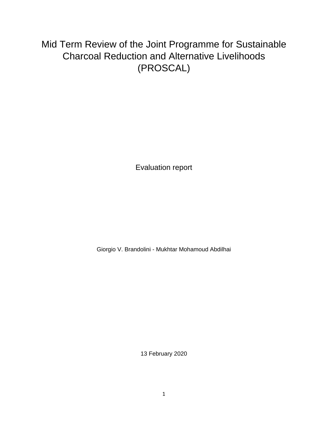# Mid Term Review of the Joint Programme for Sustainable Charcoal Reduction and Alternative Livelihoods (PROSCAL)

Evaluation report

Giorgio V. Brandolini - Mukhtar Mohamoud Abdilhai

13 February 2020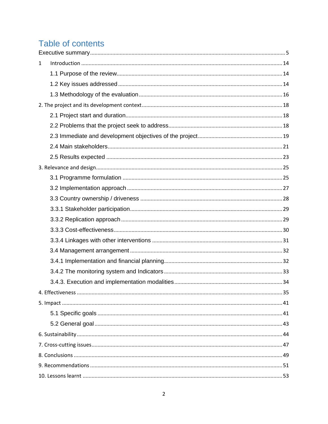# Table of contents

| 1 |  |  |  |  |
|---|--|--|--|--|
|   |  |  |  |  |
|   |  |  |  |  |
|   |  |  |  |  |
|   |  |  |  |  |
|   |  |  |  |  |
|   |  |  |  |  |
|   |  |  |  |  |
|   |  |  |  |  |
|   |  |  |  |  |
|   |  |  |  |  |
|   |  |  |  |  |
|   |  |  |  |  |
|   |  |  |  |  |
|   |  |  |  |  |
|   |  |  |  |  |
|   |  |  |  |  |
|   |  |  |  |  |
|   |  |  |  |  |
|   |  |  |  |  |
|   |  |  |  |  |
|   |  |  |  |  |
|   |  |  |  |  |
|   |  |  |  |  |
|   |  |  |  |  |
|   |  |  |  |  |
|   |  |  |  |  |
|   |  |  |  |  |
|   |  |  |  |  |
|   |  |  |  |  |
|   |  |  |  |  |
|   |  |  |  |  |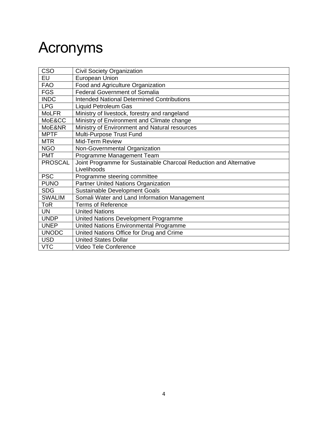# Acronyms

| <b>CSO</b>     | <b>Civil Society Organization</b>                                  |  |  |  |  |
|----------------|--------------------------------------------------------------------|--|--|--|--|
| EU             | European Union                                                     |  |  |  |  |
| <b>FAO</b>     | Food and Agriculture Organization                                  |  |  |  |  |
| <b>FGS</b>     | <b>Federal Government of Somalia</b>                               |  |  |  |  |
| <b>INDC</b>    | <b>Intended National Determined Contributions</b>                  |  |  |  |  |
| <b>LPG</b>     | Liquid Petroleum Gas                                               |  |  |  |  |
| <b>MoLFR</b>   | Ministry of livestock, forestry and rangeland                      |  |  |  |  |
| MoE&CC         | Ministry of Environment and Climate change                         |  |  |  |  |
| MoE&NR         | Ministry of Environment and Natural resources                      |  |  |  |  |
| <b>MPTF</b>    | Multi-Purpose Trust Fund                                           |  |  |  |  |
| <b>MTR</b>     | Mid-Term Review                                                    |  |  |  |  |
| <b>NGO</b>     | Non-Governmental Organization                                      |  |  |  |  |
| <b>PMT</b>     | Programme Management Team                                          |  |  |  |  |
| <b>PROSCAL</b> | Joint Programme for Sustainable Charcoal Reduction and Alternative |  |  |  |  |
|                | Livelihoods                                                        |  |  |  |  |
| <b>PSC</b>     | Programme steering committee                                       |  |  |  |  |
| <b>PUNO</b>    | Partner United Nations Organization                                |  |  |  |  |
| <b>SDG</b>     | Sustainable Development Goals                                      |  |  |  |  |
| <b>SWALIM</b>  | Somali Water and Land Information Management                       |  |  |  |  |
| <b>ToR</b>     | <b>Terms of Reference</b>                                          |  |  |  |  |
| <b>UN</b>      | <b>United Nations</b>                                              |  |  |  |  |
| <b>UNDP</b>    | United Nations Development Programme                               |  |  |  |  |
| <b>UNEP</b>    | United Nations Environmental Programme                             |  |  |  |  |
| <b>UNODC</b>   | United Nations Office for Drug and Crime                           |  |  |  |  |
| <b>USD</b>     | <b>United States Dollar</b>                                        |  |  |  |  |
| <b>VTC</b>     | Video Tele Conference                                              |  |  |  |  |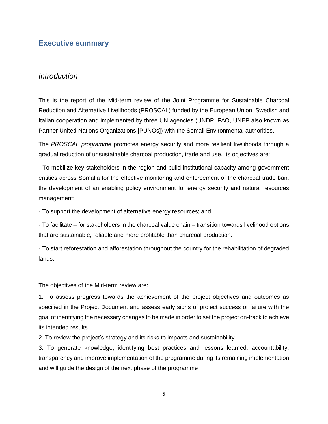# <span id="page-4-0"></span>**Executive summary**

#### *Introduction*

This is the report of the Mid-term review of the Joint Programme for Sustainable Charcoal Reduction and Alternative Livelihoods (PROSCAL) funded by the European Union, Swedish and Italian cooperation and implemented by three UN agencies (UNDP, FAO, UNEP also known as Partner United Nations Organizations [PUNOs]) with the Somali Environmental authorities.

The *PROSCAL programme* promotes energy security and more resilient livelihoods through a gradual reduction of unsustainable charcoal production, trade and use. Its objectives are:

- To mobilize key stakeholders in the region and build institutional capacity among government entities across Somalia for the effective monitoring and enforcement of the charcoal trade ban, the development of an enabling policy environment for energy security and natural resources management;

- To support the development of alternative energy resources; and,

- To facilitate – for stakeholders in the charcoal value chain – transition towards livelihood options that are sustainable, reliable and more profitable than charcoal production.

- To start reforestation and afforestation throughout the country for the rehabilitation of degraded lands.

The objectives of the Mid-term review are:

1. To assess progress towards the achievement of the project objectives and outcomes as specified in the Project Document and assess early signs of project success or failure with the goal of identifying the necessary changes to be made in order to set the project on-track to achieve its intended results

2. To review the project's strategy and its risks to impacts and sustainability.

3. To generate knowledge, identifying best practices and lessons learned, accountability, transparency and improve implementation of the programme during its remaining implementation and will guide the design of the next phase of the programme

5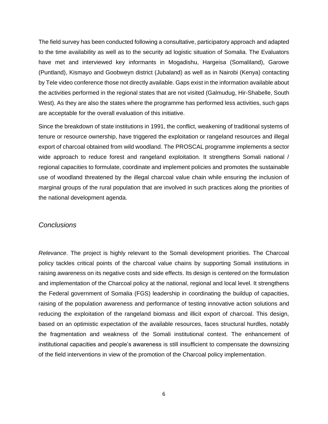The field survey has been conducted following a consultative, participatory approach and adapted to the time availability as well as to the security ad logistic situation of Somalia. The Evaluators have met and interviewed key informants in Mogadishu, Hargeisa (Somaliland), Garowe (Puntland), Kismayo and Goobweyn district (Jubaland) as well as in Nairobi (Kenya) contacting by Tele video conference those not directly available. Gaps exist in the information available about the activities performed in the regional states that are not visited (Galmudug, Hir-Shabelle, South West). As they are also the states where the programme has performed less activities, such gaps are acceptable for the overall evaluation of this initiative.

Since the breakdown of state institutions in 1991, the conflict, weakening of traditional systems of tenure or resource ownership, have triggered the exploitation or rangeland resources and illegal export of charcoal obtained from wild woodland. The PROSCAL programme implements a sector wide approach to reduce forest and rangeland exploitation. It strengthens Somali national / regional capacities to formulate, coordinate and implement policies and promotes the sustainable use of woodland threatened by the illegal charcoal value chain while ensuring the inclusion of marginal groups of the rural population that are involved in such practices along the priorities of the national development agenda.

#### *Conclusions*

*Relevance*. The project is highly relevant to the Somali development priorities. The Charcoal policy tackles critical points of the charcoal value chains by supporting Somali institutions in raising awareness on its negative costs and side effects. Its design is centered on the formulation and implementation of the Charcoal policy at the national, regional and local level. It strengthens the Federal government of Somalia (FGS) leadership in coordinating the buildup of capacities, raising of the population awareness and performance of testing innovative action solutions and reducing the exploitation of the rangeland biomass and illicit export of charcoal. This design, based on an optimistic expectation of the available resources, faces structural hurdles, notably the fragmentation and weakness of the Somali institutional context. The enhancement of institutional capacities and people's awareness is still insufficient to compensate the downsizing of the field interventions in view of the promotion of the Charcoal policy implementation.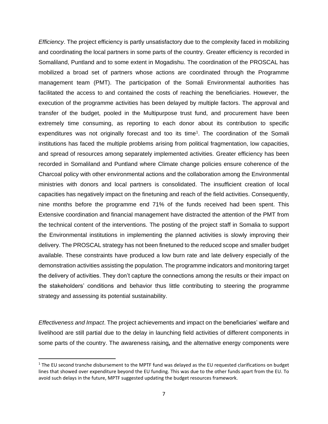*Efficiency*. The project efficiency is partly unsatisfactory due to the complexity faced in mobilizing and coordinating the local partners in some parts of the country. Greater efficiency is recorded in Somaliland, Puntland and to some extent in Mogadishu. The coordination of the PROSCAL has mobilized a broad set of partners whose actions are coordinated through the Programme management team (PMT). The participation of the Somali Environmental authorities has facilitated the access to and contained the costs of reaching the beneficiaries. However, the execution of the programme activities has been delayed by multiple factors. The approval and transfer of the budget, pooled in the Multipurpose trust fund, and procurement have been extremely time consuming, as reporting to each donor about its contribution to specific expenditures was not originally forecast and too its time<sup>1</sup>. The coordination of the Somali institutions has faced the multiple problems arising from political fragmentation, low capacities, and spread of resources among separately implemented activities. Greater efficiency has been recorded in Somaliland and Puntland where Climate change policies ensure coherence of the Charcoal policy with other environmental actions and the collaboration among the Environmental ministries with donors and local partners is consolidated. The insufficient creation of local capacities has negatively impact on the finetuning and reach of the field activities. Consequently, nine months before the programme end 71% of the funds received had been spent. This Extensive coordination and financial management have distracted the attention of the PMT from the technical content of the interventions. The posting of the project staff in Somalia to support the Environmental institutions in implementing the planned activities is slowly improving their delivery. The PROSCAL strategy has not been finetuned to the reduced scope and smaller budget available. These constraints have produced a low burn rate and late delivery especially of the demonstration activities assisting the population. The programme indicators and monitoring target the delivery of activities. They don't capture the connections among the results or their impact on the stakeholders' conditions and behavior thus little contributing to steering the programme strategy and assessing its potential sustainability.

*Effectiveness and Impact*. The project achievements and impact on the beneficiaries' welfare and livelihood are still partial due to the delay in launching field activities of different components in some parts of the country. The awareness raising*,* and the alternative energy components were

 $1$  The EU second tranche disbursement to the MPTF fund was delayed as the EU requested clarifications on budget lines that showed over expenditure beyond the EU funding. This was due to the other funds apart from the EU. To avoid such delays in the future, MPTF suggested updating the budget resources framework.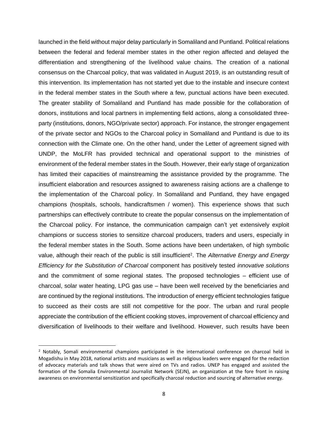launched in the field without major delay particularly in Somaliland and Puntland. Political relations between the federal and federal member states in the other region affected and delayed the differentiation and strengthening of the livelihood value chains. The creation of a national consensus on the Charcoal policy, that was validated in August 2019, is an outstanding result of this intervention. Its implementation has not started yet due to the instable and insecure context in the federal member states in the South where a few, punctual actions have been executed. The greater stability of Somaliland and Puntland has made possible for the collaboration of donors, institutions and local partners in implementing field actions, along a consolidated threeparty (institutions, donors, NGO/private sector) approach. For instance, the stronger engagement of the private sector and NGOs to the Charcoal policy in Somaliland and Puntland is due to its connection with the Climate one. On the other hand, under the Letter of agreement signed with UNDP, the MoLFR has provided technical and operational support to the ministries of environment of the federal member states in the South. However, their early stage of organization has limited their capacities of mainstreaming the assistance provided by the programme. The insufficient elaboration and resources assigned to awareness raising actions are a challenge to the implementation of the Charcoal policy. In Somaliland and Puntland, they have engaged champions (hospitals, schools, handicraftsmen / women). This experience shows that such partnerships can effectively contribute to create the popular consensus on the implementation of the Charcoal policy. For instance, the communication campaign can't yet extensively exploit champions or success stories to sensitize charcoal producers, traders and users, especially in the federal member states in the South. Some actions have been undertaken, of high symbolic value, although their reach of the public is still insufficient<sup>2</sup>. The Alternative Energy and Energy *Efficiency for the Substitution of Charcoal* component has positively tested *innovative solutions* and the commitment of some regional states. The proposed technologies – efficient use of charcoal, solar water heating, LPG gas use – have been well received by the beneficiaries and are continued by the regional institutions. The introduction of energy efficient technologies fatigue to succeed as their costs are still not competitive for the poor. The urban and rural people appreciate the contribution of the efficient cooking stoves, improvement of charcoal efficiency and diversification of livelihoods to their welfare and livelihood. However, such results have been

<sup>&</sup>lt;sup>2</sup> Notably, Somali environmental champions participated in the international conference on charcoal held in Mogadishu in May 2018, national artists and musicians as well as religious leaders were engaged for the redaction of advocacy materials and talk shows that were aired on TVs and radios. UNEP has engaged and assisted the formation of the Somalia Environmental Journalist Network (SEJN), an organization at the fore front in raising awareness on environmental sensitization and specifically charcoal reduction and sourcing of alternative energy.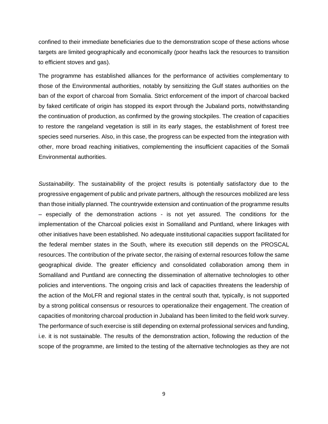confined to their immediate beneficiaries due to the demonstration scope of these actions whose targets are limited geographically and economically (poor heaths lack the resources to transition to efficient stoves and gas).

The programme has established alliances for the performance of activities complementary to those of the Environmental authorities, notably by sensitizing the Gulf states authorities on the ban of the export of charcoal from Somalia. Strict enforcement of the import of charcoal backed by faked certificate of origin has stopped its export through the Jubaland ports, notwithstanding the continuation of production, as confirmed by the growing stockpiles. The creation of capacities to restore the rangeland vegetation is still in its early stages, the establishment of forest tree species seed nurseries. Also, in this case, the progress can be expected from the integration with other, more broad reaching initiatives, complementing the insufficient capacities of the Somali Environmental authorities.

*Sustainability*. The sustainability of the project results is potentially satisfactory due to the progressive engagement of public and private partners, although the resources mobilized are less than those initially planned. The countrywide extension and continuation of the programme results – especially of the demonstration actions - is not yet assured. The conditions for the implementation of the Charcoal policies exist in Somaliland and Puntland, where linkages with other initiatives have been established. No adequate institutional capacities support facilitated for the federal member states in the South, where its execution still depends on the PROSCAL resources. The contribution of the private sector, the raising of external resources follow the same geographical divide. The greater efficiency and consolidated collaboration among them in Somaliland and Puntland are connecting the dissemination of alternative technologies to other policies and interventions. The ongoing crisis and lack of capacities threatens the leadership of the action of the MoLFR and regional states in the central south that, typically, is not supported by a strong political consensus or resources to operationalize their engagement. The creation of capacities of monitoring charcoal production in Jubaland has been limited to the field work survey. The performance of such exercise is still depending on external professional services and funding, i.e. it is not sustainable. The results of the demonstration action, following the reduction of the scope of the programme, are limited to the testing of the alternative technologies as they are not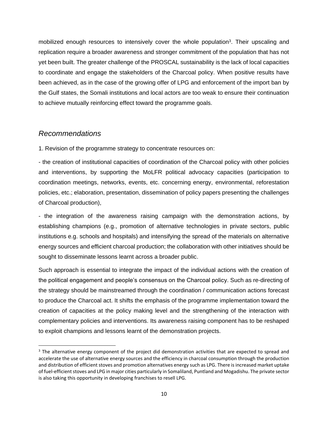mobilized enough resources to intensively cover the whole population<sup>3</sup>. Their upscaling and replication require a broader awareness and stronger commitment of the population that has not yet been built. The greater challenge of the PROSCAL sustainability is the lack of local capacities to coordinate and engage the stakeholders of the Charcoal policy. When positive results have been achieved, as in the case of the growing offer of LPG and enforcement of the import ban by the Gulf states, the Somali institutions and local actors are too weak to ensure their continuation to achieve mutually reinforcing effect toward the programme goals.

# *Recommendations*

1. Revision of the programme strategy to concentrate resources on:

- the creation of institutional capacities of coordination of the Charcoal policy with other policies and interventions, by supporting the MoLFR political advocacy capacities (participation to coordination meetings, networks, events, etc. concerning energy, environmental, reforestation policies, etc.; elaboration, presentation, dissemination of policy papers presenting the challenges of Charcoal production),

- the integration of the awareness raising campaign with the demonstration actions, by establishing champions (e.g., promotion of alternative technologies in private sectors, public institutions e.g. schools and hospitals) and intensifying the spread of the materials on alternative energy sources and efficient charcoal production; the collaboration with other initiatives should be sought to disseminate lessons learnt across a broader public.

Such approach is essential to integrate the impact of the individual actions with the creation of the political engagement and people's consensus on the Charcoal policy. Such as re-directing of the strategy should be mainstreamed through the coordination / communication actions forecast to produce the Charcoal act. It shifts the emphasis of the programme implementation toward the creation of capacities at the policy making level and the strengthening of the interaction with complementary policies and interventions. Its awareness raising component has to be reshaped to exploit champions and lessons learnt of the demonstration projects.

<sup>&</sup>lt;sup>3</sup> The alternative energy component of the project did demonstration activities that are expected to spread and accelerate the use of alternative energy sources and the efficiency in charcoal consumption through the production and distribution of efficient stoves and promotion alternatives energy such as LPG. There is increased market uptake of fuel-efficient stoves and LPG in major cities particularly in Somaliland, Puntland and Mogadishu. The private sector is also taking this opportunity in developing franchises to resell LPG.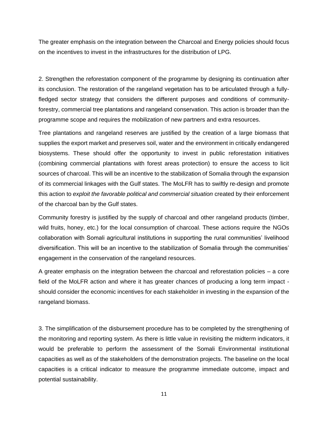The greater emphasis on the integration between the Charcoal and Energy policies should focus on the incentives to invest in the infrastructures for the distribution of LPG.

2. Strengthen the reforestation component of the programme by designing its continuation after its conclusion. The restoration of the rangeland vegetation has to be articulated through a fullyfledged sector strategy that considers the different purposes and conditions of communityforestry, commercial tree plantations and rangeland conservation. This action is broader than the programme scope and requires the mobilization of new partners and extra resources.

Tree plantations and rangeland reserves are justified by the creation of a large biomass that supplies the export market and preserves soil, water and the environment in critically endangered biosystems. These should offer the opportunity to invest in public reforestation initiatives (combining commercial plantations with forest areas protection) to ensure the access to licit sources of charcoal. This will be an incentive to the stabilization of Somalia through the expansion of its commercial linkages with the Gulf states. The MoLFR has to swiftly re-design and promote this action to *exploit the favorable political and commercial situation* created by their enforcement of the charcoal ban by the Gulf states.

Community forestry is justified by the supply of charcoal and other rangeland products (timber, wild fruits, honey, etc.) for the local consumption of charcoal. These actions require the NGOs collaboration with Somali agricultural institutions in supporting the rural communities' livelihood diversification. This will be an incentive to the stabilization of Somalia through the communities' engagement in the conservation of the rangeland resources.

A greater emphasis on the integration between the charcoal and reforestation policies – a core field of the MoLFR action and where it has greater chances of producing a long term impact should consider the economic incentives for each stakeholder in investing in the expansion of the rangeland biomass.

3. The simplification of the disbursement procedure has to be completed by the strengthening of the monitoring and reporting system. As there is little value in revisiting the midterm indicators, it would be preferable to perform the assessment of the Somali Environmental institutional capacities as well as of the stakeholders of the demonstration projects. The baseline on the local capacities is a critical indicator to measure the programme immediate outcome, impact and potential sustainability.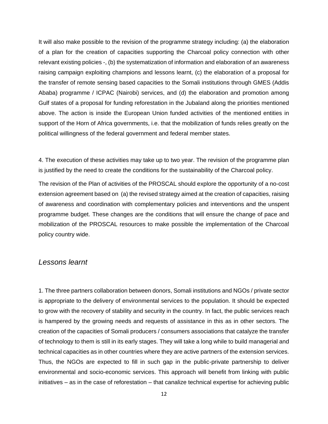It will also make possible to the revision of the programme strategy including: (a) the elaboration of a plan for the creation of capacities supporting the Charcoal policy connection with other relevant existing policies -, (b) the systematization of information and elaboration of an awareness raising campaign exploiting champions and lessons learnt, (c) the elaboration of a proposal for the transfer of remote sensing based capacities to the Somali institutions through GMES (Addis Ababa) programme / ICPAC (Nairobi) services, and (d) the elaboration and promotion among Gulf states of a proposal for funding reforestation in the Jubaland along the priorities mentioned above. The action is inside the European Union funded activities of the mentioned entities in support of the Horn of Africa governments, i.e. that the mobilization of funds relies greatly on the political willingness of the federal government and federal member states.

4. The execution of these activities may take up to two year. The revision of the programme plan is justified by the need to create the conditions for the sustainability of the Charcoal policy.

The revision of the Plan of activities of the PROSCAL should explore the opportunity of a no-cost extension agreement based on (a) the revised strategy aimed at the creation of capacities, raising of awareness and coordination with complementary policies and interventions and the unspent programme budget. These changes are the conditions that will ensure the change of pace and mobilization of the PROSCAL resources to make possible the implementation of the Charcoal policy country wide.

#### *Lessons learnt*

1. The three partners collaboration between donors, Somali institutions and NGOs / private sector is appropriate to the delivery of environmental services to the population. It should be expected to grow with the recovery of stability and security in the country. In fact, the public services reach is hampered by the growing needs and requests of assistance in this as in other sectors. The creation of the capacities of Somali producers / consumers associations that catalyze the transfer of technology to them is still in its early stages. They will take a long while to build managerial and technical capacities as in other countries where they are active partners of the extension services. Thus, the NGOs are expected to fill in such gap in the public-private partnership to deliver environmental and socio-economic services. This approach will benefit from linking with public initiatives – as in the case of reforestation – that canalize technical expertise for achieving public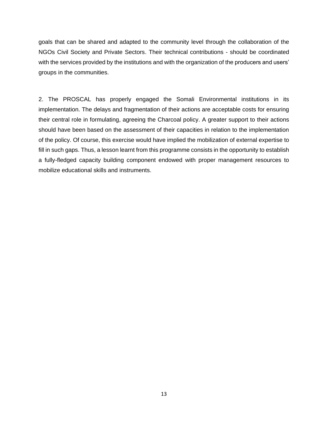goals that can be shared and adapted to the community level through the collaboration of the NGOs Civil Society and Private Sectors. Their technical contributions - should be coordinated with the services provided by the institutions and with the organization of the producers and users' groups in the communities.

2. The PROSCAL has properly engaged the Somali Environmental institutions in its implementation. The delays and fragmentation of their actions are acceptable costs for ensuring their central role in formulating, agreeing the Charcoal policy. A greater support to their actions should have been based on the assessment of their capacities in relation to the implementation of the policy. Of course, this exercise would have implied the mobilization of external expertise to fill in such gaps. Thus, a lesson learnt from this programme consists in the opportunity to establish a fully-fledged capacity building component endowed with proper management resources to mobilize educational skills and instruments.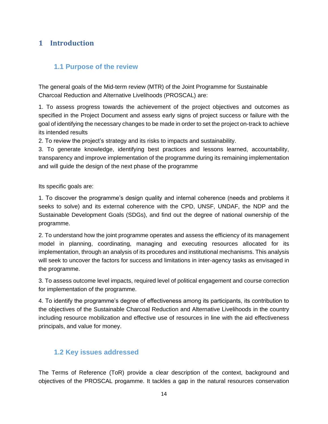# <span id="page-13-0"></span>**1 Introduction**

# <span id="page-13-1"></span>**1.1 Purpose of the review**

The general goals of the Mid-term review (MTR) of the Joint Programme for Sustainable Charcoal Reduction and Alternative Livelihoods (PROSCAL) are:

1. To assess progress towards the achievement of the project objectives and outcomes as specified in the Project Document and assess early signs of project success or failure with the goal of identifying the necessary changes to be made in order to set the project on-track to achieve its intended results

2. To review the project's strategy and its risks to impacts and sustainability.

3. To generate knowledge, identifying best practices and lessons learned, accountability, transparency and improve implementation of the programme during its remaining implementation and will guide the design of the next phase of the programme

Its specific goals are:

1. To discover the programme's design quality and internal coherence (needs and problems it seeks to solve) and its external coherence with the CPD, UNSF, UNDAF, the NDP and the Sustainable Development Goals (SDGs), and find out the degree of national ownership of the programme.

2. To understand how the joint programme operates and assess the efficiency of its management model in planning, coordinating, managing and executing resources allocated for its implementation, through an analysis of its procedures and institutional mechanisms. This analysis will seek to uncover the factors for success and limitations in inter-agency tasks as envisaged in the programme.

3. To assess outcome level impacts, required level of political engagement and course correction for implementation of the programme.

4. To identify the programme's degree of effectiveness among its participants, its contribution to the objectives of the Sustainable Charcoal Reduction and Alternative Livelihoods in the country including resource mobilization and effective use of resources in line with the aid effectiveness principals, and value for money.

#### <span id="page-13-2"></span>**1.2 Key issues addressed**

The Terms of Reference (ToR) provide a clear description of the context, background and objectives of the PROSCAL progamme. It tackles a gap in the natural resources conservation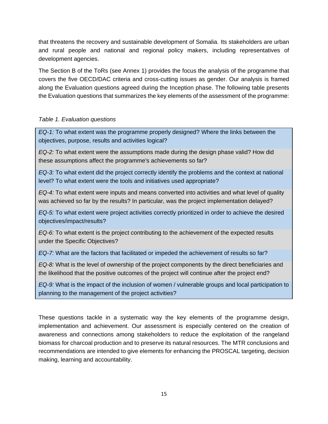that threatens the recovery and sustainable development of Somalia. Its stakeholders are urban and rural people and national and regional policy makers, including representatives of development agencies.

The Section B of the ToRs (see Annex 1) provides the focus the analysis of the programme that covers the five OECD/DAC criteria and cross-cutting issues as gender. Our analysis is framed along the Evaluation questions agreed during the Inception phase. The following table presents the Evaluation questions that summarizes the key elements of the assessment of the programme:

#### *Table 1. Evaluation questions*

*EQ-1:* To what extent was the programme properly designed? Where the links between the objectives, purpose, results and activities logical?

*EQ-2:* To what extent were the assumptions made during the design phase valid? How did these assumptions affect the programme's achievements so far?

*EQ-3:* To what extent did the project correctly identify the problems and the context at national level? To what extent were the tools and initiatives used appropriate?

*EQ-4:* To what extent were inputs and means converted into activities and what level of quality was achieved so far by the results? In particular, was the project implementation delayed?

*EQ-5:* To what extent were project activities correctly prioritized in order to achieve the desired objectives/impact/results?

*EQ-6:* To what extent is the project contributing to the achievement of the expected results under the Specific Objectives?

*EQ-7:* What are the factors that facilitated or impeded the achievement of results so far?

*EQ-8:* What is the level of ownership of the project components by the direct beneficiaries and the likelihood that the positive outcomes of the project will continue after the project end?

*EQ-9:* What is the impact of the inclusion of women / vulnerable groups and local participation to planning to the management of the project activities?

These questions tackle in a systematic way the key elements of the programme design, implementation and achievement. Our assessment is especially centered on the creation of awareness and connections among stakeholders to reduce the exploitation of the rangeland biomass for charcoal production and to preserve its natural resources. The MTR conclusions and recommendations are intended to give elements for enhancing the PROSCAL targeting, decision making, learning and accountability.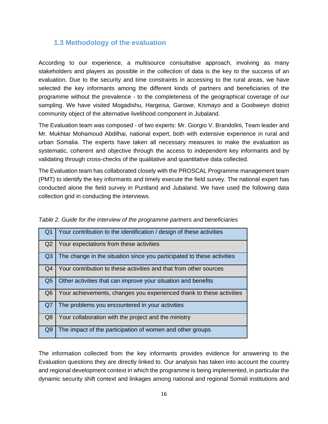# <span id="page-15-0"></span>**1.3 Methodology of the evaluation**

According to our experience, a multisource consultative approach, involving as many stakeholders and players as possible in the collection of data is the key to the success of an evaluation. Due to the security and time constraints in accessing to the rural areas, we have selected the key informants among the different kinds of partners and beneficiaries of the programme without the prevalence - to the completeness of the geographical coverage of our sampling. We have visited Mogadishu, Hargeisa, Garowe, Kismayo and a Goobweyn district community object of the alternative livelihood component in Jubaland.

The Evaluation team was composed - of two experts: Mr. Giorgio V. Brandolini, Team leader and Mr. Mukhtar Mohamoud Abdilhai, national expert, both with extensive experience in rural and urban Somalia. The experts have taken all necessary measures to make the evaluation as systematic, coherent and objective through the access to independent key informants and by validating through cross-checks of the qualitative and quantitative data collected.

The Evaluation team has collaborated closely with the PROSCAL Programme management team (PMT) to identify the key informants and timely execute the field survey. The national expert has conducted alone the field survey in Puntland and Jubaland. We have used the following data collection grid in conducting the interviews.

| Q <sub>1</sub> | Your contribution to the identification / design of these activities   |
|----------------|------------------------------------------------------------------------|
| Q2             | Your expectations from these activities                                |
| Q <sub>3</sub> | The change in the situation since you participated to these activities |
| Q <sub>4</sub> | Your contribution to these activities and that from other sources      |
| Q <sub>5</sub> | Other activities that can improve your situation and benefits          |
| Q <sub>6</sub> | Your achievements, changes you experienced thank to these activities   |
| Q7             | The problems you encountered in your activities                        |
| Q8             | Your collaboration with the project and the ministry                   |
| Q9             | The impact of the participation of women and other groups              |

*Table 2. Guide for the interview of the programme partners and beneficiaries*

The information collected from the key informants provides evidence for answering to the Evaluation questions they are directly linked to. Our analysis has taken into account the country and regional development context in which the programme is being implemented, in particular the dynamic security shift context and linkages among national and regional Somali institutions and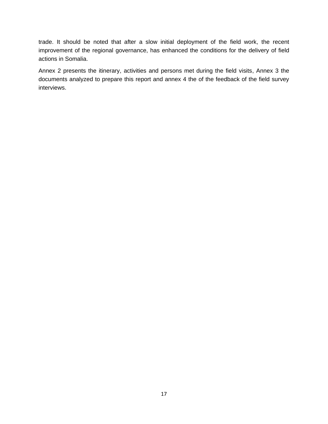trade. It should be noted that after a slow initial deployment of the field work, the recent improvement of the regional governance, has enhanced the conditions for the delivery of field actions in Somalia.

Annex 2 presents the itinerary, activities and persons met during the field visits, Annex 3 the documents analyzed to prepare this report and annex 4 the of the feedback of the field survey interviews.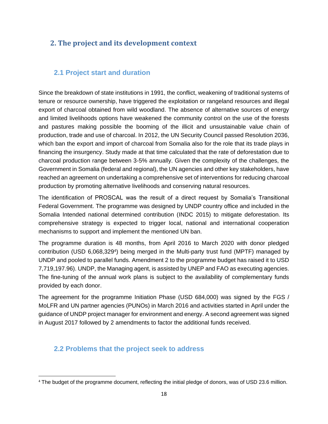# <span id="page-17-0"></span>**2. The project and its development context**

# <span id="page-17-1"></span>**2.1 Project start and duration**

Since the breakdown of state institutions in 1991, the conflict, weakening of traditional systems of tenure or resource ownership, have triggered the exploitation or rangeland resources and illegal export of charcoal obtained from wild woodland. The absence of alternative sources of energy and limited livelihoods options have weakened the community control on the use of the forests and pastures making possible the booming of the illicit and unsustainable value chain of production, trade and use of charcoal. In 2012, the UN Security Council passed Resolution 2036, which ban the export and import of charcoal from Somalia also for the role that its trade plays in financing the insurgency. Study made at that time calculated that the rate of deforestation due to charcoal production range between 3-5% annually. Given the complexity of the challenges, the Government in Somalia (federal and regional), the UN agencies and other key stakeholders, have reached an agreement on undertaking a comprehensive set of interventions for reducing charcoal production by promoting alternative livelihoods and conserving natural resources.

The identification of PROSCAL was the result of a direct request by Somalia's Transitional Federal Government. The programme was designed by UNDP country office and included in the Somalia Intended national determined contribution (INDC 2015) to mitigate deforestation. Its comprehensive strategy is expected to trigger local, national and international cooperation mechanisms to support and implement the mentioned UN ban.

The programme duration is 48 months, from April 2016 to March 2020 with donor pledged contribution (USD 6,068,329<sup>4</sup>) being merged in the Multi-party trust fund (MPTF) managed by UNDP and pooled to parallel funds. Amendment 2 to the programme budget has raised it to USD 7,719,197.96). UNDP, the Managing agent, is assisted by UNEP and FAO as executing agencies. The fine-tuning of the annual work plans is subject to the availability of complementary funds provided by each donor.

The agreement for the programme Initiation Phase (USD 684,000) was signed by the FGS / MoLFR and UN partner agencies (PUNOs) in March 2016 and activities started in April under the guidance of UNDP project manager for environment and energy. A second agreement was signed in August 2017 followed by 2 amendments to factor the additional funds received.

# <span id="page-17-2"></span>**2.2 Problems that the project seek to address**

<sup>4</sup> The budget of the programme document, reflecting the initial pledge of donors, was of USD 23.6 million.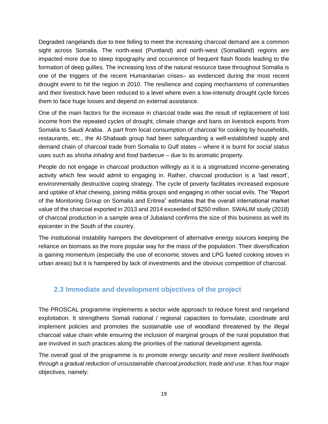Degraded rangelands due to tree felling to meet the increasing charcoal demand are a common sight across Somalia. The north-east (Puntland) and north-west (Somaliland) regions are impacted more due to steep topography and occurrence of frequent flash floods leading to the formation of deep gullies. The increasing loss of the natural resource base throughout Somalia is one of the triggers of the recent Humanitarian crises– as evidenced during the most recent drought event to hit the region in 2010. The resilience and coping mechanisms of communities and their livestock have been reduced to a level where even a low-intensity drought cycle forces them to face huge losses and depend on external assistance.

One of the main factors for the increase in charcoal trade was the result of replacement of lost income from the repeated cycles of drought, climate change and bans on livestock exports from Somalia to Saudi Arabia. A part from local consumption of charcoal for cooking by households, restaurants, etc., the Al-Shabaab group had been safeguarding a well-established supply and demand chain of charcoal trade from Somalia to Gulf states – where it is burnt for *social status* uses such as *shisha inhaling* and *food barbecue* – due to its aromatic property.

People do not engage in charcoal production willingly as it is a stigmatized income-generating activity which few would admit to engaging in. Rather, charcoal production is a 'last resort', environmentally destructive coping strategy. The cycle of poverty facilitates increased exposure and uptake of *khat* chewing, joining militia groups and engaging in other social evils. The "Report of the Monitoring Group on Somalia and Eritrea" estimates that the overall international market value of the charcoal exported in 2013 and 2014 exceeded of \$250 million. SWALIM study (2018) of charcoal production in a sample area of Jubaland confirms the size of this business as well its epicenter in the South of the country.

The institutional instability hampers the development of alternative energy sources keeping the reliance on biomass as the more popular way for the mass of the population. Their diversification is gaining momentum (especially the use of economic stoves and LPG fueled cooking stoves in urban areas) but it is hampered by lack of investments and the obvious competition of charcoal.

# <span id="page-18-0"></span>**2.3 Immediate and development objectives of the project**

The PROSCAL programme implements a sector wide approach to reduce forest and rangeland exploitation. It strengthens Somali national / regional capacities to formulate, coordinate and implement policies and promotes the sustainable use of woodland threatened by the illegal charcoal value chain while ensuring the inclusion of marginal groups of the rural population that are involved in such practices along the priorities of the national development agenda.

The overall goal of the programme is *to promote energy security and more resilient livelihoods through a gradual reduction of unsustainable charcoal production, trade and use*. It has four major objectives, namely: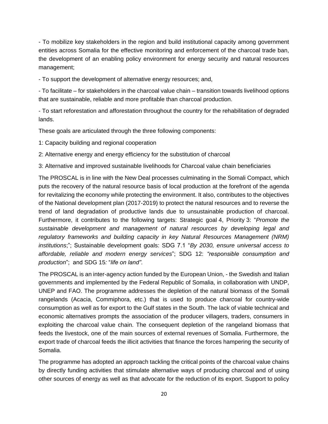- To mobilize key stakeholders in the region and build institutional capacity among government entities across Somalia for the effective monitoring and enforcement of the charcoal trade ban, the development of an enabling policy environment for energy security and natural resources management;

- To support the development of alternative energy resources; and,

- To facilitate – for stakeholders in the charcoal value chain – transition towards livelihood options that are sustainable, reliable and more profitable than charcoal production.

- To start reforestation and afforestation throughout the country for the rehabilitation of degraded lands.

These goals are articulated through the three following components:

1: Capacity building and regional cooperation

2: Alternative energy and energy efficiency for the substitution of charcoal

3: Alternative and improved sustainable livelihoods for Charcoal value chain beneficiaries

The PROSCAL is in line with the New Deal processes culminating in the Somali Compact, which puts the recovery of the natural resource basis of local production at the forefront of the agenda for revitalizing the economy while protecting the environment. It also, contributes to the objectives of the National development plan (2017-2019) to protect the natural resources and to reverse the trend of land degradation of productive lands due to unsustainable production of charcoal. Furthermore, it contributes to the following targets: Strategic goal 4, Priority 3: "*Promote the sustainable development and management of natural resources by developing legal and regulatory frameworks and building capacity in key Natural Resources Management (NRM) institutions*;"; Sustainable development goals: SDG 7.1 "*By 2030, ensure universal access to affordable, reliable and modern energy services*"; SDG 12: *"responsible consumption and production*"; and SDG 15*:* "*life on land"*.

The PROSCAL is an inter-agency action funded by the European Union, - the Swedish and Italian governments and implemented by the Federal Republic of Somalia, in collaboration with UNDP, UNEP and FAO. The programme addresses the depletion of the natural biomass of the Somali rangelands (Acacia, Commiphora, etc.) that is used to produce charcoal for country-wide consumption as well as for export to the Gulf states in the South. The lack of viable technical and economic alternatives prompts the association of the producer villagers, traders, consumers in exploiting the charcoal value chain. The consequent depletion of the rangeland biomass that feeds the livestock, one of the main sources of external revenues of Somalia. Furthermore, the export trade of charcoal feeds the illicit activities that finance the forces hampering the security of Somalia.

The programme has adopted an approach tackling the critical points of the charcoal value chains by directly funding activities that stimulate alternative ways of producing charcoal and of using other sources of energy as well as that advocate for the reduction of its export. Support to policy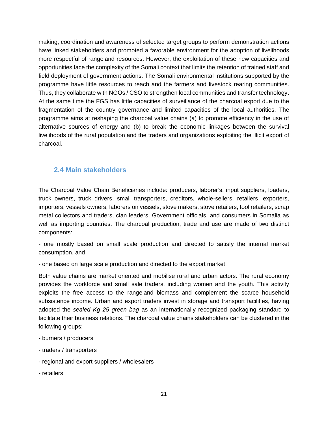making, coordination and awareness of selected target groups to perform demonstration actions have linked stakeholders and promoted a favorable environment for the adoption of livelihoods more respectful of rangeland resources. However, the exploitation of these new capacities and opportunities face the complexity of the Somali context that limits the retention of trained staff and field deployment of government actions. The Somali environmental institutions supported by the programme have little resources to reach and the farmers and livestock rearing communities. Thus, they collaborate with NGOs / CSO to strengthen local communities and transfer technology. At the same time the FGS has little capacities of surveillance of the charcoal export due to the fragmentation of the country governance and limited capacities of the local authorities. The programme aims at reshaping the charcoal value chains (a) to promote efficiency in the use of alternative sources of energy and (b) to break the economic linkages between the survival livelihoods of the rural population and the traders and organizations exploiting the illicit export of charcoal.

#### <span id="page-20-0"></span>**2.4 Main stakeholders**

The Charcoal Value Chain Beneficiaries include: producers, laborer's, input suppliers, loaders, truck owners, truck drivers, small transporters, creditors, whole-sellers, retailers, exporters, importers, vessels owners, laborers on vessels, stove makers, stove retailers, tool retailers, scrap metal collectors and traders, clan leaders, Government officials, and consumers in Somalia as well as importing countries. The charcoal production, trade and use are made of two distinct components:

- one mostly based on small scale production and directed to satisfy the internal market consumption, and

- one based on large scale production and directed to the export market.

Both value chains are market oriented and mobilise rural and urban actors. The rural economy provides the workforce and small sale traders, including women and the youth. This activity exploits the free access to the rangeland biomass and complement the scarce household subsistence income. Urban and export traders invest in storage and transport facilities, having adopted the *sealed Kg 25 green bag* as an internationally recognized packaging standard to facilitate their business relations. The charcoal value chains stakeholders can be clustered in the following groups:

- burners / producers
- traders / transporters
- regional and export suppliers / wholesalers
- retailers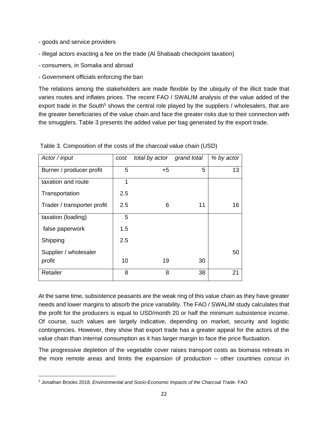- goods and service providers
- illegal actors exacting a fee on the trade (Al Shabaab checkpoint taxation)
- consumers, in Somalia and abroad
- Government officials enforcing the ban

The relations among the stakeholders are made flexible by the ubiquity of the illicit trade that varies routes and inflates prices. The recent FAO / SWALIM analysis of the value added of the export trade in the South<sup>5</sup> shows the central role played by the suppliers / wholesalers, that are the greater beneficiaries of the value chain and face the greater risks due to their connection with the smugglers. Table 3 presents the added value per bag generated by the export trade.

| Actor / input               | cost | total by actor | grand total | % by actor |
|-----------------------------|------|----------------|-------------|------------|
| Burner / producer profit    | 5    | $+5$           | 5           | 13         |
| taxation and route          | 1    |                |             |            |
| Transportation              | 2.5  |                |             |            |
| Trader / transporter profit | 2.5  | 6              | 11          | 16         |
| taxation (loading)          | 5    |                |             |            |
| false paperwork             | 1.5  |                |             |            |
| Shipping                    | 2.5  |                |             |            |
| Supplier / wholesaler       |      |                |             | 50         |
| profit                      | 10   | 19             | 30          |            |
| Retailer                    | 8    | 8              | 38          | 21         |

Table 3. Composition of the costs of the charcoal value chain (USD)

At the same time, subsistence peasants are the weak ring of this value chain as they have greater needs and lower margins to absorb the price variability. The FAO / SWALIM study calculates that the profit for the producers is equal to USD/month 20 or half the minimum subsistence income. Of course, such values are largely indicative, depending on market, security and logistic contingencies. However, they show that export trade has a greater appeal for the actors of the value chain than internal consumption as it has larger margin to face the price fluctuation.

The progressive depletion of the vegetable cover raises transport costs as biomass retreats in the more remote areas and limits the expansion of production – other countries concur in

<sup>5</sup> Jonathan Brooks 2018. *Environmental and Socio-Economic Impacts of the Charcoal Trade*. FAO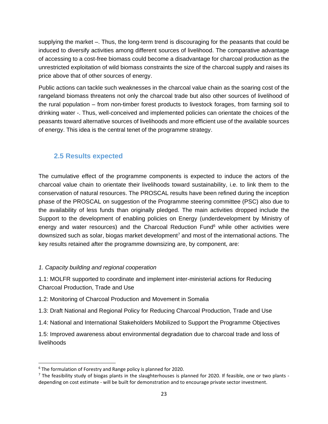supplying the market –. Thus, the long-term trend is discouraging for the peasants that could be induced to diversify activities among different sources of livelihood. The comparative advantage of accessing to a cost-free biomass could become a disadvantage for charcoal production as the unrestricted exploitation of wild biomass constraints the size of the charcoal supply and raises its price above that of other sources of energy.

Public actions can tackle such weaknesses in the charcoal value chain as the soaring cost of the rangeland biomass threatens not only the charcoal trade but also other sources of livelihood of the rural population – from non-timber forest products to livestock forages, from farming soil to drinking water -. Thus, well-conceived and implemented policies can orientate the choices of the peasants toward alternative sources of livelihoods and more efficient use of the available sources of energy. This idea is the central tenet of the programme strategy.

# <span id="page-22-0"></span>**2.5 Results expected**

The cumulative effect of the programme components is expected to induce the actors of the charcoal value chain to orientate their livelihoods toward sustainability, i.e. to link them to the conservation of natural resources. The PROSCAL results have been refined during the inception phase of the PROSCAL on suggestion of the Programme steering committee (PSC) also due to the availability of less funds than originally pledged. The main activities dropped include the Support to the development of enabling policies on Energy (underdevelopment by Ministry of energy and water resources) and the Charcoal Reduction Fund $<sup>6</sup>$  while other activities were</sup> downsized such as solar, biogas market development<sup>7</sup> and most of the international actions. The key results retained after the programme downsizing are, by component, are:

#### *1. Capacity building and regional cooperation*

1.1: MOLFR supported to coordinate and implement inter-ministerial actions for Reducing Charcoal Production, Trade and Use

1.2: Monitoring of Charcoal Production and Movement in Somalia

1.3: Draft National and Regional Policy for Reducing Charcoal Production, Trade and Use

1.4: National and International Stakeholders Mobilized to Support the Programme Objectives

1.5: Improved awareness about environmental degradation due to charcoal trade and loss of livelihoods

<sup>6</sup> The formulation of Forestry and Range policy is planned for 2020.

 $<sup>7</sup>$  The feasibility study of biogas plants in the slaughterhouses is planned for 2020. If feasible, one or two plants -</sup> depending on cost estimate - will be built for demonstration and to encourage private sector investment.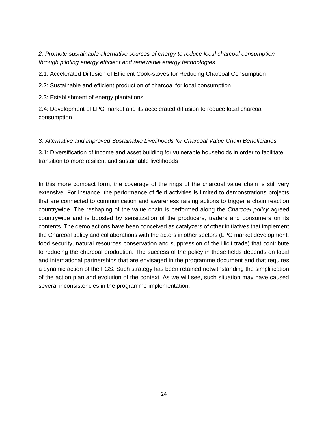*2. Promote sustainable alternative sources of energy to reduce local charcoal consumption through piloting energy efficient and renewable energy technologies*

2.1: Accelerated Diffusion of Efficient Cook-stoves for Reducing Charcoal Consumption

2.2: Sustainable and efficient production of charcoal for local consumption

2.3: Establishment of energy plantations

2.4: Development of LPG market and its accelerated diffusion to reduce local charcoal consumption

#### *3. Alternative and improved Sustainable Livelihoods for Charcoal Value Chain Beneficiaries*

3.1: Diversification of income and asset building for vulnerable households in order to facilitate transition to more resilient and sustainable livelihoods

In this more compact form, the coverage of the rings of the charcoal value chain is still very extensive. For instance, the performance of field activities is limited to demonstrations projects that are connected to communication and awareness raising actions to trigger a chain reaction countrywide. The reshaping of the value chain is performed along the *Charcoal policy* agreed countrywide and is boosted by sensitization of the producers, traders and consumers on its contents. The demo actions have been conceived as catalyzers of other initiatives that implement the Charcoal policy and collaborations with the actors in other sectors (LPG market development, food security, natural resources conservation and suppression of the illicit trade) that contribute to reducing the charcoal production. The success of the policy in these fields depends on local and international partnerships that are envisaged in the programme document and that requires a dynamic action of the FGS. Such strategy has been retained notwithstanding the simplification of the action plan and evolution of the context. As we will see, such situation may have caused several inconsistencies in the programme implementation.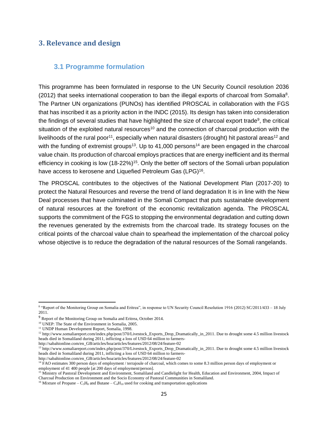# <span id="page-24-0"></span>**3. Relevance and design**

#### <span id="page-24-1"></span>**3.1 Programme formulation**

This programme has been formulated in response to the UN Security Council resolution 2036 (2012) that seeks international cooperation to ban the illegal exports of charcoal from Somalia<sup>8</sup>. The Partner UN organizations (PUNOs) has identified PROSCAL in collaboration with the FGS that has inscribed it as a priority action in the INDC (2015). Its design has taken into consideration the findings of several studies that have highlighted the size of charcoal export trade<sup>9</sup>, the critical situation of the exploited natural resources<sup>10</sup> and the connection of charcoal production with the livelihoods of the rural poor<sup>11</sup>, especially when natural disasters (drought) hit pastoral areas<sup>12</sup> and with the funding of extremist groups<sup>13</sup>. Up to 41,000 persons<sup>14</sup> are been engaged in the charcoal value chain. Its production of charcoal employs practices that are energy inefficient and its thermal efficiency in cooking is low (18-22%)<sup>15</sup>. Only the better off sectors of the Somali urban population have access to kerosene and Liquefied Petroleum Gas (LPG)<sup>16</sup>.

The PROSCAL contributes to the objectives of the National Development Plan (2017-20) to protect the Natural Resources and reverse the trend of land degradation It is in line with the New Deal processes that have culminated in the Somali Compact that puts sustainable development of natural resources at the forefront of the economic revitalization agenda. The PROSCAL supports the commitment of the FGS to stopping the environmental degradation and cutting down the revenues generated by the extremists from the charcoal trade. Its strategy focuses on the critical points of the charcoal value chain to spearhead the implementation of the charcoal policy whose objective is to reduce the degradation of the natural resources of the Somali rangelands.

<sup>8</sup> "Report of the Monitoring Group on Somalia and Eritrea", in response to UN Security Council Resolution 1916 (2012) SC/2011/433 – 18 July 2011.

<sup>9</sup> Report of the Monitoring Group on Somalia and Eritrea, October 2014.

<sup>10</sup> UNEP: The State of the Environment in Somalia, 2005.

<sup>&</sup>lt;sup>11</sup> UNDP Human Development Report, Somalia, 1998.

<sup>&</sup>lt;sup>12</sup> [http://www.somaliareport.com/index.php/post/370/Livestock\\_Exports\\_Drop\\_Dramatically\\_in\\_2011.](http://www.somaliareport.com/index.php/post/370/Livestock_Exports_Drop_Dramatically_in_2011) Due to drought some 4.5 million livestock heads died in Somaliland during 2011, inflicting a loss of USD 64 million to farmers-

[http://sabahionline.com/en\\_GB/articles/hoa/articles/features/2012/08/24/feature-02](http://sabahionline.com/en_GB/articles/hoa/articles/features/2012/08/24/feature-02)

<sup>13</sup> [http://www.somaliareport.com/index.php/post/370/Livestock\\_Exports\\_Drop\\_Dramatically\\_in\\_2011.](http://www.somaliareport.com/index.php/post/370/Livestock_Exports_Drop_Dramatically_in_2011) Due to drought some 4.5 million livestock heads died in Somaliland during 2011, inflicting a loss of USD 64 million to farmers-

[http://sabahionline.com/en\\_GB/articles/hoa/articles/features/2012/08/24/feature-02](http://sabahionline.com/en_GB/articles/hoa/articles/features/2012/08/24/feature-02)

<sup>&</sup>lt;sup>14</sup> FAO estimates 300 person days of employment / terrajoule of charcoal, which comes to some 8.3 million person days of employment or employment of 41 400 people [at 200 days of employment/person].

<sup>&</sup>lt;sup>15</sup> Ministry of Pastoral Development and Environment, Somaliland and Candlelight for Health, Education and Environment, 2004, Impact of Charcoal Production on Environment and the Socio Economy of Pastoral Communities in Somaliland.

<sup>&</sup>lt;sup>16</sup> Mixture of Propane –  $C_3H_8$  and Butane –  $C_4H_{10}$  used for cooking and transportation applications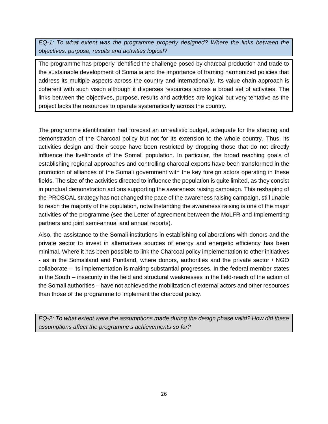*EQ-1: To what extent was the programme properly designed? Where the links between the objectives, purpose, results and activities logical?*

The programme has properly identified the challenge posed by charcoal production and trade to the sustainable development of Somalia and the importance of framing harmonized policies that address its multiple aspects across the country and internationally. Its value chain approach is coherent with such vision although it disperses resources across a broad set of activities. The links between the objectives, purpose, results and activities are logical but very tentative as the project lacks the resources to operate systematically across the country.

The programme identification had forecast an unrealistic budget, adequate for the shaping and demonstration of the Charcoal policy but not for its extension to the whole country. Thus, its activities design and their scope have been restricted by dropping those that do not directly influence the livelihoods of the Somali population. In particular, the broad reaching goals of establishing regional approaches and controlling charcoal exports have been transformed in the promotion of alliances of the Somali government with the key foreign actors operating in these fields. The size of the activities directed to influence the population is quite limited, as they consist in punctual demonstration actions supporting the awareness raising campaign. This reshaping of the PROSCAL strategy has not changed the pace of the awareness raising campaign, still unable to reach the majority of the population, notwithstanding the awareness raising is one of the major activities of the programme (see the Letter of agreement between the MoLFR and Implementing partners and joint semi-annual and annual reports).

Also, the assistance to the Somali institutions in establishing collaborations with donors and the private sector to invest in alternatives sources of energy and energetic efficiency has been minimal. Where it has been possible to link the Charcoal policy implementation to other initiatives - as in the Somaliland and Puntland, where donors, authorities and the private sector / NGO collaborate – its implementation is making substantial progresses. In the federal member states in the South – insecurity in the field and structural weaknesses in the field-reach of the action of the Somali authorities – have not achieved the mobilization of external actors and other resources than those of the programme to implement the charcoal policy.

*EQ-2: To what extent were the assumptions made during the design phase valid? How did these assumptions affect the programme's achievements so far?*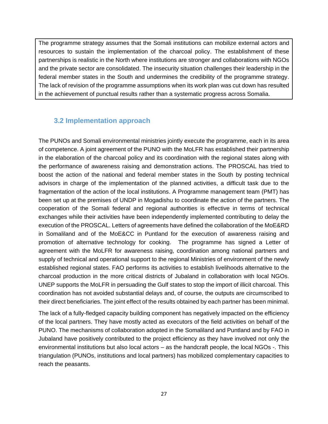The programme strategy assumes that the Somali institutions can mobilize external actors and resources to sustain the implementation of the charcoal policy. The establishment of these partnerships is realistic in the North where institutions are stronger and collaborations with NGOs and the private sector are consolidated. The insecurity situation challenges their leadership in the federal member states in the South and undermines the credibility of the programme strategy. The lack of revision of the programme assumptions when its work plan was cut down has resulted in the achievement of punctual results rather than a systematic progress across Somalia.

# <span id="page-26-0"></span>**3.2 Implementation approach**

The PUNOs and Somali environmental ministries jointly execute the programme, each in its area of competence. A joint agreement of the PUNO with the MoLFR has established their partnership in the elaboration of the charcoal policy and its coordination with the regional states along with the performance of awareness raising and demonstration actions. The PROSCAL has tried to boost the action of the national and federal member states in the South by posting technical advisors in charge of the implementation of the planned activities, a difficult task due to the fragmentation of the action of the local institutions. A Programme management team (PMT) has been set up at the premises of UNDP in Mogadishu to coordinate the action of the partners. The cooperation of the Somali federal and regional authorities is effective in terms of technical exchanges while their activities have been independently implemented contributing to delay the execution of the PROSCAL. Letters of agreements have defined the collaboration of the MoE&RD in Somaliland and of the MoE&CC in Puntland for the execution of awareness raising and promotion of alternative technology for cooking. The programme has signed a Letter of agreement with the MoLFR for awareness raising, coordination among national partners and supply of technical and operational support to the regional Ministries of environment of the newly established regional states. FAO performs its activities to establish livelihoods alternative to the charcoal production in the more critical districts of Jubaland in collaboration with local NGOs. UNEP supports the MoLFR in persuading the Gulf states to stop the import of illicit charcoal. This coordination has not avoided substantial delays and, of course, the outputs are circumscribed to their direct beneficiaries. The joint effect of the results obtained by each partner has been minimal.

The lack of a fully-fledged capacity building component has negatively impacted on the efficiency of the local partners. They have mostly acted as executors of the field activities on behalf of the PUNO. The mechanisms of collaboration adopted in the Somaliland and Puntland and by FAO in Jubaland have positively contributed to the project efficiency as they have involved not only the environmental institutions but also local actors – as the handcraft people, the local NGOs -. This triangulation (PUNOs, institutions and local partners) has mobilized complementary capacities to reach the peasants.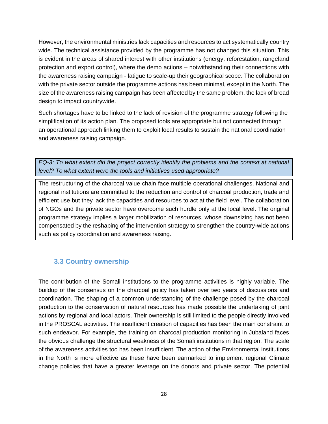However, the environmental ministries lack capacities and resources to act systematically country wide. The technical assistance provided by the programme has not changed this situation. This is evident in the areas of shared interest with other institutions (energy, reforestation, rangeland protection and export control), where the demo actions – notwithstanding their connections with the awareness raising campaign - fatigue to scale-up their geographical scope. The collaboration with the private sector outside the programme actions has been minimal, except in the North. The size of the awareness raising campaign has been affected by the same problem, the lack of broad design to impact countrywide.

Such shortages have to be linked to the lack of revision of the programme strategy following the simplification of its action plan. The proposed tools are appropriate but not connected through an operational approach linking them to exploit local results to sustain the national coordination and awareness raising campaign.

*EQ-3: To what extent did the project correctly identify the problems and the context at national level? To what extent were the tools and initiatives used appropriate?*

The restructuring of the charcoal value chain face multiple operational challenges. National and regional institutions are committed to the reduction and control of charcoal production, trade and efficient use but they lack the capacities and resources to act at the field level. The collaboration of NGOs and the private sector have overcome such hurdle only at the local level. The original programme strategy implies a larger mobilization of resources, whose downsizing has not been compensated by the reshaping of the intervention strategy to strengthen the country-wide actions such as policy coordination and awareness raising.

# <span id="page-27-0"></span>**3.3 Country ownership**

The contribution of the Somali institutions to the programme activities is highly variable. The buildup of the consensus on the charcoal policy has taken over two years of discussions and coordination. The shaping of a common understanding of the challenge posed by the charcoal production to the conservation of natural resources has made possible the undertaking of joint actions by regional and local actors. Their ownership is still limited to the people directly involved in the PROSCAL activities. The insufficient creation of capacities has been the main constraint to such endeavor. For example, the training on charcoal production monitoring in Jubaland faces the obvious challenge the structural weakness of the Somali institutions in that region. The scale of the awareness activities too has been insufficient. The action of the Environmental institutions in the North is more effective as these have been earmarked to implement regional Climate change policies that have a greater leverage on the donors and private sector. The potential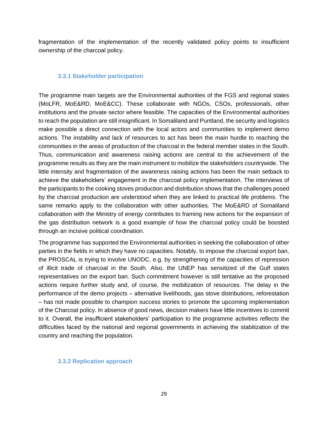fragmentation of the implementation of the recently validated policy points to insufficient ownership of the charcoal policy.

#### <span id="page-28-0"></span>**3.3.1 Stakeholder participation**

The programme main targets are the Environmental authorities of the FGS and regional states (MoLFR, MoE&RD, MoE&CC). These collaborate with NGOs, CSOs, professionals, other institutions and the private sector where feasible. The capacities of the Environmental authorities to reach the population are still insignificant. In Somaliland and Puntland, the security and logistics make possible a direct connection with the local actors and communities to implement demo actions. The instability and lack of resources to act has been the main hurdle to reaching the communities in the areas of production of the charcoal in the federal member states in the South. Thus, communication and awareness raising actions are central to the achievement of the programme results as they are the main instrument to mobilize the stakeholders countrywide. The little intensity and fragmentation of the awareness raising actions has been the main setback to achieve the stakeholders' engagement in the charcoal policy implementation. The interviews of the participants to the cooking stoves production and distribution shows that the challenges posed by the charcoal production are understood when they are linked to practical life problems. The same remarks apply to the collaboration with other authorities. The MoE&RD of Somaliland collaboration with the Ministry of energy contributes to framing new actions for the expansion of the gas distribution network is a good example of how the charcoal policy could be boosted through an incisive political coordination.

The programme has supported the Environmental authorities in seeking the collaboration of other parties in the fields in which they have no capacities. Notably, to impose the charcoal export ban, the PROSCAL is trying to involve UNODC, e.g. by strengthening of the capacities of repression of illicit trade of charcoal in the South. Also, the UNEP has sensitized of the Gulf states representatives on the export ban. Such commitment however is still tentative as the proposed actions require further study and, of course, the mobilization of resources. The delay in the performance of the demo projects – alternative livelihoods, gas stove distributions, reforestation – has not made possible to champion success stories to promote the upcoming implementation of the Charcoal policy. In absence of good news, decision makers have little incentives to commit to it. Overall, the insufficient stakeholders' participation to the programme activities reflects the difficulties faced by the national and regional governments in achieving the stabilization of the country and reaching the population.

#### <span id="page-28-1"></span>**3.3.2 Replication approach**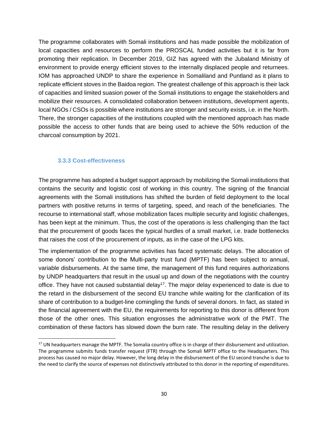The programme collaborates with Somali institutions and has made possible the mobilization of local capacities and resources to perform the PROSCAL funded activities but it is far from promoting their replication. In December 2019, GIZ has agreed with the Jubaland Ministry of environment to provide energy efficient stoves to the internally displaced people and returnees. IOM has approached UNDP to share the experience in Somaliland and Puntland as it plans to replicate efficient stoves in the Baidoa region. The greatest challenge of this approach is their lack of capacities and limited suasion power of the Somali institutions to engage the stakeholders and mobilize their resources. A consolidated collaboration between institutions, development agents, local NGOs / CSOs is possible where institutions are stronger and security exists, i.e. in the North. There, the stronger capacities of the institutions coupled with the mentioned approach has made possible the access to other funds that are being used to achieve the 50% reduction of the charcoal consumption by 2021.

#### <span id="page-29-0"></span>**3.3.3 Cost-effectiveness**

The programme has adopted a budget support approach by mobilizing the Somali institutions that contains the security and logistic cost of working in this country. The signing of the financial agreements with the Somali institutions has shifted the burden of field deployment to the local partners with positive returns in terms of targeting, speed, and reach of the beneficiaries. The recourse to international staff, whose mobilization faces multiple security and logistic challenges, has been kept at the minimum. Thus, the cost of the operations is less challenging than the fact that the procurement of goods faces the typical hurdles of a small market, i.e. trade bottlenecks that raises the cost of the procurement of inputs, as in the case of the LPG kits.

The implementation of the programme activities has faced systematic delays. The allocation of some donors' contribution to the Multi-party trust fund (MPTF) has been subject to annual, variable disbursements. At the same time, the management of this fund requires authorizations by UNDP headquarters that result in the usual up and down of the negotiations with the country office. They have not caused substantial delay<sup>17</sup>. The major delay experienced to date is due to the retard in the disbursement of the second EU tranche while waiting for the clarification of its share of contribution to a budget-line comingling the funds of several donors. In fact, as stated in the financial agreement with the EU, the requirements for reporting to this donor is different from those of the other ones. This situation engrosses the administrative work of the PMT. The combination of these factors has slowed down the burn rate. The resulting delay in the delivery

<sup>&</sup>lt;sup>17</sup> UN headquarters manage the MPTF. The Somalia country office is in charge of their disbursement and utilization. The programme submits funds transfer request (FTR) through the Somali MPTF office to the Headquarters. This process has caused no major delay. However, the long delay in the disbursement of the EU second tranche is due to the need to clarify the source of expenses not distinctively attributed to this donor in the reporting of expenditures.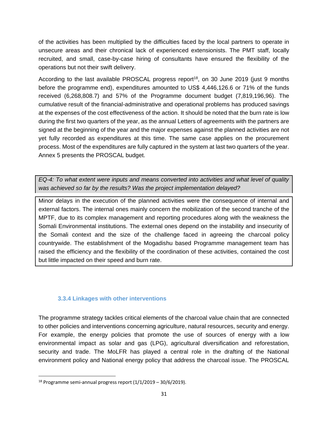of the activities has been multiplied by the difficulties faced by the local partners to operate in unsecure areas and their chronical lack of experienced extensionists. The PMT staff, locally recruited, and small, case-by-case hiring of consultants have ensured the flexibility of the operations but not their swift delivery.

According to the last available PROSCAL progress report<sup>18</sup>, on 30 June 2019 (just 9 months before the programme end), expenditures amounted to US\$ 4,446,126.6 or 71% of the funds received (6,268,808.7) and 57% of the Programme document budget (7,819,196,96). The cumulative result of the financial-administrative and operational problems has produced savings at the expenses of the cost effectiveness of the action. It should be noted that the burn rate is low during the first two quarters of the year, as the annual Letters of agreements with the partners are signed at the beginning of the year and the major expenses against the planned activities are not yet fully recorded as expenditures at this time. The same case applies on the procurement process. Most of the expenditures are fully captured in the system at last two quarters of the year. Annex 5 presents the PROSCAL budget.

*EQ-4: To what extent were inputs and means converted into activities and what level of quality was achieved so far by the results? Was the project implementation delayed?*

Minor delays in the execution of the planned activities were the consequence of internal and external factors. The internal ones mainly concern the mobilization of the second tranche of the MPTF, due to its complex management and reporting procedures along with the weakness the Somali Environmental institutions. The external ones depend on the instability and insecurity of the Somali context and the size of the challenge faced in agreeing the charcoal policy countrywide. The establishment of the Mogadishu based Programme management team has raised the efficiency and the flexibility of the coordination of these activities, contained the cost but little impacted on their speed and burn rate.

#### <span id="page-30-0"></span>**3.3.4 Linkages with other interventions**

The programme strategy tackles critical elements of the charcoal value chain that are connected to other policies and interventions concerning agriculture, natural resources, security and energy. For example, the energy policies that promote the use of sources of energy with a low environmental impact as solar and gas (LPG), agricultural diversification and reforestation, security and trade. The MoLFR has played a central role in the drafting of the National environment policy and National energy policy that address the charcoal issue. The PROSCAL

 $18$  Programme semi-annual progress report  $(1/1/2019 - 30/6/2019)$ .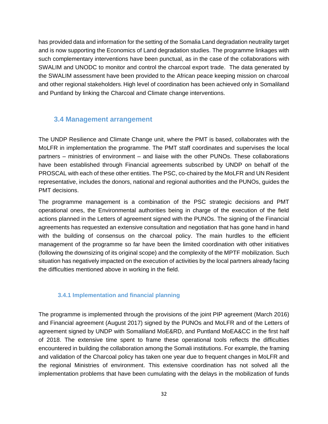has provided data and information for the setting of the Somalia Land degradation neutrality target and is now supporting the Economics of Land degradation studies. The programme linkages with such complementary interventions have been punctual, as in the case of the collaborations with SWALIM and UNODC to monitor and control the charcoal export trade. The data generated by the SWALIM assessment have been provided to the African peace keeping mission on charcoal and other regional stakeholders. High level of coordination has been achieved only in Somaliland and Puntland by linking the Charcoal and Climate change interventions.

#### <span id="page-31-0"></span>**3.4 Management arrangement**

The UNDP Resilience and Climate Change unit, where the PMT is based, collaborates with the MoLFR in implementation the programme. The PMT staff coordinates and supervises the local partners – ministries of environment – and liaise with the other PUNOs. These collaborations have been established through Financial agreements subscribed by UNDP on behalf of the PROSCAL with each of these other entities. The PSC, co-chaired by the MoLFR and UN Resident representative, includes the donors, national and regional authorities and the PUNOs, guides the PMT decisions.

The programme management is a combination of the PSC strategic decisions and PMT operational ones, the Environmental authorities being in charge of the execution of the field actions planned in the Letters of agreement signed with the PUNOs. The signing of the Financial agreements has requested an extensive consultation and negotiation that has gone hand in hand with the building of consensus on the charcoal policy. The main hurdles to the efficient management of the programme so far have been the limited coordination with other initiatives (following the downsizing of its original scope) and the complexity of the MPTF mobilization. Such situation has negatively impacted on the execution of activities by the local partners already facing the difficulties mentioned above in working in the field.

#### <span id="page-31-1"></span>**3.4.1 Implementation and financial planning**

The programme is implemented through the provisions of the joint PIP agreement (March 2016) and Financial agreement (August 2017) signed by the PUNOs and MoLFR and of the Letters of agreement signed by UNDP with Somaliland MoE&RD, and Puntland MoEA&CC in the first half of 2018. The extensive time spent to frame these operational tools reflects the difficulties encountered in building the collaboration among the Somali institutions. For example, the framing and validation of the Charcoal policy has taken one year due to frequent changes in MoLFR and the regional Ministries of environment. This extensive coordination has not solved all the implementation problems that have been cumulating with the delays in the mobilization of funds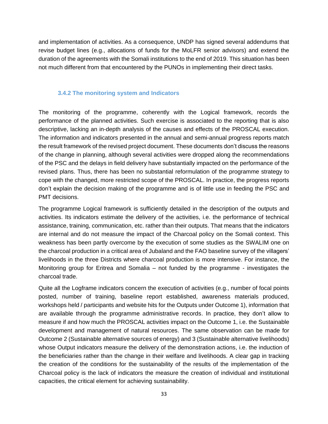and implementation of activities. As a consequence, UNDP has signed several addendums that revise budget lines (e.g., allocations of funds for the MoLFR senior advisors) and extend the duration of the agreements with the Somali institutions to the end of 2019. This situation has been not much different from that encountered by the PUNOs in implementing their direct tasks.

#### <span id="page-32-0"></span>**3.4.2 The monitoring system and Indicators**

The monitoring of the programme, coherently with the Logical framework, records the performance of the planned activities. Such exercise is associated to the reporting that is also descriptive, lacking an in-depth analysis of the causes and effects of the PROSCAL execution. The information and indicators presented in the annual and semi-annual progress reports match the result framework of the revised project document. These documents don't discuss the reasons of the change in planning, although several activities were dropped along the recommendations of the PSC and the delays in field delivery have substantially impacted on the performance of the revised plans. Thus, there has been no substantial reformulation of the programme strategy to cope with the changed, more restricted scope of the PROSCAL. In practice, the progress reports don't explain the decision making of the programme and is of little use in feeding the PSC and PMT decisions.

The programme Logical framework is sufficiently detailed in the description of the outputs and activities. Its indicators estimate the delivery of the activities, i.e. the performance of technical assistance, training, communication, etc. rather than their outputs. That means that the indicators are internal and do not measure the impact of the Charcoal policy on the Somali context. This weakness has been partly overcome by the execution of some studies as the SWALIM one on the charcoal production in a critical area of Jubaland and the FAO baseline survey of the villagers' livelihoods in the three Districts where charcoal production is more intensive. For instance, the Monitoring group for Eritrea and Somalia – not funded by the programme - investigates the charcoal trade.

Quite all the Logframe indicators concern the execution of activities (e.g., number of focal points posted, number of training, baseline report established, awareness materials produced, workshops held / participants and website hits for the Outputs under Outcome 1), information that are available through the programme administrative records. In practice, they don't allow to measure if and how much the PROSCAL activities impact on the Outcome 1, i.e. the Sustainable development and management of natural resources. The same observation can be made for Outcome 2 (Sustainable alternative sources of energy) and 3 (Sustainable alternative livelihoods) whose Output indicators measure the delivery of the demonstration actions, i.e. the induction of the beneficiaries rather than the change in their welfare and livelihoods. A clear gap in tracking the creation of the conditions for the sustainability of the results of the implementation of the Charcoal policy is the lack of indicators the measure the creation of individual and institutional capacities, the critical element for achieving sustainability.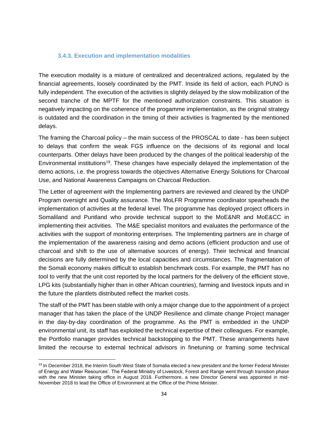#### <span id="page-33-0"></span>**3.4.3. Execution and implementation modalities**

The execution modality is a mixture of centralized and decentralized actions, regulated by the financial agreements, loosely coordinated by the PMT. Inside its field of action, each PUNO is fully independent. The execution of the activities is slightly delayed by the slow mobilization of the second tranche of the MPTF for the mentioned authorization constraints. This situation is negatively impacting on the coherence of the progamme implementation, as the original strategy is outdated and the coordination in the timing of their activities is fragmented by the mentioned delays.

The framing the Charcoal policy – the main success of the PROSCAL to date - has been subject to delays that confirm the weak FGS influence on the decisions of its regional and local counterparts. Other delays have been produced by the changes of the political leadership of the Environmental institutions<sup>19</sup>. These changes have especially delayed the implementation of the demo actions, i.e. the progress towards the objectives Alternative Energy Solutions for Charcoal Use, and National Awareness Campaigns on Charcoal Reduction.

The Letter of agreement with the Implementing partners are reviewed and cleared by the UNDP Program oversight and Quality assurance. The MoLFR Programme coordinator spearheads the implementation of activities at the federal level. The programme has deployed project officers in Somaliland and Puntland who provide technical support to the MoE&NR and MoE&CC in implementing their activities. The M&E specialist monitors and evaluates the performance of the activities with the support of monitoring enterprises. The Implementing partners are in charge of the implementation of the awareness raising and demo actions (efficient production and use of charcoal and shift to the use of alternative sources of energy). Their technical and financial decisions are fully determined by the local capacities and circumstances. The fragmentation of the Somali economy makes difficult to establish benchmark costs. For example, the PMT has no tool to verify that the unit cost reported by the local partners for the delivery of the efficient stove, LPG kits (substantially higher than in other African countries), farming and livestock inputs and in the future the plantlets distributed reflect the market costs.

The staff of the PMT has been stable with only a major change due to the appointment of a project manager that has taken the place of the UNDP Resilience and climate change Project manager in the day-by-day coordination of the programme. As the PMT is embedded in the UNDP environmental unit, its staff has exploited the technical expertise of their colleagues. For example, the Portfolio manager provides technical backstopping to the PMT. These arrangements have limited the recourse to external technical advisors in finetuning or framing some technical

<sup>&</sup>lt;sup>19</sup> In December 2018, the Interim South West State of Somalia elected a new president and the former Federal Minister of Energy and Water Resources'. The Federal Ministry of Livestock, Forest and Range went through transition phase with the new Minister taking office in August 2018. Furthermore, a new Director General was appointed in mid-November 2018 to lead the Office of Environment at the Office of the Prime Minister.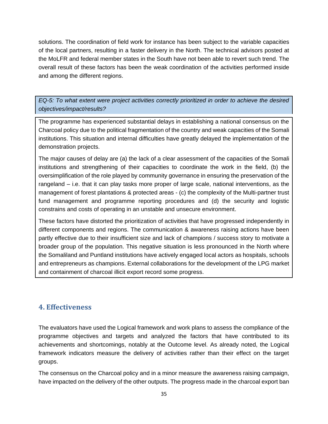solutions. The coordination of field work for instance has been subject to the variable capacities of the local partners, resulting in a faster delivery in the North. The technical advisors posted at the MoLFR and federal member states in the South have not been able to revert such trend. The overall result of these factors has been the weak coordination of the activities performed inside and among the different regions.

*EQ-5: To what extent were project activities correctly prioritized in order to achieve the desired objectives/impact/results?*

The programme has experienced substantial delays in establishing a national consensus on the Charcoal policy due to the political fragmentation of the country and weak capacities of the Somali institutions. This situation and internal difficulties have greatly delayed the implementation of the demonstration projects.

The major causes of delay are (a) the lack of a clear assessment of the capacities of the Somali institutions and strengthening of their capacities to coordinate the work in the field, (b) the oversimplification of the role played by community governance in ensuring the preservation of the rangeland – i.e. that it can play tasks more proper of large scale, national interventions, as the management of forest plantations & protected areas - (c) the complexity of the Multi-partner trust fund management and programme reporting procedures and (d) the security and logistic constrains and costs of operating in an unstable and unsecure environment.

These factors have distorted the prioritization of activities that have progressed independently in different components and regions. The communication & awareness raising actions have been partly effective due to their insufficient size and lack of champions / success story to motivate a broader group of the population. This negative situation is less pronounced in the North where the Somaliland and Puntland institutions have actively engaged local actors as hospitals, schools and entrepreneurs as champions. External collaborations for the development of the LPG market and containment of charcoal illicit export record some progress.

# <span id="page-34-0"></span>**4. Effectiveness**

The evaluators have used the Logical framework and work plans to assess the compliance of the programme objectives and targets and analyzed the factors that have contributed to its achievements and shortcomings, notably at the Outcome level. As already noted, the Logical framework indicators measure the delivery of activities rather than their effect on the target groups.

The consensus on the Charcoal policy and in a minor measure the awareness raising campaign, have impacted on the delivery of the other outputs. The progress made in the charcoal export ban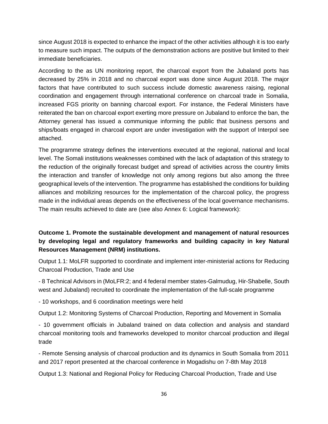since August 2018 is expected to enhance the impact of the other activities although it is too early to measure such impact. The outputs of the demonstration actions are positive but limited to their immediate beneficiaries.

According to the as UN monitoring report, the charcoal export from the Jubaland ports has decreased by 25% in 2018 and no charcoal export was done since August 2018. The major factors that have contributed to such success include domestic awareness raising, regional coordination and engagement through international conference on charcoal trade in Somalia, increased FGS priority on banning charcoal export. For instance, the Federal Ministers have reiterated the ban on charcoal export exerting more pressure on Jubaland to enforce the ban, the Attorney general has issued a communique informing the public that business persons and ships/boats engaged in charcoal export are under investigation with the support of Interpol see attached.

The programme strategy defines the interventions executed at the regional, national and local level. The Somali institutions weaknesses combined with the lack of adaptation of this strategy to the reduction of the originally forecast budget and spread of activities across the country limits the interaction and transfer of knowledge not only among regions but also among the three geographical levels of the intervention. The programme has established the conditions for building alliances and mobilizing resources for the implementation of the charcoal policy, the progress made in the individual areas depends on the effectiveness of the local governance mechanisms. The main results achieved to date are (see also Annex 6: Logical framework):

#### **Outcome 1. Promote the sustainable development and management of natural resources by developing legal and regulatory frameworks and building capacity in key Natural Resources Management (NRM) institutions.**

Output 1.1: MoLFR supported to coordinate and implement inter-ministerial actions for Reducing Charcoal Production, Trade and Use

- 8 Technical Advisors in (MoLFR:2; and 4 federal member states-Galmudug, Hir-Shabelle, South west and Jubaland) recruited to coordinate the implementation of the full-scale programme

- 10 workshops, and 6 coordination meetings were held

Output 1.2: Monitoring Systems of Charcoal Production, Reporting and Movement in Somalia

- 10 government officials in Jubaland trained on data collection and analysis and standard charcoal monitoring tools and frameworks developed to monitor charcoal production and illegal trade

- Remote Sensing analysis of charcoal production and its dynamics in South Somalia from 2011 and 2017 report presented at the charcoal conference in Mogadishu on 7-8th May 2018

Output 1.3: National and Regional Policy for Reducing Charcoal Production, Trade and Use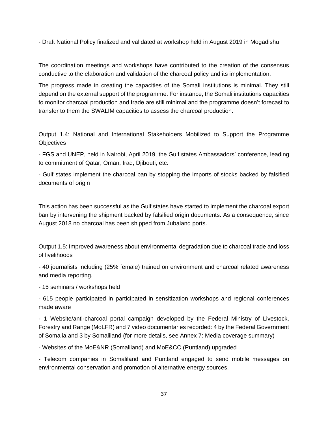- Draft National Policy finalized and validated at workshop held in August 2019 in Mogadishu

The coordination meetings and workshops have contributed to the creation of the consensus conductive to the elaboration and validation of the charcoal policy and its implementation.

The progress made in creating the capacities of the Somali institutions is minimal. They still depend on the external support of the programme. For instance, the Somali institutions capacities to monitor charcoal production and trade are still minimal and the programme doesn't forecast to transfer to them the SWALIM capacities to assess the charcoal production.

Output 1.4: National and International Stakeholders Mobilized to Support the Programme **Objectives** 

- FGS and UNEP, held in Nairobi, April 2019, the Gulf states Ambassadors' conference, leading to commitment of Qatar, Oman, Iraq, Djibouti, etc.

- Gulf states implement the charcoal ban by stopping the imports of stocks backed by falsified documents of origin

This action has been successful as the Gulf states have started to implement the charcoal export ban by intervening the shipment backed by falsified origin documents. As a consequence, since August 2018 no charcoal has been shipped from Jubaland ports.

Output 1.5: Improved awareness about environmental degradation due to charcoal trade and loss of livelihoods

- 40 journalists including (25% female) trained on environment and charcoal related awareness and media reporting.

- 15 seminars / workshops held

- 615 people participated in participated in sensitization workshops and regional conferences made aware

- 1 Website/anti-charcoal portal campaign developed by the Federal Ministry of Livestock, Forestry and Range (MoLFR) and 7 video documentaries recorded: 4 by the Federal Government of Somalia and 3 by Somaliland (for more details, see Annex 7: Media coverage summary)

- Websites of the MoE&NR (Somaliland) and MoE&CC (Puntland) upgraded

- Telecom companies in Somaliland and Puntland engaged to send mobile messages on environmental conservation and promotion of alternative energy sources.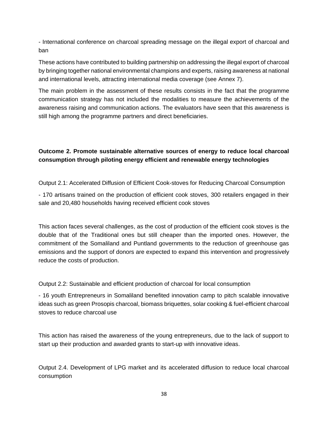- International conference on charcoal spreading message on the illegal export of charcoal and ban

These actions have contributed to building partnership on addressing the illegal export of charcoal by bringing together national environmental champions and experts, raising awareness at national and international levels, attracting international media coverage (see Annex 7).

The main problem in the assessment of these results consists in the fact that the programme communication strategy has not included the modalities to measure the achievements of the awareness raising and communication actions. The evaluators have seen that this awareness is still high among the programme partners and direct beneficiaries.

## **Outcome 2. Promote sustainable alternative sources of energy to reduce local charcoal consumption through piloting energy efficient and renewable energy technologies**

Output 2.1: Accelerated Diffusion of Efficient Cook-stoves for Reducing Charcoal Consumption

- 170 artisans trained on the production of efficient cook stoves, 300 retailers engaged in their sale and 20,480 households having received efficient cook stoves

This action faces several challenges, as the cost of production of the efficient cook stoves is the double that of the Traditional ones but still cheaper than the imported ones. However, the commitment of the Somaliland and Puntland governments to the reduction of greenhouse gas emissions and the support of donors are expected to expand this intervention and progressively reduce the costs of production.

Output 2.2: Sustainable and efficient production of charcoal for local consumption

- 16 youth Entrepreneurs in Somaliland benefited innovation camp to pitch scalable innovative ideas such as green Prosopis charcoal, biomass briquettes, solar cooking & fuel-efficient charcoal stoves to reduce charcoal use

This action has raised the awareness of the young entrepreneurs, due to the lack of support to start up their production and awarded grants to start-up with innovative ideas.

Output 2.4. Development of LPG market and its accelerated diffusion to reduce local charcoal consumption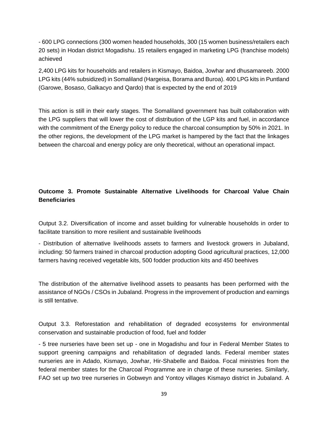- 600 LPG connections (300 women headed households, 300 (15 women business/retailers each 20 sets) in Hodan district Mogadishu. 15 retailers engaged in marketing LPG (franchise models) achieved

2,400 LPG kits for households and retailers in Kismayo, Baidoa, Jowhar and dhusamareeb. 2000 LPG kits (44% subsidized) in Somaliland (Hargeisa, Borama and Buroa). 400 LPG kits in Puntland (Garowe, Bosaso, Galkacyo and Qardo) that is expected by the end of 2019

This action is still in their early stages. The Somaliland government has built collaboration with the LPG suppliers that will lower the cost of distribution of the LGP kits and fuel, in accordance with the commitment of the Energy policy to reduce the charcoal consumption by 50% in 2021. In the other regions, the development of the LPG market is hampered by the fact that the linkages between the charcoal and energy policy are only theoretical, without an operational impact.

## **Outcome 3. Promote Sustainable Alternative Livelihoods for Charcoal Value Chain Beneficiaries**

Output 3.2. Diversification of income and asset building for vulnerable households in order to facilitate transition to more resilient and sustainable livelihoods

- Distribution of alternative livelihoods assets to farmers and livestock growers in Jubaland, including: 50 farmers trained in charcoal production adopting Good agricultural practices, 12,000 farmers having received vegetable kits, 500 fodder production kits and 450 beehives

The distribution of the alternative livelihood assets to peasants has been performed with the assistance of NGOs / CSOs in Jubaland. Progress in the improvement of production and earnings is still tentative.

Output 3.3. Reforestation and rehabilitation of degraded ecosystems for environmental conservation and sustainable production of food, fuel and fodder

- 5 tree nurseries have been set up - one in Mogadishu and four in Federal Member States to support greening campaigns and rehabilitation of degraded lands. Federal member states nurseries are in Adado, Kismayo, Jowhar, Hir-Shabelle and Baidoa. Focal ministries from the federal member states for the Charcoal Programme are in charge of these nurseries. Similarly, FAO set up two tree nurseries in Gobweyn and Yontoy villages Kismayo district in Jubaland. A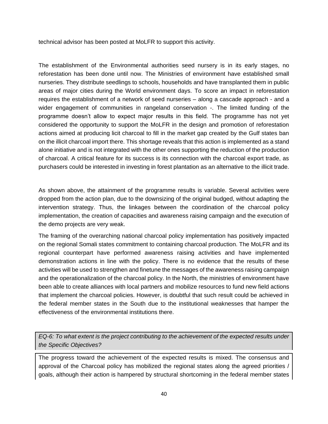technical advisor has been posted at MoLFR to support this activity.

The establishment of the Environmental authorities seed nursery is in its early stages, no reforestation has been done until now. The Ministries of environment have established small nurseries. They distribute seedlings to schools, households and have transplanted them in public areas of major cities during the World environment days. To score an impact in reforestation requires the establishment of a network of seed nurseries – along a cascade approach - and a wider engagement of communities in rangeland conservation -. The limited funding of the programme doesn't allow to expect major results in this field. The programme has not yet considered the opportunity to support the MoLFR in the design and promotion of reforestation actions aimed at producing licit charcoal to fill in the market gap created by the Gulf states ban on the illicit charcoal import there. This shortage reveals that this action is implemented as a stand alone initiative and is not integrated with the other ones supporting the reduction of the production of charcoal. A critical feature for its success is its connection with the charcoal export trade, as purchasers could be interested in investing in forest plantation as an alternative to the illicit trade.

As shown above, the attainment of the programme results is variable. Several activities were dropped from the action plan, due to the downsizing of the original budged, without adapting the intervention strategy. Thus, the linkages between the coordination of the charcoal policy implementation, the creation of capacities and awareness raising campaign and the execution of the demo projects are very weak.

The framing of the overarching national charcoal policy implementation has positively impacted on the regional Somali states commitment to containing charcoal production. The MoLFR and its regional counterpart have performed awareness raising activities and have implemented demonstration actions in line with the policy. There is no evidence that the results of these activities will be used to strengthen and finetune the messages of the awareness raising campaign and the operationalization of the charcoal policy. In the North, the ministries of environment have been able to create alliances with local partners and mobilize resources to fund new field actions that implement the charcoal policies. However, is doubtful that such result could be achieved in the federal member states in the South due to the institutional weaknesses that hamper the effectiveness of the environmental institutions there.

*EQ-6: To what extent is the project contributing to the achievement of the expected results under the Specific Objectives?*

The progress toward the achievement of the expected results is mixed. The consensus and approval of the Charcoal policy has mobilized the regional states along the agreed priorities / goals, although their action is hampered by structural shortcoming in the federal member states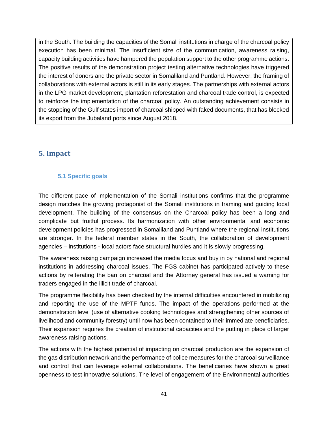in the South. The building the capacities of the Somali institutions in charge of the charcoal policy execution has been minimal. The insufficient size of the communication, awareness raising, capacity building activities have hampered the population support to the other programme actions. The positive results of the demonstration project testing alternative technologies have triggered the interest of donors and the private sector in Somaliland and Puntland. However, the framing of collaborations with external actors is still in its early stages. The partnerships with external actors in the LPG market development, plantation reforestation and charcoal trade control, is expected to reinforce the implementation of the charcoal policy. An outstanding achievement consists in the stopping of the Gulf states import of charcoal shipped with faked documents, that has blocked its export from the Jubaland ports since August 2018.

## **5. Impact**

#### **5.1 Specific goals**

The different pace of implementation of the Somali institutions confirms that the programme design matches the growing protagonist of the Somali institutions in framing and guiding local development. The building of the consensus on the Charcoal policy has been a long and complicate but fruitful process. Its harmonization with other environmental and economic development policies has progressed in Somaliland and Puntland where the regional institutions are stronger. In the federal member states in the South, the collaboration of development agencies – institutions - local actors face structural hurdles and it is slowly progressing.

The awareness raising campaign increased the media focus and buy in by national and regional institutions in addressing charcoal issues. The FGS cabinet has participated actively to these actions by reiterating the ban on charcoal and the Attorney general has issued a warning for traders engaged in the illicit trade of charcoal.

The programme flexibility has been checked by the internal difficulties encountered in mobilizing and reporting the use of the MPTF funds. The impact of the operations performed at the demonstration level (use of alternative cooking technologies and strengthening other sources of livelihood and community forestry) until now has been contained to their immediate beneficiaries. Their expansion requires the creation of institutional capacities and the putting in place of larger awareness raising actions.

The actions with the highest potential of impacting on charcoal production are the expansion of the gas distribution network and the performance of police measures for the charcoal surveillance and control that can leverage external collaborations. The beneficiaries have shown a great openness to test innovative solutions. The level of engagement of the Environmental authorities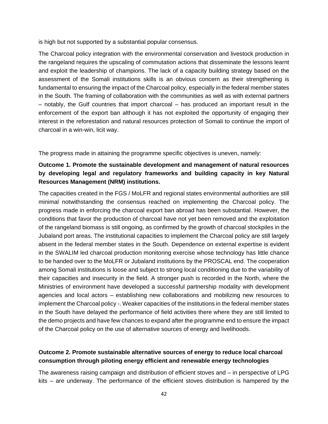is high but not supported by a substantial popular consensus.

The Charcoal policy integration with the environmental conservation and livestock production in the rangeland requires the upscaling of commutation actions that disseminate the lessons learnt and exploit the leadership of champions. The lack of a capacity building strategy based on the assessment of the Somali institutions skills is an obvious concern as their strengthening is fundamental to ensuring the impact of the Charcoal policy, especially in the federal member states in the South. The framing of collaboration with the communities as well as with external partners – notably, the Gulf countries that import charcoal – has produced an important result in the enforcement of the export ban although it has not exploited the opportunity of engaging their interest in the reforestation and natural resources protection of Somali to continue the import of charcoal in a win-win, licit way.

The progress made in attaining the programme specific objectives is uneven, namely:

## **Outcome 1. Promote the sustainable development and management of natural resources by developing legal and regulatory frameworks and building capacity in key Natural Resources Management (NRM) institutions.**

The capacities created in the FGS / MoLFR and regional states environmental authorities are still minimal notwithstanding the consensus reached on implementing the Charcoal policy. The progress made in enforcing the charcoal export ban abroad has been substantial. However, the conditions that favor the production of charcoal have not yet been removed and the exploitation of the rangeland biomass is still ongoing, as confirmed by the growth of charcoal stockpiles in the Jubaland port areas. The institutional capacities to implement the Charcoal policy are still largely absent in the federal member states in the South. Dependence on external expertise is evident in the SWALIM led charcoal production monitoring exercise whose technology has little chance to be handed over to the MoLFR or Jubaland institutions by the PROSCAL end. The cooperation among Somali institutions is loose and subject to strong local conditioning due to the variability of their capacities and insecurity in the field. A stronger push is recorded in the North, where the Ministries of environment have developed a successful partnership modality with development agencies and local actors – establishing new collaborations and mobilizing new resources to implement the Charcoal policy -. Weaker capacities of the institutions in the federal member states in the South have delayed the performance of field activities there where they are still limited to the demo projects and have few chances to expand after the programme end to ensure the impact of the Charcoal policy on the use of alternative sources of energy and livelihoods.

## **Outcome 2. Promote sustainable alternative sources of energy to reduce local charcoal consumption through piloting energy efficient and renewable energy technologies**

The awareness raising campaign and distribution of efficient stoves and – in perspective of LPG kits – are underway. The performance of the efficient stoves distribution is hampered by the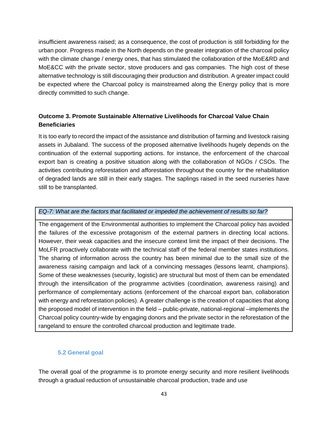insufficient awareness raised; as a consequence, the cost of production is still forbidding for the urban poor. Progress made in the North depends on the greater integration of the charcoal policy with the climate change / energy ones, that has stimulated the collaboration of the MoE&RD and MoE&CC with the private sector, stove producers and gas companies. The high cost of these alternative technology is still discouraging their production and distribution. A greater impact could be expected where the Charcoal policy is mainstreamed along the Energy policy that is more directly committed to such change.

## **Outcome 3. Promote Sustainable Alternative Livelihoods for Charcoal Value Chain Beneficiaries**

It is too early to record the impact of the assistance and distribution of farming and livestock raising assets in Jubaland. The success of the proposed alternative livelihoods hugely depends on the continuation of the external supporting actions. for instance, the enforcement of the charcoal export ban is creating a positive situation along with the collaboration of NGOs / CSOs. The activities contributing reforestation and afforestation throughout the country for the rehabilitation of degraded lands are still in their early stages. The saplings raised in the seed nurseries have still to be transplanted.

#### *EQ-7: What are the factors that facilitated or impeded the achievement of results so far?*

The engagement of the Environmental authorities to implement the Charcoal policy has avoided the failures of the excessive protagonism of the external partners in directing local actions. However, their weak capacities and the insecure context limit the impact of their decisions. The MoLFR proactively collaborate with the technical staff of the federal member states institutions. The sharing of information across the country has been minimal due to the small size of the awareness raising campaign and lack of a convincing messages (lessons learnt, champions). Some of these weaknesses (security, logistic) are structural but most of them can be emendated through the intensification of the programme activities (coordination, awareness raising) and performance of complementary actions (enforcement of the charcoal export ban, collaboration with energy and reforestation policies). A greater challenge is the creation of capacities that along the proposed model of intervention in the field – public-private, national-regional –implements the Charcoal policy country-wide by engaging donors and the private sector in the reforestation of the rangeland to ensure the controlled charcoal production and legitimate trade.

#### **5.2 General goal**

The overall goal of the programme is to promote energy security and more resilient livelihoods through a gradual reduction of unsustainable charcoal production, trade and use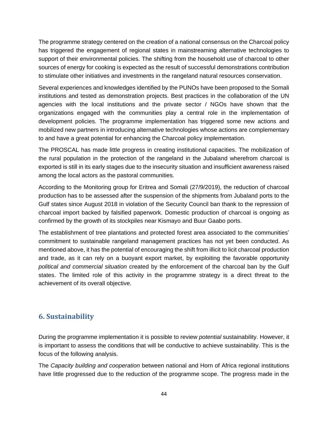The programme strategy centered on the creation of a national consensus on the Charcoal policy has triggered the engagement of regional states in mainstreaming alternative technologies to support of their environmental policies. The shifting from the household use of charcoal to other sources of energy for cooking is expected as the result of successful demonstrations contribution to stimulate other initiatives and investments in the rangeland natural resources conservation.

Several experiences and knowledges identified by the PUNOs have been proposed to the Somali institutions and tested as demonstration projects. Best practices in the collaboration of the UN agencies with the local institutions and the private sector / NGOs have shown that the organizations engaged with the communities play a central role in the implementation of development policies. The programme implementation has triggered some new actions and mobilized new partners in introducing alternative technologies whose actions are complementary to and have a great potential for enhancing the Charcoal policy implementation.

The PROSCAL has made little progress in creating institutional capacities. The mobilization of the rural population in the protection of the rangeland in the Jubaland wherefrom charcoal is exported is still in its early stages due to the insecurity situation and insufficient awareness raised among the local actors as the pastoral communities.

According to the Monitoring group for Eritrea and Somali (27/9/2019), the reduction of charcoal production has to be assessed after the suspension of the shipments from Jubaland ports to the Gulf states since August 2018 in violation of the Security Council ban thank to the repression of charcoal import backed by falsified paperwork. Domestic production of charcoal is ongoing as confirmed by the growth of its stockpiles near Kismayo and Buur Gaabo ports.

The establishment of tree plantations and protected forest area associated to the communities' commitment to sustainable rangeland management practices has not yet been conducted. As mentioned above, it has the potential of encouraging the shift from illicit to licit charcoal production and trade, as it can rely on a buoyant export market, by exploiting the favorable opportunity *political and commercial situation* created by the enforcement of the charcoal ban by the Gulf states. The limited role of this activity in the programme strategy is a direct threat to the achievement of its overall objective.

# **6. Sustainability**

During the programme implementation it is possible to review *potential* sustainability. However, it is important to assess the conditions that will be conductive to achieve sustainability. This is the focus of the following analysis.

The *Capacity building and cooperation* between national and Horn of Africa regional institutions have little progressed due to the reduction of the programme scope. The progress made in the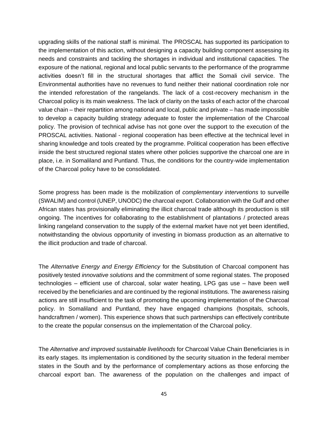upgrading skills of the national staff is minimal. The PROSCAL has supported its participation to the implementation of this action, without designing a capacity building component assessing its needs and constraints and tackling the shortages in individual and institutional capacities. The exposure of the national, regional and local public servants to the performance of the programme activities doesn't fill in the structural shortages that afflict the Somali civil service. The Environmental authorities have no revenues to fund neither their national coordination role nor the intended reforestation of the rangelands. The lack of a cost-recovery mechanism in the Charcoal policy is its main weakness. The lack of clarity on the tasks of each actor of the charcoal value chain – their repartition among national and local, public and private – has made impossible to develop a capacity building strategy adequate to foster the implementation of the Charcoal policy. The provision of technical advise has not gone over the support to the execution of the PROSCAL activities. National - regional cooperation has been effective at the technical level in sharing knowledge and tools created by the programme. Political cooperation has been effective inside the best structured regional states where other policies supportive the charcoal one are in place, i.e. in Somaliland and Puntland. Thus, the conditions for the country-wide implementation of the Charcoal policy have to be consolidated.

Some progress has been made is the mobilization of *complementary interventions* to surveille (SWALIM) and control (UNEP, UNODC) the charcoal export. Collaboration with the Gulf and other African states has provisionally eliminating the illicit charcoal trade although its production is still ongoing. The incentives for collaborating to the establishment of plantations / protected areas linking rangeland conservation to the supply of the external market have not yet been identified, notwithstanding the obvious opportunity of investing in biomass production as an alternative to the illicit production and trade of charcoal.

The *Alternative Energy and Energy Efficiency* for the Substitution of Charcoal component has positively tested *innovative solutions* and the commitment of some regional states. The proposed technologies – efficient use of charcoal, solar water heating, LPG gas use – have been well received by the beneficiaries and are continued by the regional institutions. The awareness raising actions are still insufficient to the task of promoting the upcoming implementation of the Charcoal policy. In Somaliland and Puntland, they have engaged champions (hospitals, schools, handcraftmen / women). This experience shows that such partnerships can effectively contribute to the create the popular consensus on the implementation of the Charcoal policy.

The *Alternative and improved sustainable livelihoods* for Charcoal Value Chain Beneficiaries is in its early stages. Its implementation is conditioned by the security situation in the federal member states in the South and by the performance of complementary actions as those enforcing the charcoal export ban. The awareness of the population on the challenges and impact of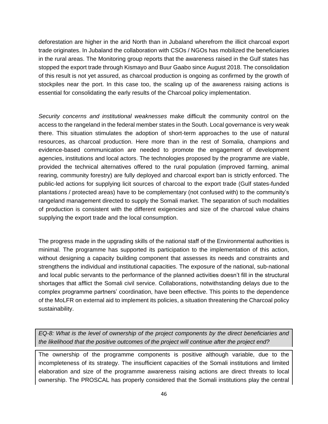deforestation are higher in the arid North than in Jubaland wherefrom the illicit charcoal export trade originates. In Jubaland the collaboration with CSOs / NGOs has mobilized the beneficiaries in the rural areas. The Monitoring group reports that the awareness raised in the Gulf states has stopped the export trade through Kismayo and Buur Gaabo since August 2018. The consolidation of this result is not yet assured, as charcoal production is ongoing as confirmed by the growth of stockpiles near the port. In this case too, the scaling up of the awareness raising actions is essential for consolidating the early results of the Charcoal policy implementation.

*Security concerns and institutional weaknesses* make difficult the community control on the access to the rangeland in the federal member states in the South. Local governance is very weak there. This situation stimulates the adoption of short-term approaches to the use of natural resources, as charcoal production. Here more than in the rest of Somalia, champions and evidence-based communication are needed to promote the engagement of development agencies, institutions and local actors. The technologies proposed by the programme are viable, provided the technical alternatives offered to the rural population (improved farming, animal rearing, community forestry) are fully deployed and charcoal export ban is strictly enforced. The public-led actions for supplying licit sources of charcoal to the export trade (Gulf states-funded plantations / protected areas) have to be complementary (not confused with) to the community's rangeland management directed to supply the Somali market. The separation of such modalities of production is consistent with the different exigencies and size of the charcoal value chains supplying the export trade and the local consumption.

The progress made in the upgrading skills of the national staff of the Environmental authorities is minimal. The programme has supported its participation to the implementation of this action, without designing a capacity building component that assesses its needs and constraints and strengthens the individual and institutional capacities. The exposure of the national, sub-national and local public servants to the performance of the planned activities doesn't fill in the structural shortages that afflict the Somali civil service. Collaborations, notwithstanding delays due to the complex programme partners' coordination, have been effective. This points to the dependence of the MoLFR on external aid to implement its policies, a situation threatening the Charcoal policy sustainability.

*EQ-8: What is the level of ownership of the project components by the direct beneficiaries and the likelihood that the positive outcomes of the project will continue after the project end?*

The ownership of the programme components is positive although variable, due to the incompleteness of its strategy. The insufficient capacities of the Somali institutions and limited elaboration and size of the programme awareness raising actions are direct threats to local ownership. The PROSCAL has properly considered that the Somali institutions play the central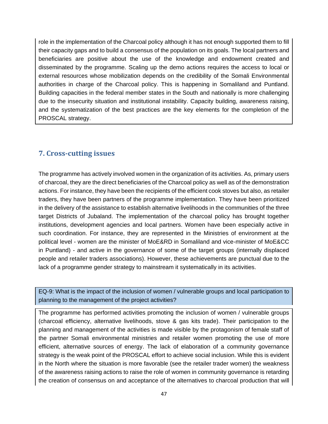role in the implementation of the Charcoal policy although it has not enough supported them to fill their capacity gaps and to build a consensus of the population on its goals. The local partners and beneficiaries are positive about the use of the knowledge and endowment created and disseminated by the programme. Scaling up the demo actions requires the access to local or external resources whose mobilization depends on the credibility of the Somali Environmental authorities in charge of the Charcoal policy. This is happening in Somaliland and Puntland. Building capacities in the federal member states in the South and nationally is more challenging due to the insecurity situation and institutional instability. Capacity building, awareness raising, and the systematization of the best practices are the key elements for the completion of the PROSCAL strategy.

## **7. Cross-cutting issues**

The programme has actively involved women in the organization of its activities. As, primary users of charcoal, they are the direct beneficiaries of the Charcoal policy as well as of the demonstration actions. For instance, they have been the recipients of the efficient cook stoves but also, as retailer traders, they have been partners of the programme implementation. They have been prioritized in the delivery of the assistance to establish alternative livelihoods in the communities of the three target Districts of Jubaland. The implementation of the charcoal policy has brought together institutions, development agencies and local partners. Women have been especially active in such coordination. For instance, they are represented in the Ministries of environment at the political level - women are the minister of MoE&RD in Somaliland and vice-minister of MoE&CC in Puntland) - and active in the governance of some of the target groups (internally displaced people and retailer traders associations). However, these achievements are punctual due to the lack of a programme gender strategy to mainstream it systematically in its activities.

EQ-9: What is the impact of the inclusion of women / vulnerable groups and local participation to planning to the management of the project activities?

The programme has performed activities promoting the inclusion of women / vulnerable groups (charcoal efficiency, alternative livelihoods, stove & gas kits trade). Their participation to the planning and management of the activities is made visible by the protagonism of female staff of the partner Somali environmental ministries and retailer women promoting the use of more efficient, alternative sources of energy. The lack of elaboration of a community governance strategy is the weak point of the PROSCAL effort to achieve social inclusion. While this is evident in the North where the situation is more favorable (see the retailer trader women) the weakness of the awareness raising actions to raise the role of women in community governance is retarding the creation of consensus on and acceptance of the alternatives to charcoal production that will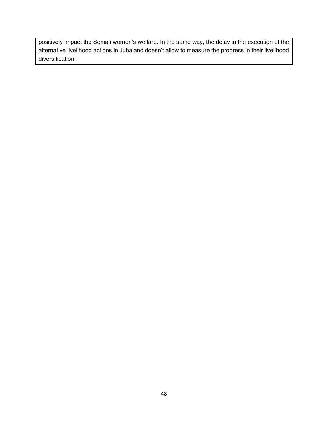positively impact the Somali women's welfare. In the same way, the delay in the execution of the alternative livelihood actions in Jubaland doesn't allow to measure the progress in their livelihood diversification.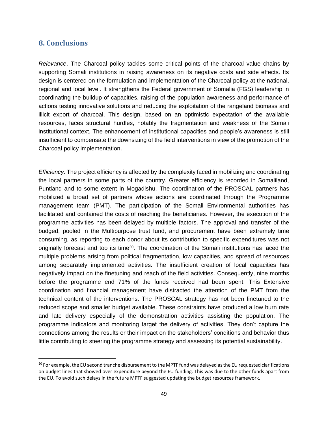## **8. Conclusions**

*Relevance*. The Charcoal policy tackles some critical points of the charcoal value chains by supporting Somali institutions in raising awareness on its negative costs and side effects. Its design is centered on the formulation and implementation of the Charcoal policy at the national, regional and local level. It strengthens the Federal government of Somalia (FGS) leadership in coordinating the buildup of capacities, raising of the population awareness and performance of actions testing innovative solutions and reducing the exploitation of the rangeland biomass and illicit export of charcoal. This design, based on an optimistic expectation of the available resources, faces structural hurdles, notably the fragmentation and weakness of the Somali institutional context. The enhancement of institutional capacities and people's awareness is still insufficient to compensate the downsizing of the field interventions in view of the promotion of the Charcoal policy implementation.

*Efficiency*. The project efficiency is affected by the complexity faced in mobilizing and coordinating the local partners in some parts of the country. Greater efficiency is recorded in Somaliland, Puntland and to some extent in Mogadishu. The coordination of the PROSCAL partners has mobilized a broad set of partners whose actions are coordinated through the Programme management team (PMT). The participation of the Somali Environmental authorities has facilitated and contained the costs of reaching the beneficiaries. However, the execution of the programme activities has been delayed by multiple factors. The approval and transfer of the budged, pooled in the Multipurpose trust fund, and procurement have been extremely time consuming, as reporting to each donor about its contribution to specific expenditures was not originally forecast and too its time<sup>20</sup>. The coordination of the Somali institutions has faced the multiple problems arising from political fragmentation, low capacities, and spread of resources among separately implemented activities. The insufficient creation of local capacities has negatively impact on the finetuning and reach of the field activities. Consequently, nine months before the programme end 71% of the funds received had been spent. This Extensive coordination and financial management have distracted the attention of the PMT from the technical content of the interventions. The PROSCAL strategy has not been finetuned to the reduced scope and smaller budget available. These constraints have produced a low burn rate and late delivery especially of the demonstration activities assisting the population. The programme indicators and monitoring target the delivery of activities. They don't capture the connections among the results or their impact on the stakeholders' conditions and behavior thus little contributing to steering the programme strategy and assessing its potential sustainability.

 $20$  For example, the EU second tranche disbursement to the MPTF fund was delayed as the EU requested clarifications on budget lines that showed over expenditure beyond the EU funding. This was due to the other funds apart from the EU. To avoid such delays in the future MPTF suggested updating the budget resources framework.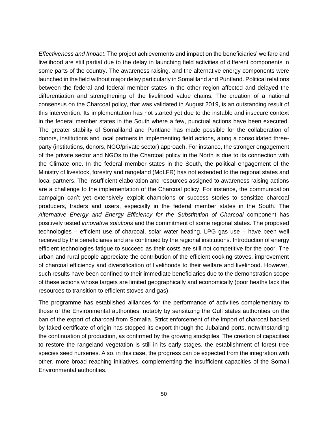*Effectiveness and Impact*. The project achievements and impact on the beneficiaries' welfare and livelihood are still partial due to the delay in launching field activities of different components in some parts of the country. The awareness raising*,* and the alternative energy components were launched in the field without major delay particularly in Somaliland and Puntland. Political relations between the federal and federal member states in the other region affected and delayed the differentiation and strengthening of the livelihood value chains. The creation of a national consensus on the Charcoal policy, that was validated in August 2019, is an outstanding result of this intervention. Its implementation has not started yet due to the instable and insecure context in the federal member states in the South where a few, punctual actions have been executed. The greater stability of Somaliland and Puntland has made possible for the collaboration of donors, institutions and local partners in implementing field actions, along a consolidated threeparty (institutions, donors, NGO/private sector) approach. For instance, the stronger engagement of the private sector and NGOs to the Charcoal policy in the North is due to its connection with the Climate one. In the federal member states in the South, the political engagement of the Ministry of livestock, forestry and rangeland (MoLFR) has not extended to the regional states and local partners. The insufficient elaboration and resources assigned to awareness raising actions are a challenge to the implementation of the Charcoal policy. For instance, the communication campaign can't yet extensively exploit champions or success stories to sensitize charcoal producers, traders and users, especially in the federal member states in the South. The *Alternative Energy and Energy Efficiency for the Substitution of Charcoal* component has positively tested *innovative solutions* and the commitment of some regional states. The proposed technologies – efficient use of charcoal, solar water heating, LPG gas use – have been well received by the beneficiaries and are continued by the regional institutions. Introduction of energy efficient technologies fatigue to succeed as their costs are still not competitive for the poor. The urban and rural people appreciate the contribution of the efficient cooking stoves, improvement of charcoal efficiency and diversification of livelihoods to their welfare and livelihood. However, such results have been confined to their immediate beneficiaries due to the demonstration scope of these actions whose targets are limited geographically and economically (poor heaths lack the resources to transition to efficient stoves and gas).

The programme has established alliances for the performance of activities complementary to those of the Environmental authorities, notably by sensitizing the Gulf states authorities on the ban of the export of charcoal from Somalia. Strict enforcement of the import of charcoal backed by faked certificate of origin has stopped its export through the Jubaland ports, notwithstanding the continuation of production, as confirmed by the growing stockpiles. The creation of capacities to restore the rangeland vegetation is still in its early stages, the establishment of forest tree species seed nurseries. Also, in this case, the progress can be expected from the integration with other, more broad reaching initiatives, complementing the insufficient capacities of the Somali Environmental authorities.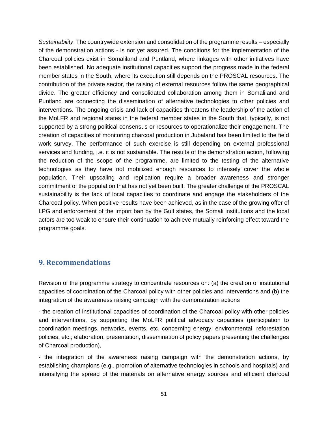*Sustainability*. The countrywide extension and consolidation of the programme results – especially of the demonstration actions - is not yet assured. The conditions for the implementation of the Charcoal policies exist in Somaliland and Puntland, where linkages with other initiatives have been established. No adequate institutional capacities support the progress made in the federal member states in the South, where its execution still depends on the PROSCAL resources. The contribution of the private sector, the raising of external resources follow the same geographical divide. The greater efficiency and consolidated collaboration among them in Somaliland and Puntland are connecting the dissemination of alternative technologies to other policies and interventions. The ongoing crisis and lack of capacities threatens the leadership of the action of the MoLFR and regional states in the federal member states in the South that, typically, is not supported by a strong political consensus or resources to operationalize their engagement. The creation of capacities of monitoring charcoal production in Jubaland has been limited to the field work survey. The performance of such exercise is still depending on external professional services and funding, i.e. it is not sustainable. The results of the demonstration action, following the reduction of the scope of the programme, are limited to the testing of the alternative technologies as they have not mobilized enough resources to intensely cover the whole population. Their upscaling and replication require a broader awareness and stronger commitment of the population that has not yet been built. The greater challenge of the PROSCAL sustainability is the lack of local capacities to coordinate and engage the stakeholders of the Charcoal policy. When positive results have been achieved, as in the case of the growing offer of LPG and enforcement of the import ban by the Gulf states, the Somali institutions and the local actors are too weak to ensure their continuation to achieve mutually reinforcing effect toward the programme goals.

## **9. Recommendations**

Revision of the programme strategy to concentrate resources on: (a) the creation of institutional capacities of coordination of the Charcoal policy with other policies and interventions and (b) the integration of the awareness raising campaign with the demonstration actions

- the creation of institutional capacities of coordination of the Charcoal policy with other policies and interventions, by supporting the MoLFR political advocacy capacities (participation to coordination meetings, networks, events, etc. concerning energy, environmental, reforestation policies, etc.; elaboration, presentation, dissemination of policy papers presenting the challenges of Charcoal production),

- the integration of the awareness raising campaign with the demonstration actions, by establishing champions (e.g., promotion of alternative technologies in schools and hospitals) and intensifying the spread of the materials on alternative energy sources and efficient charcoal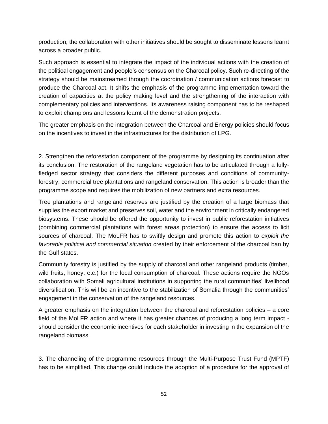production; the collaboration with other initiatives should be sought to disseminate lessons learnt across a broader public.

Such approach is essential to integrate the impact of the individual actions with the creation of the political engagement and people's consensus on the Charcoal policy. Such re-directing of the strategy should be mainstreamed through the coordination / communication actions forecast to produce the Charcoal act. It shifts the emphasis of the programme implementation toward the creation of capacities at the policy making level and the strengthening of the interaction with complementary policies and interventions. Its awareness raising component has to be reshaped to exploit champions and lessons learnt of the demonstration projects.

The greater emphasis on the integration between the Charcoal and Energy policies should focus on the incentives to invest in the infrastructures for the distribution of LPG.

2. Strengthen the reforestation component of the programme by designing its continuation after its conclusion. The restoration of the rangeland vegetation has to be articulated through a fullyfledged sector strategy that considers the different purposes and conditions of communityforestry, commercial tree plantations and rangeland conservation. This action is broader than the programme scope and requires the mobilization of new partners and extra resources.

Tree plantations and rangeland reserves are justified by the creation of a large biomass that supplies the export market and preserves soil, water and the environment in critically endangered biosystems. These should be offered the opportunity to invest in public reforestation initiatives (combining commercial plantations with forest areas protection) to ensure the access to licit sources of charcoal. The MoLFR has to swiftly design and promote this action to *exploit the favorable political and commercial situation* created by their enforcement of the charcoal ban by the Gulf states.

Community forestry is justified by the supply of charcoal and other rangeland products (timber, wild fruits, honey, etc.) for the local consumption of charcoal. These actions require the NGOs collaboration with Somali agricultural institutions in supporting the rural communities' livelihood diversification. This will be an incentive to the stabilization of Somalia through the communities' engagement in the conservation of the rangeland resources.

A greater emphasis on the integration between the charcoal and reforestation policies – a core field of the MoLFR action and where it has greater chances of producing a long term impact should consider the economic incentives for each stakeholder in investing in the expansion of the rangeland biomass.

3. The channeling of the programme resources through the Multi-Purpose Trust Fund (MPTF) has to be simplified. This change could include the adoption of a procedure for the approval of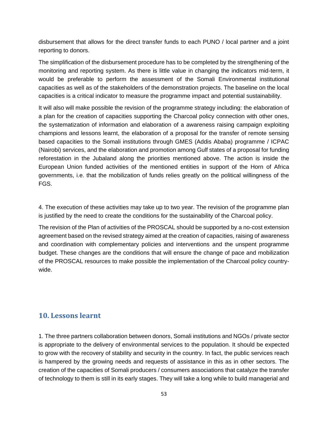disbursement that allows for the direct transfer funds to each PUNO / local partner and a joint reporting to donors.

The simplification of the disbursement procedure has to be completed by the strengthening of the monitoring and reporting system. As there is little value in changing the indicators mid-term, it would be preferable to perform the assessment of the Somali Environmental institutional capacities as well as of the stakeholders of the demonstration projects. The baseline on the local capacities is a critical indicator to measure the programme impact and potential sustainability.

It will also will make possible the revision of the programme strategy including: the elaboration of a plan for the creation of capacities supporting the Charcoal policy connection with other ones, the systematization of information and elaboration of a awareness raising campaign exploiting champions and lessons learnt, the elaboration of a proposal for the transfer of remote sensing based capacities to the Somali institutions through GMES (Addis Ababa) programme / ICPAC (Nairobi) services, and the elaboration and promotion among Gulf states of a proposal for funding reforestation in the Jubaland along the priorities mentioned above. The action is inside the European Union funded activities of the mentioned entities in support of the Horn of Africa governments, i.e. that the mobilization of funds relies greatly on the political willingness of the FGS.

4. The execution of these activities may take up to two year. The revision of the programme plan is justified by the need to create the conditions for the sustainability of the Charcoal policy.

The revision of the Plan of activities of the PROSCAL should be supported by a no-cost extension agreement based on the revised strategy aimed at the creation of capacities, raising of awareness and coordination with complementary policies and interventions and the unspent programme budget. These changes are the conditions that will ensure the change of pace and mobilization of the PROSCAL resources to make possible the implementation of the Charcoal policy countrywide.

## **10. Lessons learnt**

1. The three partners collaboration between donors, Somali institutions and NGOs / private sector is appropriate to the delivery of environmental services to the population. It should be expected to grow with the recovery of stability and security in the country. In fact, the public services reach is hampered by the growing needs and requests of assistance in this as in other sectors. The creation of the capacities of Somali producers / consumers associations that catalyze the transfer of technology to them is still in its early stages. They will take a long while to build managerial and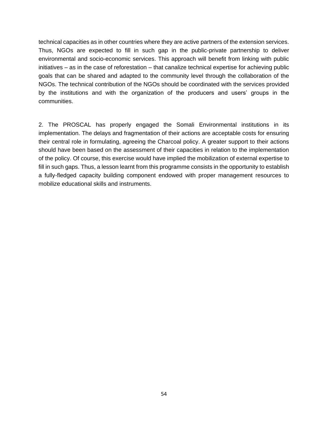technical capacities as in other countries where they are active partners of the extension services. Thus, NGOs are expected to fill in such gap in the public-private partnership to deliver environmental and socio-economic services. This approach will benefit from linking with public initiatives – as in the case of reforestation – that canalize technical expertise for achieving public goals that can be shared and adapted to the community level through the collaboration of the NGOs. The technical contribution of the NGOs should be coordinated with the services provided by the institutions and with the organization of the producers and users' groups in the communities.

2. The PROSCAL has properly engaged the Somali Environmental institutions in its implementation. The delays and fragmentation of their actions are acceptable costs for ensuring their central role in formulating, agreeing the Charcoal policy. A greater support to their actions should have been based on the assessment of their capacities in relation to the implementation of the policy. Of course, this exercise would have implied the mobilization of external expertise to fill in such gaps. Thus, a lesson learnt from this programme consists in the opportunity to establish a fully-fledged capacity building component endowed with proper management resources to mobilize educational skills and instruments.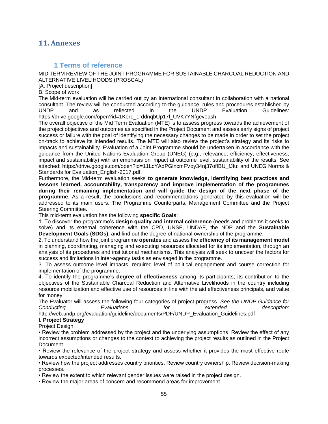## **11. Annexes**

#### **1 Terms of reference**

MID TERM REVIEW OF THE JOINT PROGRAMME FOR SUSTAINABLE CHARCOAL REDUCTION AND ALTERNATIVE LIVELIHOODS (PROSCAL)

[A. Project description]

B. Scope of work

The Mid-term evaluation will be carried out by an international consultant in collaboration with a national consultant. The review will be conducted according to the guidance, rules and procedures established by UNDP and as reflected in the UNDP Evaluation Guidelines: https://drive.google.com/open?id=1KerL\_1rddnqbUp17l\_UVK7YNfgev0ash

The overall objective of the Mid Term Evaluation (MTE) is to assess progress towards the achievement of the project objectives and outcomes as specified in the Project Document and assess early signs of project success or failure with the goal of identifying the necessary changes to be made in order to set the project on-track to achieve its intended results. The MTE will also review the project's strategy and its risks to impacts and sustainability. Evaluation of a Joint Programme should be undertaken in accordance with the guidance from the United Nations Evaluation Group (UNEG) (e.g., relevance, efficiency, effectiveness, impact and sustainability) with an emphasis on impact at outcome level, sustainability of the results. See attached: https://drive.google.com/open?id=11LcYAdPGlncmFVoy34nj37ofIBU\_fJIu; and UNEG Norms & Standards for Evaluation\_English-2017.pdf.

Furthermore, the Mid-term evaluation seeks **to generate knowledge, identifying best practices and lessons learned, accountability, transparency and improve implementation of the programmes during their remaining implementation and will guide the design of the next phase of the programme**. As a result, the conclusions and recommendations generated by this evaluation will be addressed to its main users: The Programme Counterparts, Management Committee and the Project Steering Committee.

This mid-term evaluation has the following **specific Goals**:

1. To discover the programme's **design quality and internal coherence** (needs and problems it seeks to solve) and its external coherence with the CPD, UNSF, UNDAF, the NDP and the **Sustainable Development Goals (SDGs)**, and find out the degree of national ownership of the programme.

2. To understand how the joint programme **operates** and assess the **efficiency of its management model**  in planning, coordinating, managing and executing resources allocated for its implementation, through an analysis of its procedures and institutional mechanisms. This analysis will seek to uncover the factors for success and limitations in inter-agency tasks as envisaged in the programme.

3. To assess outcome level impacts, required level of political engagement and course correction for implementation of the programme.

4. To identify the programme's **degree of effectiveness** among its participants, its contribution to the objectives of the Sustainable Charcoal Reduction and Alternative Livelihoods in the country including resource mobilization and effective use of resources in line with the aid effectiveness principals, and value for money.

The Evaluator will assess the following four categories of project progress. *See the UNDP Guidance for Conducting Evaluations for extended description:* 

http://web.undp.org/evaluation/guideline/documents/PDF/UNDP\_Evaluation\_Guidelines.pdf

#### **I. Project Strategy**

Project Design:

• Review the problem addressed by the project and the underlying assumptions. Review the effect of any incorrect assumptions or changes to the context to achieving the project results as outlined in the Project Document.

• Review the relevance of the project strategy and assess whether it provides the most effective route towards expected/intended results.

• Review how the project addresses country priorities. Review country ownership. Review decision-making processes.

• Review the extent to which relevant gender issues were raised in the project design.

• Review the major areas of concern and recommend areas for improvement.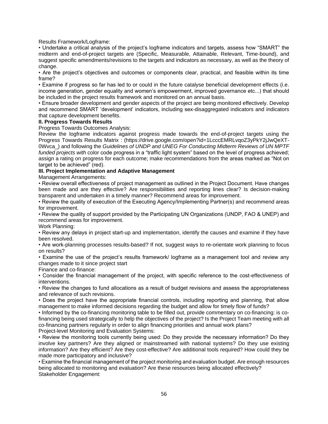Results Framework/Logframe:

• Undertake a critical analysis of the project's logframe indicators and targets, assess how "SMART" the midterm and end-of-project targets are (Specific, Measurable, Attainable, Relevant, Time-bound), and suggest specific amendments/revisions to the targets and indicators as necessary, as well as the theory of change.

• Are the project's objectives and outcomes or components clear, practical, and feasible within its time frame?

• Examine if progress so far has led to or could in the future catalyse beneficial development effects (i.e. income generation, gender equality and women's empowerment, improved governance etc...) that should be included in the project results framework and monitored on an annual basis.

• Ensure broader development and gender aspects of the project are being monitored effectively. Develop and recommend SMART 'development' indicators, including sex-disaggregated indicators and indicators that capture development benefits.

#### **II. Progress Towards Results**

Progress Towards Outcomes Analysis:

Review the logframe indicators against progress made towards the end-of-project targets using the Progress Towards Results Matrix : (https://drive.google.com/open?id=1LcccEMRLvqoZ3yPkY2jJwQeXT-0Wvca\_) and following the *Guidelines of UNDP and UNEG For Conducting Midterm Reviews of UN MPTF funded projects with* color code progress in a "traffic light system" based on the level of progress achieved; assign a rating on progress for each outcome; make recommendations from the areas marked as "Not on target to be achieved" (red).

#### **III. Project Implementation and Adaptive Management**

Management Arrangements:

• Review overall effectiveness of project management as outlined in the Project Document. Have changes been made and are they effective? Are responsibilities and reporting lines clear? Is decision-making transparent and undertaken in a timely manner? Recommend areas for improvement.

• Review the quality of execution of the Executing Agency/Implementing Partner(s) and recommend areas for improvement.

• Review the quality of support provided by the Participating UN Organizations (UNDP, FAO & UNEP) and recommend areas for improvement.

Work Planning:

• Review any delays in project start-up and implementation, identify the causes and examine if they have been resolved.

• Are work-planning processes results-based? If not, suggest ways to re-orientate work planning to focus on results?

• Examine the use of the project's results framework/ logframe as a management tool and review any changes made to it since project start

Finance and co-finance:

• Consider the financial management of the project, with specific reference to the cost-effectiveness of interventions.

• Review the changes to fund allocations as a result of budget revisions and assess the appropriateness and relevance of such revisions.

• Does the project have the appropriate financial controls, including reporting and planning, that allow management to make informed decisions regarding the budget and allow for timely flow of funds?

• Informed by the co-financing monitoring table to be filled out, provide commentary on co-financing: is cofinancing being used strategically to help the objectives of the project? Is the Project Team meeting with all co-financing partners regularly in order to align financing priorities and annual work plans? Project-level Monitoring and Evaluation Systems:

• Review the monitoring tools currently being used: Do they provide the necessary information? Do they involve key partners? Are they aligned or mainstreamed with national systems? Do they use existing information? Are they efficient? Are they cost-effective? Are additional tools required? How could they be made more participatory and inclusive?

• Examine the financial management of the project monitoring and evaluation budget. Are enough resources being allocated to monitoring and evaluation? Are these resources being allocated effectively? Stakeholder Engagement: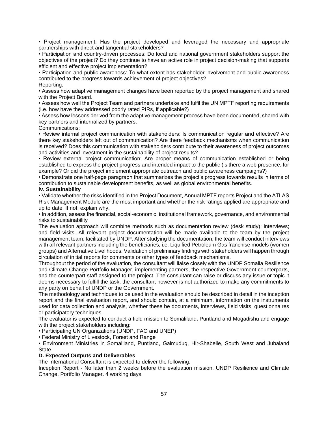• Project management: Has the project developed and leveraged the necessary and appropriate partnerships with direct and tangential stakeholders?

• Participation and country-driven processes: Do local and national government stakeholders support the objectives of the project? Do they continue to have an active role in project decision-making that supports efficient and effective project implementation?

• Participation and public awareness: To what extent has stakeholder involvement and public awareness contributed to the progress towards achievement of project objectives?

Reporting:

• Assess how adaptive management changes have been reported by the project management and shared with the Project Board.

• Assess how well the Project Team and partners undertake and fulfil the UN MPTF reporting requirements (i.e. how have they addressed poorly rated PIRs, if applicable?)

• Assess how lessons derived from the adaptive management process have been documented, shared with key partners and internalized by partners.

Communications:

• Review internal project communication with stakeholders: Is communication regular and effective? Are there key stakeholders left out of communication? Are there feedback mechanisms when communication is received? Does this communication with stakeholders contribute to their awareness of project outcomes and activities and investment in the sustainability of project results?

• Review external project communication: Are proper means of communication established or being established to express the project progress and intended impact to the public (is there a web presence, for example? Or did the project implement appropriate outreach and public awareness campaigns?)

• Demonstrate one half-page paragraph that summarizes the project's progress towards results in terms of contribution to sustainable development benefits, as well as global environmental benefits.

#### **iv. Sustainability**

• Validate whether the risks identified in the Project Document, Annual MPTF reports Project and the ATLAS Risk Management Module are the most important and whether the risk ratings applied are appropriate and up to date. If not, explain why.

• In addition, assess the financial, social-economic, institutional framework, governance, and environmental risks to sustainability

The evaluation approach will combine methods such as documentation review (desk study); interviews; and field visits. All relevant project documentation will be made available to the team by the project management team, facilitated by UNDP. After studying the documentation, the team will conduct interviews with all relevant partners including the beneficiaries, i.e. Liquified Petroleum Gas franchise models (women groups) and Alternative Livelihoods. Validation of preliminary findings with stakeholders will happen through circulation of initial reports for comments or other types of feedback mechanisms.

Throughout the period of the evaluation, the consultant will liaise closely with the UNDP Somalia Resilience and Climate Change Portfolio Manager, implementing partners, the respective Government counterparts, and the counterpart staff assigned to the project. The consultant can raise or discuss any issue or topic it deems necessary to fulfill the task, the consultant however is not authorized to make any commitments to any party on behalf of UNDP or the Government.

The methodology and techniques to be used in the evaluation should be described in detail in the inception report and the final evaluation report, and should contain, at a minimum, information on the instruments used for data collection and analysis, whether these be documents, interviews, field visits, questionnaires or participatory techniques.

The evaluator is expected to conduct a field mission to Somaliland, Puntland and Mogadishu and engage with the project stakeholders including:

• Participating UN Organizations (UNDP, FAO and UNEP)

• Federal Ministry of Livestock, Forest and Range

• Environment Ministries in Somaliland, Puntland, Galmudug, Hir-Shabelle, South West and Jubaland State.

#### **D. Expected Outputs and Deliverables**

The International Consultant is expected to deliver the following:

Inception Report - No later than 2 weeks before the evaluation mission. UNDP Resilience and Climate Change, Portfolio Manager. 4 working days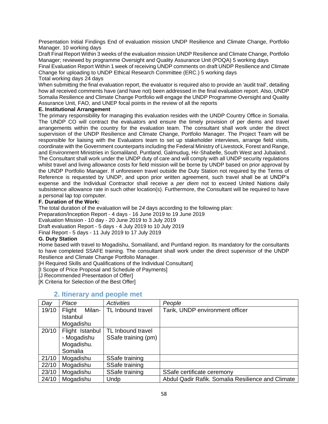Presentation Initial Findings End of evaluation mission UNDP Resilience and Climate Change, Portfolio Manager. 10 working days

Draft Final Report Within 3 weeks of the evaluation mission UNDP Resilience and Climate Change, Portfolio Manager; reviewed by programme Oversight and Quality Assurance Unit (POQA) 5 working days

Final Evaluation Report Within 1 week of receiving UNDP comments on draft UNDP Resilience and Climate Change for uploading to UNDP Ethical Research Committee (ERC.) 5 working days

#### Total working days 24 days

When submitting the final evaluation report, the evaluator is required also to provide an 'audit trail', detailing how all received comments have (and have not) been addressed in the final evaluation report. Also, UNDP Somalia Resilience and Climate Change Portfolio will engage the UNDP Programme Oversight and Quality Assurance Unit, FAO, and UNEP focal points in the review of all the reports

#### **E. Institutional Arrangement**

The primary responsibility for managing this evaluation resides with the UNDP Country Office in Somalia. The UNDP CO will contract the evaluators and ensure the timely provision of per diems and travel arrangements within the country for the evaluation team. The consultant shall work under the direct supervision of the UNDP Resilience and Climate Change, Portfolio Manager. The Project Team will be responsible for liaising with the Evaluators team to set up stakeholder interviews, arrange field visits, coordinate with the Government counterparts including the Federal Ministry of Livestock, Forest and Range, and Environment Ministries in Somaliland, Puntland, Galmudug, Hir-Shabelle, South West and Jubaland.

The Consultant shall work under the UNDP duty of care and will comply with all UNDP security regulations whilst travel and living allowance costs for field mission will be borne by UNDP based on prior approval by the UNDP Portfolio Manager. If unforeseen travel outside the Duty Station not required by the Terms of Reference is requested by UNDP, and upon prior written agreement, such travel shall be at UNDP's expense and the Individual Contractor shall receive a *per diem* not to exceed United Nations daily subsistence allowance rate in such other location(s). Furthermore, the Consultant will be required to have a personal lap top computer.

#### **F. Duration of the Work:**

The total duration of the evaluation will be 2*4* days according to the following plan:

Preparation/Inception Report - 4 days - 16 June 2019 to 19 June 2019

Evaluation Mission - 10 day - 20 June 2019 to 3 July 2019

Draft evaluation Report - 5 days - 4 July 2019 to 10 July 2019

Final Report - 5 days - 11 July 2019 to 17 July 2019

#### **G. Duty Station**

Home based with travel to Mogadishu, Somaliland, and Puntland region. Its mandatory for the consultants to have completed SSAFE training. The consultant shall work under the direct supervisor of the UNDP Resilience and Climate Change Portfolio Manager.

[H Required Skills and Qualifications of the Individual Consultant]

[I Scope of Price Proposal and Schedule of Payments]

[J Recommended Presentation of Offer]

[K Criteria for Selection of the Best Offer]

| Day   | Place            | <b>Activities</b>   | People                                            |
|-------|------------------|---------------------|---------------------------------------------------|
| 19/10 | Flight<br>Milan- | TL Inbound travel   | Tarik, UNDP environment officer                   |
|       | <b>Istanbul</b>  |                     |                                                   |
|       | Mogadishu        |                     |                                                   |
| 20/10 | Flight Istanbul  | TL Inbound travel   |                                                   |
|       | - Mogadishu      | SSafe training (pm) |                                                   |
|       | Mogadishu.       |                     |                                                   |
|       | Somalia          |                     |                                                   |
| 21/10 | Mogadishu        | SSafe training      |                                                   |
| 22/10 | Mogadishu        | SSafe training      |                                                   |
| 23/10 | Mogadishu        | SSafe training      | SSafe certificate ceremony                        |
| 24/10 | Mogadishu        | Undp                | Abdul Qadir Rafik. Somalia Resilience and Climate |

#### **2. Itinerary and people met**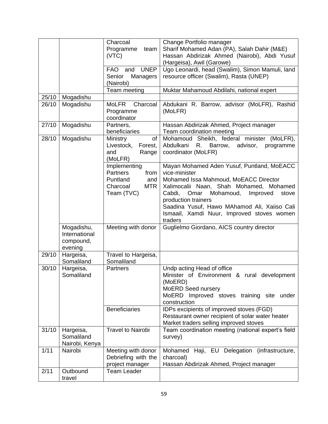|       |                                                     | Charcoal<br>Programme<br>team<br>(VTC)                                               | Change Portfolio manager<br>Sharif Mohamed Adan (PA), Salah Dahir (M&E)<br>Hassan Abdirizak Ahmed (Nairobi), Abdi Yusuf<br>(Hargeisa), Awil (Garowe)                                                                                                                                                                                |
|-------|-----------------------------------------------------|--------------------------------------------------------------------------------------|-------------------------------------------------------------------------------------------------------------------------------------------------------------------------------------------------------------------------------------------------------------------------------------------------------------------------------------|
|       |                                                     | <b>UNEP</b><br>FAO and<br>Managers<br>Senior<br>(Nairobi)                            | Ugo Leonardi, head (Swalim), Simon Mamuli, land<br>resource officer (Swalim), Rasta (UNEP)                                                                                                                                                                                                                                          |
|       |                                                     | Team meeting                                                                         | Muktar Mahamoud Abdilahi, national expert                                                                                                                                                                                                                                                                                           |
| 25/10 | Mogadishu                                           |                                                                                      |                                                                                                                                                                                                                                                                                                                                     |
| 26/10 | Mogadishu                                           | MoLFR Charcoal<br>Programme<br>coordinator                                           | Abdukani R. Barrow, advisor (MoLFR), Rashid<br>(MoLFR)                                                                                                                                                                                                                                                                              |
| 27/10 | Mogadishu                                           | Partners,<br>beneficiaries                                                           | Hassan Abdirizak Ahmed, Project manager<br>Team coordination meeting                                                                                                                                                                                                                                                                |
| 28/10 | Mogadishu                                           | Ministry<br>of<br>Livestock,<br>Forest,<br>and<br>Range<br>(MoLFR)                   | Mohamoud Sheikh, federal minister (MoLFR),<br>Abdulkani<br>R.<br>Barrow,<br>advisor,<br>programme<br>coordinator (MoLFR)                                                                                                                                                                                                            |
|       |                                                     | Implementing<br>Partners<br>from<br>Puntland<br>and<br>Charcoal<br>MTR<br>Team (TVC) | Mayan Mohamed Aden Yusuf, Puntland, MoEACC<br>vice-minister<br>Mohamed Issa Mahmoud, MoEACC Director<br>Xalimocalii Naan, Shah Mohamed, Mohamed<br>Mohamoud,<br>Improved<br>Cabdi,<br>Omar<br>stove<br>production trainers<br>Saadina Yusuf, Hawo MAhamod Ali, Xaiiso Cali<br>Ismaail, Xamdi Nuur, Improved stoves women<br>traders |
|       | Mogadishu,<br>International<br>compound,<br>evening | Meeting with donor                                                                   | Guglielmo Giordano, AICS country director                                                                                                                                                                                                                                                                                           |
| 29/10 | Hargeisa,<br>Somaliland                             | Travel to Hargeisa,<br>Somaliland                                                    |                                                                                                                                                                                                                                                                                                                                     |
| 30/10 | Hargeisa,<br>Somaliland                             | Partners                                                                             | Undp acting Head of office<br>Minister of Environment & rural development<br>(MoERD)<br>MoERD Seed nursery<br>MoERD Improved stoves training site under<br>construction                                                                                                                                                             |
|       |                                                     | <b>Beneficiaries</b>                                                                 | IDPs excipients of improved stoves (FGD)<br>Restaurant owner recipient of solar water heater<br>Market traders selling improved stoves                                                                                                                                                                                              |
| 31/10 | Hargeisa,<br>Somaliland<br>Nairobi, Kenya           | <b>Travel to Nairobi</b>                                                             | Team coordination meeting (national expert's field<br>survey)                                                                                                                                                                                                                                                                       |
| 1/11  | Nairobi                                             | Meeting with donor<br>Debriefing with the<br>project manager                         | Mohamed<br>Haji, EU<br>Delegation<br>(infrastructure,<br>charcoal)<br>Hassan Abdirizak Ahmed, Project manager                                                                                                                                                                                                                       |
| 2/11  | Outbound<br>travel                                  | <b>Team Leader</b>                                                                   |                                                                                                                                                                                                                                                                                                                                     |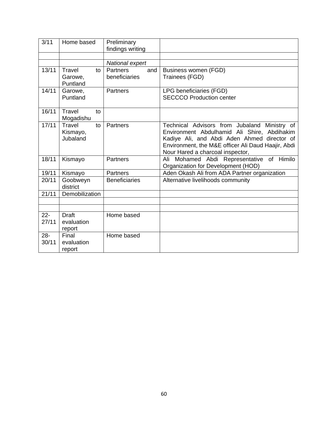| 3/11            | Home based                | Preliminary<br>findings writing |                                                                                    |
|-----------------|---------------------------|---------------------------------|------------------------------------------------------------------------------------|
|                 |                           |                                 |                                                                                    |
|                 |                           | National expert                 |                                                                                    |
| 13/11           | Travel<br>to              | Partners<br>and                 | Business women (FGD)                                                               |
|                 | Garowe,<br>Puntland       | beneficiaries                   | Trainees (FGD)                                                                     |
| 14/11           | Garowe,                   | <b>Partners</b>                 | LPG beneficiaries (FGD)                                                            |
|                 | Puntland                  |                                 | <b>SECCCO Production center</b>                                                    |
| 16/11           | Travel<br>to              |                                 |                                                                                    |
| 17/11           | Mogadishu<br>Travel<br>to | Partners                        | Technical Advisors from Jubaland Ministry of                                       |
|                 | Kismayo,                  |                                 | Environment Abdulhamid Ali Shire, Abdihakim                                        |
|                 | Jubaland                  |                                 | Kadiye Ali, and Abdi Aden Ahmed director of                                        |
|                 |                           |                                 | Environment, the M&E officer Ali Daud Haajir, Abdi                                 |
|                 |                           |                                 | Nour Hared a charcoal inspector,                                                   |
| 18/11           | Kismayo                   | <b>Partners</b>                 | Mohamed Abdi Representative of Himilo<br>Ali<br>Organization for Development (HOD) |
| 19/11           | Kismayo                   | Partners                        | Aden Okash Ali from ADA Partner organization                                       |
| 20/11           | Goobweyn<br>district      | <b>Beneficiaries</b>            | Alternative livelihoods community                                                  |
| 21/11           | Demobilization            |                                 |                                                                                    |
|                 |                           |                                 |                                                                                    |
|                 |                           |                                 |                                                                                    |
| $22 -$          | <b>Draft</b>              | Home based                      |                                                                                    |
| 27/11           | evaluation                |                                 |                                                                                    |
|                 | report                    |                                 |                                                                                    |
| $28 -$<br>30/11 | Final<br>evaluation       | Home based                      |                                                                                    |
|                 | report                    |                                 |                                                                                    |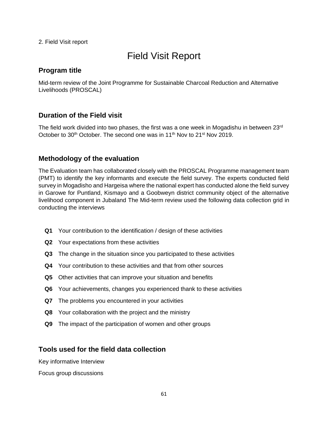#### 2. Field Visit report

# Field Visit Report

#### **Program title**

Mid-term review of the Joint Programme for Sustainable Charcoal Reduction and Alternative Livelihoods (PROSCAL)

## **Duration of the Field visit**

The field work divided into two phases, the first was a one week in Mogadishu in between 23rd October to 30<sup>th</sup> October. The second one was in 11<sup>th</sup> Nov to 21<sup>st</sup> Nov 2019.

#### **Methodology of the evaluation**

The Evaluation team has collaborated closely with the PROSCAL Programme management team (PMT) to identify the key informants and execute the field survey. The experts conducted field survey in Mogadisho and Hargeisa where the national expert has conducted alone the field survey in Garowe for Puntland, Kismayo and a Goobweyn district community object of the alternative livelihood component in Jubaland The Mid-term review used the following data collection grid in conducting the interviews

- **Q1** Your contribution to the identification / design of these activities
- **Q2** Your expectations from these activities
- **Q3** The change in the situation since you participated to these activities
- **Q4** Your contribution to these activities and that from other sources
- **Q5** Other activities that can improve your situation and benefits
- **Q6** Your achievements, changes you experienced thank to these activities
- **Q7** The problems you encountered in your activities
- **Q8** Your collaboration with the project and the ministry
- **Q9** The impact of the participation of women and other groups

#### **Tools used for the field data collection**

Key informative Interview

Focus group discussions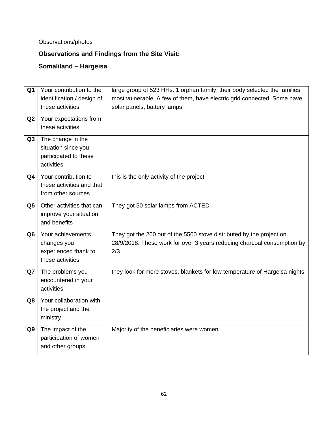## Observations/photos

# **Observations and Findings from the Site Visit:**

# **Somaliland – Hargeisa**

| Q <sub>1</sub> | Your contribution to the   | large group of 523 HHs. 1 orphan family; their body selected the families  |
|----------------|----------------------------|----------------------------------------------------------------------------|
|                | identification / design of | most vulnerable. A few of them, have electric grid connected. Some have    |
|                | these activities           | solar panels, battery lamps                                                |
| Q <sub>2</sub> | Your expectations from     |                                                                            |
|                | these activities           |                                                                            |
| Q <sub>3</sub> | The change in the          |                                                                            |
|                | situation since you        |                                                                            |
|                | participated to these      |                                                                            |
|                | activities                 |                                                                            |
| Q4             | Your contribution to       | this is the only activity of the project                                   |
|                | these activities and that  |                                                                            |
|                | from other sources         |                                                                            |
| Q5             | Other activities that can  | They got 50 solar lamps from ACTED                                         |
|                | improve your situation     |                                                                            |
|                | and benefits               |                                                                            |
| Q <sub>6</sub> | Your achievements,         | They got the 200 out of the 5500 stove distributed by the project on       |
|                | changes you                | 28/9/2018. These work for over 3 years reducing charcoal consumption by    |
|                | experienced thank to       | 2/3                                                                        |
|                | these activities           |                                                                            |
| Q7             | The problems you           | they look for more stoves, blankets for low temperature of Hargeisa nights |
|                | encountered in your        |                                                                            |
|                | activities                 |                                                                            |
| Q8             | Your collaboration with    |                                                                            |
|                | the project and the        |                                                                            |
|                | ministry                   |                                                                            |
|                |                            |                                                                            |
| Q9             | The impact of the          | Majority of the beneficiaries were women                                   |
|                | participation of women     |                                                                            |
|                | and other groups           |                                                                            |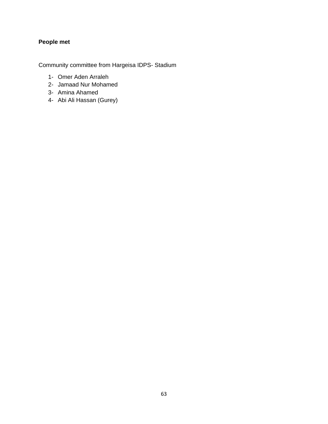#### **People met**

Community committee from Hargeisa IDPS- Stadium

- 1- Omer Aden Arraleh
- 2- Jamaad Nur Mohamed
- 3- Amina Ahamed
- 4- Abi Ali Hassan (Gurey)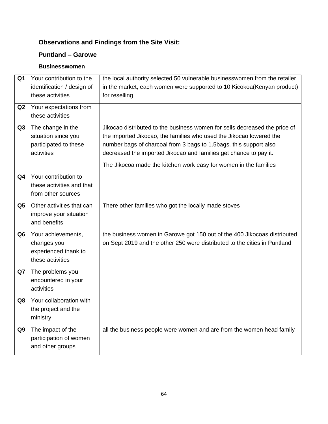# **Puntland – Garowe**

# **Businesswomen**

| Q <sub>1</sub> | Your contribution to the   | the local authority selected 50 vulnerable businesswomen from the retailer |
|----------------|----------------------------|----------------------------------------------------------------------------|
|                | identification / design of | in the market, each women were supported to 10 Kicokoa (Kenyan product)    |
|                | these activities           | for reselling                                                              |
| Q <sub>2</sub> | Your expectations from     |                                                                            |
|                | these activities           |                                                                            |
| Q <sub>3</sub> | The change in the          | Jikocao distributed to the business women for sells decreased the price of |
|                | situation since you        | the imported Jikocao, the families who used the Jikocao lowered the        |
|                | participated to these      | number bags of charcoal from 3 bags to 1.5 bags. this support also         |
|                | activities                 | decreased the imported Jikocao and families get chance to pay it.          |
|                |                            | The Jikocoa made the kitchen work easy for women in the families           |
| Q4             | Your contribution to       |                                                                            |
|                | these activities and that  |                                                                            |
|                | from other sources         |                                                                            |
| Q <sub>5</sub> | Other activities that can  | There other families who got the locally made stoves                       |
|                | improve your situation     |                                                                            |
|                | and benefits               |                                                                            |
| Q <sub>6</sub> | Your achievements,         | the business women in Garowe got 150 out of the 400 Jikocoas distributed   |
|                | changes you                | on Sept 2019 and the other 250 were distributed to the cities in Puntland  |
|                | experienced thank to       |                                                                            |
|                | these activities           |                                                                            |
| Q7             | The problems you           |                                                                            |
|                | encountered in your        |                                                                            |
|                | activities                 |                                                                            |
| Q8             | Your collaboration with    |                                                                            |
|                | the project and the        |                                                                            |
|                | ministry                   |                                                                            |
| Q9             | The impact of the          | all the business people were women and are from the women head family      |
|                | participation of women     |                                                                            |
|                | and other groups           |                                                                            |
|                |                            |                                                                            |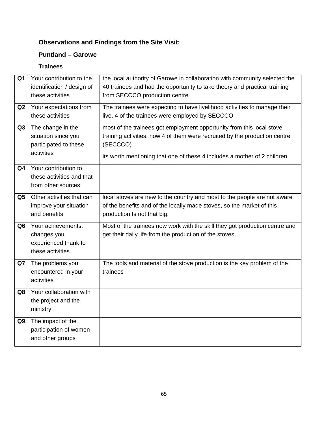# **Puntland – Garowe**

# **Trainees**

| Q <sub>1</sub> | Your contribution to the   | the local authority of Garowe in collaboration with community selected the  |
|----------------|----------------------------|-----------------------------------------------------------------------------|
|                | identification / design of | 40 trainees and had the opportunity to take theory and practical training   |
|                | these activities           | from SECCCO production centre                                               |
| Q <sub>2</sub> | Your expectations from     | The trainees were expecting to have livelihood activities to manage their   |
|                | these activities           | live, 4 of the trainees were employed by SECCCO                             |
| Q <sub>3</sub> | The change in the          | most of the trainees got employment opportunity from this local stove       |
|                | situation since you        | training activities, now 4 of them were recruited by the production centre  |
|                | participated to these      | (SECCCO)                                                                    |
|                | activities                 | its worth mentioning that one of these 4 includes a mother of 2 children    |
| Q4             | Your contribution to       |                                                                             |
|                | these activities and that  |                                                                             |
|                | from other sources         |                                                                             |
| Q <sub>5</sub> | Other activities that can  | local stoves are new to the country and most fo the people are not aware    |
|                | improve your situation     | of the benefits and of the locally made stoves, so the market of this       |
|                | and benefits               | production Is not that big,                                                 |
| Q <sub>6</sub> | Your achievements,         | Most of the trainees now work with the skill they got production centre and |
|                | changes you                | get their daily life from the production of the stoves,                     |
|                | experienced thank to       |                                                                             |
|                | these activities           |                                                                             |
| Q7             | The problems you           | The tools and material of the stove production is the key problem of the    |
|                | encountered in your        | trainees                                                                    |
|                | activities                 |                                                                             |
| Q8             | Your collaboration with    |                                                                             |
|                | the project and the        |                                                                             |
|                | ministry                   |                                                                             |
| Q9             | The impact of the          |                                                                             |
|                | participation of women     |                                                                             |
|                | and other groups           |                                                                             |
|                |                            |                                                                             |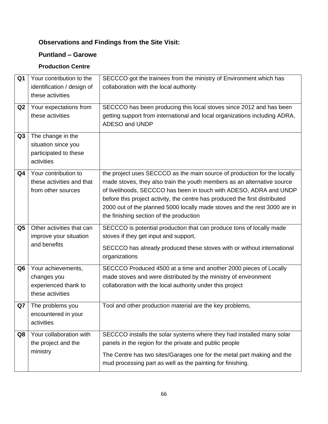# **Puntland – Garowe**

# **Production Centre**

| Q <sub>1</sub> | Your contribution to the   | SECCCO got the trainees from the ministry of Environment which has          |
|----------------|----------------------------|-----------------------------------------------------------------------------|
|                | identification / design of | collaboration with the local authority                                      |
|                | these activities           |                                                                             |
| Q <sub>2</sub> | Your expectations from     | SECCCO has been producing this local stoves since 2012 and has been         |
|                | these activities           | getting support from international and local organizations including ADRA,  |
|                |                            | ADESO and UNDP                                                              |
| Q3             | The change in the          |                                                                             |
|                | situation since you        |                                                                             |
|                | participated to these      |                                                                             |
|                | activities                 |                                                                             |
| Q4             | Your contribution to       | the project uses SECCCO as the main source of production for the locally    |
|                | these activities and that  | made stoves, they also train the youth members as an alternative source     |
|                | from other sources         | of livelihoods, SECCCO has been in touch with ADESO, ADRA and UNDP          |
|                |                            | before this project activity, the centre has produced the first distributed |
|                |                            | 2000 out of the planned 5000 locally made stoves and the rest 3000 are in   |
|                |                            | the finishing section of the production                                     |
| Q <sub>5</sub> | Other activities that can  | SECCCO is potential production that can produce tons of locally made        |
|                | improve your situation     | stoves if they get input and support,                                       |
|                | and benefits               | SECCCO has already produced these stoves with or without international      |
|                |                            | organizations                                                               |
| Q <sub>6</sub> | Your achievements,         | SECCCO Produced 4500 at a time and another 2000 pieces of Locally           |
|                | changes you                | made stoves and were distributed by the ministry of environment             |
|                | experienced thank to       | collaboration with the local authority under this project                   |
|                | these activities           |                                                                             |
| Q7             | The problems you           | Tool and other production material are the key problems,                    |
|                | encountered in your        |                                                                             |
|                | activities                 |                                                                             |
| Q8             | Your collaboration with    | SECCCO installs the solar systems where they had installed many solar       |
|                | the project and the        | panels in the region for the private and public people                      |
|                | ministry                   | The Centre has two sites/Garages one for the metal part making and the      |
|                |                            | mud processing part as well as the painting for finishing.                  |
|                |                            |                                                                             |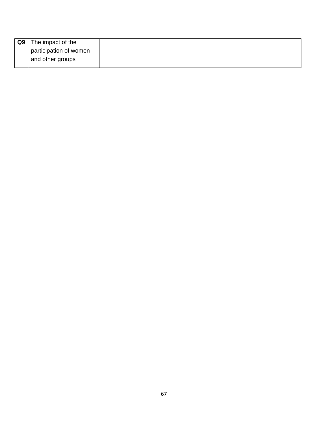| <b>Q9</b> | The impact of the      |
|-----------|------------------------|
|           | participation of women |
|           | and other groups       |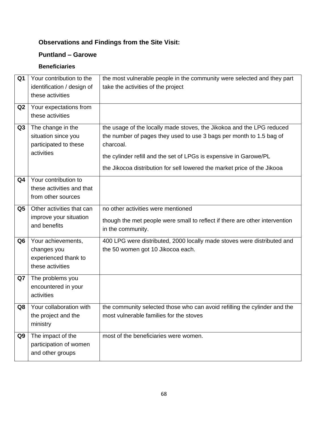# **Puntland – Garowe**

# **Beneficiaries**

| Q <sub>1</sub> | Your contribution to the            | the most vulnerable people in the community were selected and they part                                      |
|----------------|-------------------------------------|--------------------------------------------------------------------------------------------------------------|
|                | identification / design of          | take the activities of the project                                                                           |
|                | these activities                    |                                                                                                              |
| Q <sub>2</sub> | Your expectations from              |                                                                                                              |
|                | these activities                    |                                                                                                              |
| Q3             | The change in the                   | the usage of the locally made stoves, the Jikokoa and the LPG reduced                                        |
|                | situation since you                 | the number of pages they used to use 3 bags per month to 1.5 bag of                                          |
|                | participated to these               | charcoal.                                                                                                    |
|                | activities                          | the cylinder refill and the set of LPGs is expensive in Garowe/PL                                            |
|                |                                     | the Jikocoa distribution for sell lowered the market price of the Jikooa                                     |
| Q4             | Your contribution to                |                                                                                                              |
|                | these activities and that           |                                                                                                              |
|                | from other sources                  |                                                                                                              |
| Q5             | Other activities that can           | no other activities were mentioned                                                                           |
|                | improve your situation              | though the met people were small to reflect if there are other intervention                                  |
|                | and benefits                        | in the community.                                                                                            |
|                |                                     |                                                                                                              |
| Q6             | Your achievements,                  | 400 LPG were distributed, 2000 locally made stoves were distributed and<br>the 50 women got 10 Jikocoa each. |
|                | changes you<br>experienced thank to |                                                                                                              |
|                | these activities                    |                                                                                                              |
|                |                                     |                                                                                                              |
| Q7             | The problems you                    |                                                                                                              |
|                | encountered in your                 |                                                                                                              |
|                | activities                          |                                                                                                              |
| Q8             | Your collaboration with             | the community selected those who can avoid refilling the cylinder and the                                    |
|                | the project and the                 | most vulnerable families for the stoves                                                                      |
|                | ministry                            |                                                                                                              |
| Q9             | The impact of the                   | most of the beneficiaries were women.                                                                        |
|                | participation of women              |                                                                                                              |
|                | and other groups                    |                                                                                                              |
|                |                                     |                                                                                                              |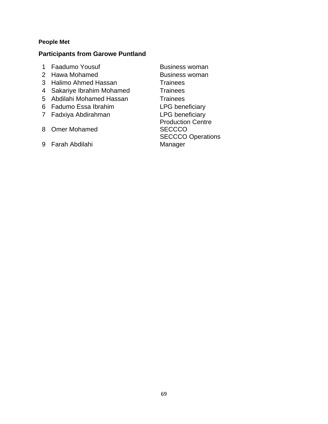#### **People Met**

#### **Participants from Garowe Puntland**

- 1 Faadumo Yousuf Business woman
- 2 Hawa Mohamed Business woman
- 3 Halimo Ahmed Hassan Trainees
- 4 Sakariye Ibrahim Mohamed Trainees
- 5 Abdilahi Mohamed Hassan Trainees
- 6 Fadumo Essa Ibrahim LPG beneficiary
- 7 Fadxiya Abdirahman LPG beneficiary
- 8 Omer Mohamed
- 9 Farah Abdilahi

Production Centre **SECCCO** SECCCO Operations Manager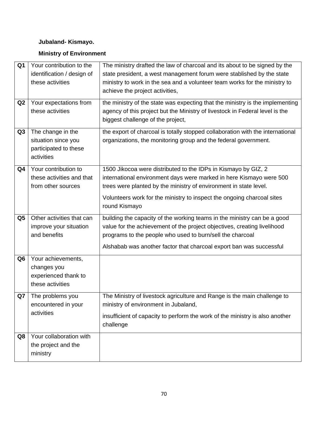## **Jubaland- Kismayo.**

#### **Ministry of Environment**

| Q <sub>1</sub> | Your contribution to the   | The ministry drafted the law of charcoal and its about to be signed by the     |
|----------------|----------------------------|--------------------------------------------------------------------------------|
|                | identification / design of | state president, a west management forum were stablished by the state          |
|                | these activities           | ministry to work in the sea and a volunteer team works for the ministry to     |
|                |                            | achieve the project activities,                                                |
| Q2             | Your expectations from     | the ministry of the state was expecting that the ministry is the implementing  |
|                | these activities           | agency of this project but the Ministry of livestock in Federal level is the   |
|                |                            | biggest challenge of the project,                                              |
| Q <sub>3</sub> | The change in the          | the export of charcoal is totally stopped collaboration with the international |
|                | situation since you        | organizations, the monitoring group and the federal government.                |
|                | participated to these      |                                                                                |
|                | activities                 |                                                                                |
| Q4             | Your contribution to       | 1500 Jikocoa were distributed to the IDPs in Kismayo by GIZ, 2                 |
|                | these activities and that  | international environment days were marked in here Kismayo were 500            |
|                | from other sources         | trees were planted by the ministry of environment in state level.              |
|                |                            | Volunteers work for the ministry to inspect the ongoing charcoal sites         |
|                |                            | round Kismayo                                                                  |
| Q <sub>5</sub> | Other activities that can  | building the capacity of the working teams in the ministry can be a good       |
|                | improve your situation     | value for the achievement of the project objectives, creating livelihood       |
|                | and benefits               | programs to the people who used to burn/sell the charcoal                      |
|                |                            |                                                                                |
|                |                            | Alshabab was another factor that charcoal export ban was successful            |
| Q <sub>6</sub> | Your achievements,         |                                                                                |
|                | changes you                |                                                                                |
|                | experienced thank to       |                                                                                |
|                | these activities           |                                                                                |
| Q7             | The problems you           | The Ministry of livestock agriculture and Range is the main challenge to       |
|                | encountered in your        | ministry of environment in Jubaland,                                           |
|                | activities                 | insufficient of capacity to perform the work of the ministry is also another   |
|                |                            | challenge                                                                      |
| Q8             | Your collaboration with    |                                                                                |
|                | the project and the        |                                                                                |
|                | ministry                   |                                                                                |
|                |                            |                                                                                |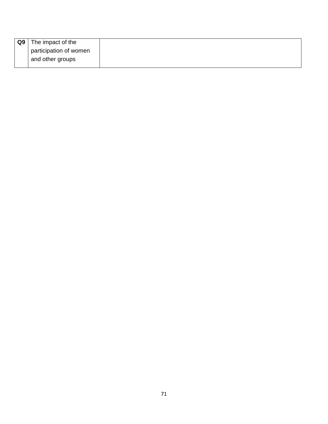| Q9<br>The impact of the |
|-------------------------|
| participation of women  |
| and other groups        |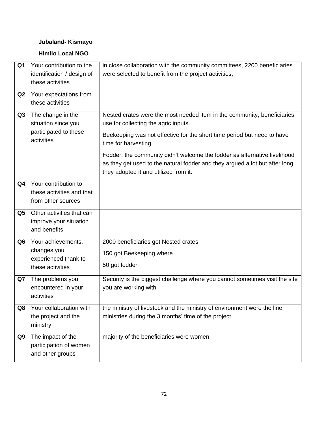## **Jubaland- Kismayo**

#### **Himilo Local NGO**

| Q <sub>1</sub> | Your contribution to the                   | in close collaboration with the community committees, 2200 beneficiaries    |
|----------------|--------------------------------------------|-----------------------------------------------------------------------------|
|                |                                            |                                                                             |
|                | identification / design of                 | were selected to benefit from the project activities,                       |
|                | these activities                           |                                                                             |
| Q2             | Your expectations from                     |                                                                             |
|                | these activities                           |                                                                             |
|                |                                            |                                                                             |
| Q <sub>3</sub> | The change in the                          | Nested crates were the most needed item in the community, beneficiaries     |
|                | situation since you                        | use for collecting the agric inputs.                                        |
|                | participated to these                      | Beekeeping was not effective for the short time period but need to have     |
|                | activities                                 |                                                                             |
|                |                                            | time for harvesting.                                                        |
|                |                                            | Fodder, the community didn't welcome the fodder as alternative livelihood   |
|                |                                            | as they get used to the natural fodder and they argued a lot but after long |
|                |                                            | they adopted it and utilized from it.                                       |
|                | Your contribution to                       |                                                                             |
| Q4             |                                            |                                                                             |
|                | these activities and that                  |                                                                             |
|                | from other sources                         |                                                                             |
| Q5             | Other activities that can                  |                                                                             |
|                | improve your situation                     |                                                                             |
|                | and benefits                               |                                                                             |
|                |                                            |                                                                             |
| Q6             | Your achievements,                         | 2000 beneficiaries got Nested crates,                                       |
|                | changes you                                | 150 got Beekeeping where                                                    |
|                | experienced thank to                       |                                                                             |
|                | these activities                           | 50 got fodder                                                               |
| Q7             | The problems you                           | Security is the biggest challenge where you cannot sometimes visit the site |
|                | encountered in your                        | you are working with                                                        |
|                | activities                                 |                                                                             |
|                |                                            |                                                                             |
| Q8             | Your collaboration with                    | the ministry of livestock and the ministry of environment were the line     |
|                | the project and the                        | ministries during the 3 months' time of the project                         |
|                | ministry                                   |                                                                             |
|                |                                            |                                                                             |
|                |                                            |                                                                             |
| Q9             | The impact of the                          | majority of the beneficiaries were women                                    |
|                | participation of women<br>and other groups |                                                                             |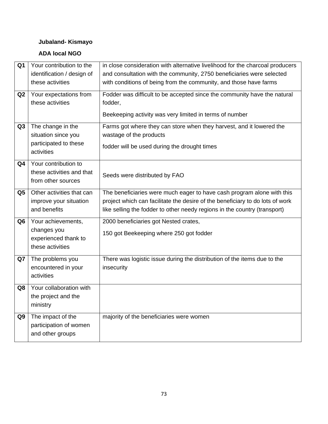# **Jubaland- Kismayo**

# **ADA local NGO**

| Q <sub>1</sub> | Your contribution to the   | in close consideration with alternative livelihood for the charcoal producers |
|----------------|----------------------------|-------------------------------------------------------------------------------|
|                | identification / design of | and consultation with the community, 2750 beneficiaries were selected         |
|                | these activities           | with conditions of being from the community, and those have farms             |
| Q2             | Your expectations from     | Fodder was difficult to be accepted since the community have the natural      |
|                | these activities           | fodder,                                                                       |
|                |                            | Beekeeping activity was very limited in terms of number                       |
|                |                            |                                                                               |
| Q <sub>3</sub> | The change in the          | Farms got where they can store when they harvest, and it lowered the          |
|                | situation since you        | wastage of the products                                                       |
|                | participated to these      | fodder will be used during the drought times                                  |
|                | activities                 |                                                                               |
| Q4             | Your contribution to       |                                                                               |
|                | these activities and that  | Seeds were distributed by FAO                                                 |
|                | from other sources         |                                                                               |
| Q <sub>5</sub> | Other activities that can  | The beneficiaries were much eager to have cash program alone with this        |
|                | improve your situation     | project which can facilitate the desire of the beneficiary to do lots of work |
|                | and benefits               | like selling the fodder to other needy regions in the country (transport)     |
| Q <sub>6</sub> | Your achievements,         | 2000 beneficiaries got Nested crates,                                         |
|                | changes you                |                                                                               |
|                | experienced thank to       | 150 got Beekeeping where 250 got fodder                                       |
|                | these activities           |                                                                               |
|                |                            |                                                                               |
| Q7             | The problems you           | There was logistic issue during the distribution of the items due to the      |
|                | encountered in your        | insecurity                                                                    |
|                | activities                 |                                                                               |
| Q8             | Your collaboration with    |                                                                               |
|                | the project and the        |                                                                               |
|                | ministry                   |                                                                               |
| Q <sub>9</sub> | The impact of the          | majority of the beneficiaries were women                                      |
|                | participation of women     |                                                                               |
|                | and other groups           |                                                                               |
|                |                            |                                                                               |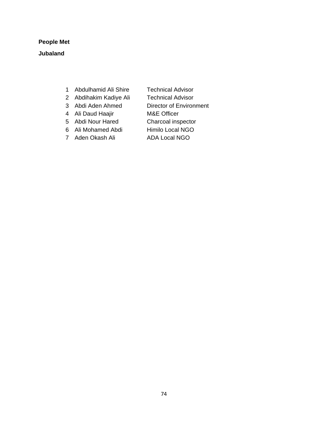# **People Met**

### **Jubaland**

- 1 Abdulhamid Ali Shire Technical Advisor
	-
- 2 Abdihakim Kadiye Ali Technical Advisor
- 3 Abdi Aden Ahmed Director of Environment
- 4 Ali Daud Haajir M&E Officer
- 
- 5 Abdi Nour Hared Charcoal inspector
- 6 Ali Mohamed Abdi Himilo Local NGO
- 7 Aden Okash Ali ADA Local NGO
- 

74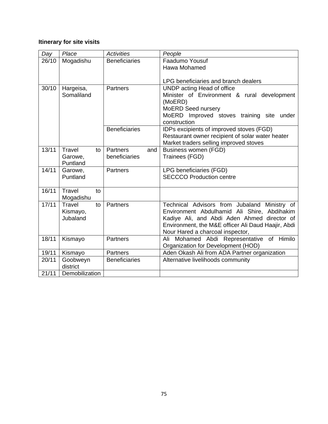# **Itinerary for site visits**

| Day   | Place          | <b>Activities</b>    | People                                                                        |
|-------|----------------|----------------------|-------------------------------------------------------------------------------|
| 26/10 | Mogadishu      | <b>Beneficiaries</b> | Faadumo Yousuf                                                                |
|       |                |                      | Hawa Mohamed                                                                  |
|       |                |                      |                                                                               |
|       |                |                      | LPG beneficiaries and branch dealers                                          |
| 30/10 | Hargeisa,      | <b>Partners</b>      | UNDP acting Head of office                                                    |
|       | Somaliland     |                      | Minister of Environment & rural development                                   |
|       |                |                      | (MoERD)                                                                       |
|       |                |                      | <b>MoERD Seed nursery</b>                                                     |
|       |                |                      | MoERD Improved stoves training site under                                     |
|       |                | <b>Beneficiaries</b> | construction<br>IDPs excipients of improved stoves (FGD)                      |
|       |                |                      | Restaurant owner recipient of solar water heater                              |
|       |                |                      | Market traders selling improved stoves                                        |
| 13/11 | Travel<br>to   | Partners<br>and      | <b>Business women (FGD)</b>                                                   |
|       | Garowe,        | beneficiaries        | Trainees (FGD)                                                                |
|       | Puntland       |                      |                                                                               |
| 14/11 | Garowe,        | Partners             | LPG beneficiaries (FGD)                                                       |
|       | Puntland       |                      | <b>SECCCO Production centre</b>                                               |
|       |                |                      |                                                                               |
| 16/11 | Travel<br>to   |                      |                                                                               |
|       | Mogadishu      |                      |                                                                               |
| 17/11 | Travel<br>to   | Partners             | Technical Advisors from Jubaland Ministry of                                  |
|       | Kismayo,       |                      | Environment Abdulhamid Ali Shire, Abdihakim                                   |
|       | Jubaland       |                      | Kadiye Ali, and Abdi Aden Ahmed director of                                   |
|       |                |                      | Environment, the M&E officer Ali Daud Haajir, Abdi                            |
| 18/11 | Kismayo        | <b>Partners</b>      | Nour Hared a charcoal inspector,<br>Ali Mohamed Abdi Representative of Himilo |
|       |                |                      | Organization for Development (HOD)                                            |
| 19/11 | Kismayo        | <b>Partners</b>      | Aden Okash Ali from ADA Partner organization                                  |
| 20/11 | Goobweyn       | <b>Beneficiaries</b> | Alternative livelihoods community                                             |
|       | district       |                      |                                                                               |
| 21/11 | Demobilization |                      |                                                                               |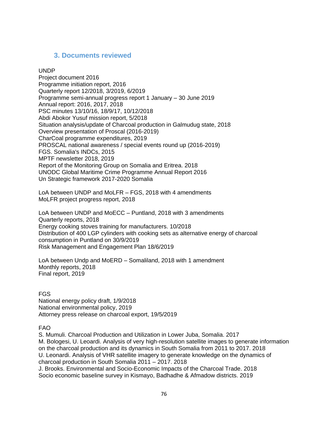# **3. Documents reviewed**

### UNDP

Project document 2016 Programme initiation report, 2016 Quarterly report 12/2018, 3/2019, 6/2019 Programme semi-annual progress report 1 January – 30 June 2019 Annual report: 2016, 2017, 2018 PSC minutes 13/10/16, 18/9/17, 10/12/2018 Abdi Abokor Yusuf mission report, 5/2018 Situation analysis/update of Charcoal production in Galmudug state, 2018 Overview presentation of Proscal (2016-2019) CharCoal programme expenditures, 2019 PROSCAL national awareness / special events round up (2016-2019) FGS. Somalia's INDCs, 2015 MPTF newsletter 2018, 2019 Report of the Monitoring Group on Somalia and Eritrea. 2018 UNODC Global Maritime Crime Programme Annual Report 2016 Un Strategic framework 2017-2020 Somalia

LoA between UNDP and MoLFR – FGS, 2018 with 4 amendments MoLFR project progress report, 2018

LoA between UNDP and MoECC – Puntland, 2018 with 3 amendments Quarterly reports, 2018 Energy cooking stoves training for manufacturers. 10/2018 Distribution of 400 LGP cylinders with cooking sets as alternative energy of charcoal consumption in Puntland on 30/9/2019 Risk Management and Engagement Plan 18/6/2019

LoA between Undp and MoERD – Somaliland, 2018 with 1 amendment Monthly reports, 2018 Final report, 2019

FGS National energy policy draft, 1/9/2018 National environmental policy, 2019 Attorney press release on charcoal export, 19/5/2019

### FAO

S. Mumuli. Charcoal Production and Utilization in Lower Juba, Somalia. 2017 M. Bologesi, U. Leoardi. Analysis of very high-resolution satellite images to generate information on the charcoal production and its dynamics in South Somalia from 2011 to 2017. 2018 U. Leonardi. Analysis of VHR satellite imagery to generate knowledge on the dynamics of charcoal production in South Somalia 2011 – 2017. 2018 J. Brooks. Environmental and Socio-Economic Impacts of the Charcoal Trade. 2018 Socio economic baseline survey in Kismayo, Badhadhe & Afmadow districts. 2019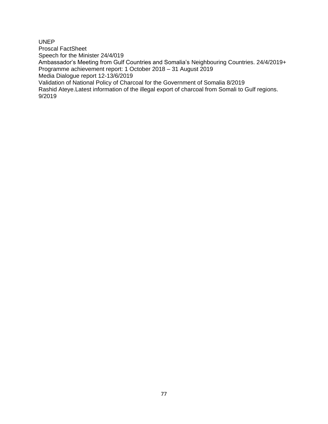UNEP Proscal FactSheet Speech for the Minister 24/4/019 Ambassador's Meeting from Gulf Countries and Somalia's Neighbouring Countries. 24/4/2019+ Programme achievement report: 1 October 2018 – 31 August 2019 Media Dialogue report 12-13/6/2019 Validation of National Policy of Charcoal for the Government of Somalia 8/2019 Rashid Ateye.Latest information of the illegal export of charcoal from Somali to Gulf regions. 9/2019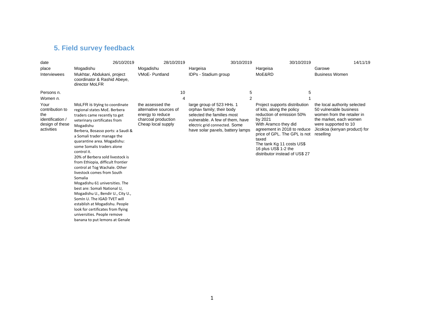# **5. Field survey feedback**

| date                                                                                | 26/10/2019                                                                                                                                                                                                                                                                                                                                                                                                                                                                                                                                                                                                                                                                                                                 | 28/10/2019                                                                                                  | 30/10/2019                                                                                                                                                                                   |                | 30/10/2019                                                                                                                                                                                                                                                                                | 14/11/19                                                                                                                                                                            |
|-------------------------------------------------------------------------------------|----------------------------------------------------------------------------------------------------------------------------------------------------------------------------------------------------------------------------------------------------------------------------------------------------------------------------------------------------------------------------------------------------------------------------------------------------------------------------------------------------------------------------------------------------------------------------------------------------------------------------------------------------------------------------------------------------------------------------|-------------------------------------------------------------------------------------------------------------|----------------------------------------------------------------------------------------------------------------------------------------------------------------------------------------------|----------------|-------------------------------------------------------------------------------------------------------------------------------------------------------------------------------------------------------------------------------------------------------------------------------------------|-------------------------------------------------------------------------------------------------------------------------------------------------------------------------------------|
| place                                                                               | Mogadishu                                                                                                                                                                                                                                                                                                                                                                                                                                                                                                                                                                                                                                                                                                                  | Mogadishu                                                                                                   | Hargeisa                                                                                                                                                                                     |                | Hargeisa                                                                                                                                                                                                                                                                                  | Garowe                                                                                                                                                                              |
| Interviewees                                                                        | Mukhtar, Abdukani, project<br>coordinator & Rashid Abeye,<br>director MoLFR                                                                                                                                                                                                                                                                                                                                                                                                                                                                                                                                                                                                                                                | VMoE-Puntland                                                                                               | IDPs - Stadium group                                                                                                                                                                         |                | MoE&RD                                                                                                                                                                                                                                                                                    | <b>Business Women</b>                                                                                                                                                               |
| Persons n.                                                                          |                                                                                                                                                                                                                                                                                                                                                                                                                                                                                                                                                                                                                                                                                                                            | 10                                                                                                          |                                                                                                                                                                                              | 5              | 5                                                                                                                                                                                                                                                                                         |                                                                                                                                                                                     |
| Women n.                                                                            |                                                                                                                                                                                                                                                                                                                                                                                                                                                                                                                                                                                                                                                                                                                            | 4                                                                                                           |                                                                                                                                                                                              | $\overline{2}$ |                                                                                                                                                                                                                                                                                           |                                                                                                                                                                                     |
| Your<br>contribution to<br>the<br>identification /<br>design of these<br>activities | MoLFR is trying to coordinate<br>regional states MoE. Berbera<br>traders came recently to get<br>veterinary certificates from<br>Mogadishu<br>Berbera, Bosasso ports: a Saudi &<br>a Somali trader manage the<br>quarantine area. Mogadishu:<br>some Somalis traders alone<br>control it.<br>20% of Berbera sold livestock is<br>from Ethiopia, difficult frontier<br>control at Tog Wachale. Other<br>livestock comes from South<br>Somalia<br>Mogadishu 61 universities. The<br>best are: Somali National U,<br>Mogadishu U., Bendir U., City U.,<br>Somin U. The IGAD TVET will<br>establish at Mogadishu. People<br>look for certificates from flying<br>universities. People remove<br>banana to put lemons at Genale | the assessed the<br>alternative sources of<br>energy to reduce<br>charcoal production<br>Cheap local supply | large group of 523 HHs. 1<br>orphan family; their body<br>selected the families most<br>vulnerable. A few of them, have<br>electric grid connected. Some<br>have solar panels, battery lamps |                | Project supports distribution<br>of kits, along the policy<br>reduction of emission 50%<br>by 2021<br>With Aramco they did<br>agreement in 2018 to reduce<br>price of GPL. The GPL is not<br>taxed<br>The tank Kg 11 costs US\$<br>16 plus US\$ 1-2 the<br>distributor instead of US\$ 27 | the local authority selected<br>50 vulnerable business<br>women from the retailer in<br>the market, each women<br>were supported to 10<br>Jicokoa (kenyan product) for<br>reselling |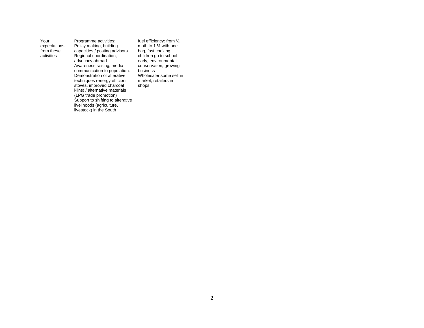Your expectations from these activities

Programme activities: Policy making, building capacities / posting advisors Regional coordination, advocacy abroad. Awareness raising, media communication to population. Demonstration of alterative techniques (energy efficient stoves, improved charcoal kilns) / alternative materials (LPG trade promotion) Support to shifting to alterative livelihoods (agriculture, livestock) in the South

fuel efficiency: from ½ moth to 1 <sup>1</sup>/<sub>2</sub> with one bag, fast cooking children go to school early, environmental conservation, growing business Wholesaler some sell in market, retailers in shops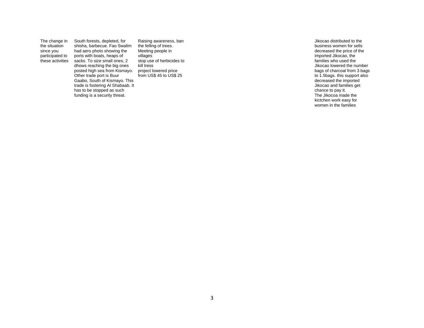The change in the situation since you participated to these activities

South forests, depleted, for shisha, barbecue. Fao Swalim had aero photo showing the ports with boats, heaps of sacks. To size small ones, 2 dhows reaching the big ones posted high sea from Kismayo. Other trade port is Buur Gaabo, South of Kismayo. This trade is fostering Al Shabaab. It has to be stopped as such funding is a security threat.

Raising awareness, ban the felling of trees. Meeting people in villages stop use of herbicides to kill tress project lowered price from US\$ 45 to US\$ 25

Jikocao distributed to the business women for sells decreased the price of the imported Jikocao, the families who used the Jikocao lowered the number bags of charcoal from 3 bags to 1.5bags. this support also decreased the imported Jikocao and families get chance to pay it. The Jikocoa made the kictchen work easy for women in the families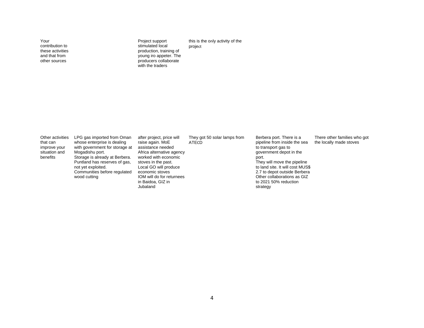Your contribution to these activities and that from other sources

Project support stimulated local production, training of young iro appeter. The producers collaborate with the traders

this is the only activity of the project

Other activities that can improve your situation and benefits

LPG gas imported from Oman whose enterprise is dealing with government for storage at Mogadishu port. Storage is already at Berbera. Puntland has reserves of gas, not yet exploited. Communities before regulated wood cutting

after project, price will raise again. MoE assistance needed Africa alternative agency worked with economic stoves in the past. Local GO will produce economic stoves IOM will do for returnees in Baidoa, GIZ in Jubaland

They got 50 solar lamps from ATECD

Berbera port. There is a pipeline from inside the sea to transport gas to government depot in the port. They will move the pipeline to land site. It will cost MUS\$ 2.7 to depot outside Berbera Other collaborations as GIZ to 2021 50% reduction strategy

There other families who got the locally made stoves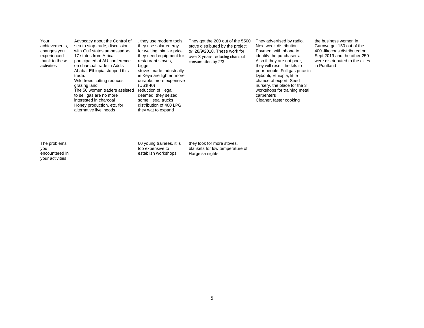| Your<br>achievements,<br>changes you<br>experienced<br>thank to these<br>activities | Advocacy about the Control of<br>sea to stop trade, discussion<br>with Gulf states ambassadors.<br>17 states from Africa<br>participated at AU conference<br>on charcoal trade in Addis<br>Ababa. Ethiopia stopped this<br>trade.<br>Wild trees cutting reduces<br>grazing land.<br>The 50 women traders assisted<br>to sell gas are no more<br>interested in charcoal<br>Honey production, etc. for<br>alternative livelihoods | they use modern tools<br>they use solar energy<br>for welting, similar price<br>they need equipment for<br>restaurant stoves,<br>bigger<br>stoves made Industrially<br>in Keya are lighter, more<br>durable, more expensive<br>(US\$ 40)<br>reduction of illegal<br>deemed, they seized<br>some illegal trucks<br>distribution of 400 LPG.<br>they wat to expand | They got the 200 out of the 5500<br>stove distributed by the project<br>on 28/9/2018. These work for<br>over 3 years reducing charcoal<br>consumption by 2/3 | They advertised by radio.<br>Next week distribution.<br>Payment with phone to<br>identify the purchasers.<br>Also if they are not poor,<br>they will resell the kits to<br>poor people. Full gas price in<br>Diibouti, Ethiopia, little<br>chance of export. Seed<br>nursery, the place for the 3<br>workshops for training metal<br>carpenters<br>Cleaner, faster cooking | the business women in<br>Garowe got 150 out of the<br>400 Jikocoas distributed on<br>Sept 2019 and the other 250<br>were distriobuted to the cities<br>in Puntland |
|-------------------------------------------------------------------------------------|---------------------------------------------------------------------------------------------------------------------------------------------------------------------------------------------------------------------------------------------------------------------------------------------------------------------------------------------------------------------------------------------------------------------------------|------------------------------------------------------------------------------------------------------------------------------------------------------------------------------------------------------------------------------------------------------------------------------------------------------------------------------------------------------------------|--------------------------------------------------------------------------------------------------------------------------------------------------------------|----------------------------------------------------------------------------------------------------------------------------------------------------------------------------------------------------------------------------------------------------------------------------------------------------------------------------------------------------------------------------|--------------------------------------------------------------------------------------------------------------------------------------------------------------------|
|-------------------------------------------------------------------------------------|---------------------------------------------------------------------------------------------------------------------------------------------------------------------------------------------------------------------------------------------------------------------------------------------------------------------------------------------------------------------------------------------------------------------------------|------------------------------------------------------------------------------------------------------------------------------------------------------------------------------------------------------------------------------------------------------------------------------------------------------------------------------------------------------------------|--------------------------------------------------------------------------------------------------------------------------------------------------------------|----------------------------------------------------------------------------------------------------------------------------------------------------------------------------------------------------------------------------------------------------------------------------------------------------------------------------------------------------------------------------|--------------------------------------------------------------------------------------------------------------------------------------------------------------------|

The problems you encountered in your activities

60 young trainees, it is too expensive to establish workshops

they look for more stoves, blankets for low temperature of Hargeisa nights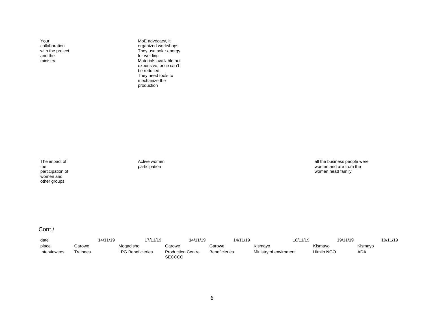Your collaboration with the project and the ministry

MoE advocacy, it organized workshops They use solar energy for welding Materials available but expensive, price can't be reduced They need tools to mechanize the production

The impact of the participation of women and other groups

Active women participation

all the business people were women and are from the women head family

### Cont./

| date         | 14/11/19 | 17/11/19          | 14/11/19                                  | 14/11/19             | 18/11/19               | 19/11/19   | 19/11/19 |
|--------------|----------|-------------------|-------------------------------------------|----------------------|------------------------|------------|----------|
| place        | Garowe   | Mogadisho         | Garowe                                    | Garowe               | Kismavo                | Kismavo    | Kismayo  |
| Interviewees | Trainees | LPG Beneficieries | <b>Production Centre</b><br><b>SECCCO</b> | <b>Beneficieries</b> | Ministry of enviroment | Himilo NGO | ADA      |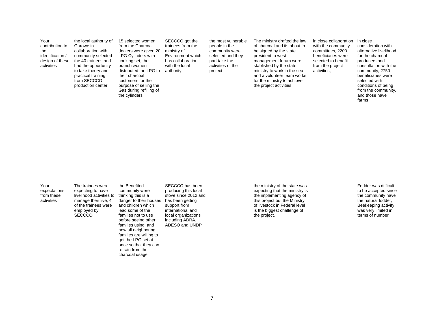| Your<br>contribution to<br>the<br>identification /<br>design of these<br>activities | the local authority of<br>Garowe in<br>collaboration with<br>community selected<br>the 40 trainees and<br>had the opportunity<br>to take theory and<br>practical training<br>from SECCCO<br>production center | 15 selected women<br>from the Charcoal<br>dealers were given 20<br><b>LPG Cylinders with</b><br>cooking set, the<br>branch women<br>distributed the LPG to<br>their charcoal<br>customers for the<br>purpose of selling the<br>Gas during refilling of<br>the cylinders | SECCCO got the<br>trainees from the<br>ministry of<br>Environment which<br>has collaboration<br>with the local<br>authority | the most vulnerable<br>people in the<br>community were<br>selected and they<br>part take the<br>activities of the<br>project | The ministry drafted the law<br>of charcoal and its about to<br>be signed by the state<br>president, a west<br>management forum were<br>stablished by the state<br>ministry to work in the sea<br>and a volunteer team works<br>for the ministry to achieve<br>the project activities, | in close collaboration<br>with the community<br>committees, 2200<br>beneficiaries were<br>selected to benefit<br>from the project<br>activities, | in close<br>consideration with<br>alternative livelihood<br>for the charcoal<br>producers and<br>consultation with the<br>community, 2750<br>beneficiaries were<br>selected with<br>conditions of being<br>from the community.<br>and those have<br>farms |
|-------------------------------------------------------------------------------------|---------------------------------------------------------------------------------------------------------------------------------------------------------------------------------------------------------------|-------------------------------------------------------------------------------------------------------------------------------------------------------------------------------------------------------------------------------------------------------------------------|-----------------------------------------------------------------------------------------------------------------------------|------------------------------------------------------------------------------------------------------------------------------|----------------------------------------------------------------------------------------------------------------------------------------------------------------------------------------------------------------------------------------------------------------------------------------|--------------------------------------------------------------------------------------------------------------------------------------------------|-----------------------------------------------------------------------------------------------------------------------------------------------------------------------------------------------------------------------------------------------------------|
|-------------------------------------------------------------------------------------|---------------------------------------------------------------------------------------------------------------------------------------------------------------------------------------------------------------|-------------------------------------------------------------------------------------------------------------------------------------------------------------------------------------------------------------------------------------------------------------------------|-----------------------------------------------------------------------------------------------------------------------------|------------------------------------------------------------------------------------------------------------------------------|----------------------------------------------------------------------------------------------------------------------------------------------------------------------------------------------------------------------------------------------------------------------------------------|--------------------------------------------------------------------------------------------------------------------------------------------------|-----------------------------------------------------------------------------------------------------------------------------------------------------------------------------------------------------------------------------------------------------------|

Your

expectations from these activities

The trainees were expecting to have livelihood activities to manage their live, 4 of the trainees were employed by **SECCCO** 

the Benefited community were thinking this is a danger to their houses and children which lead some of the families not to use before seeing other families using, and now all neighboring families are willing to

get the LPG set at once so that they can refrain from the charcoal usage

SECCCO has been producing this local stove since 2012 and has been getting support from international and local organizations including ADRA, ADESO and UNDP

the ministry of the state was expecting that the ministry is the implementing agency of this project but the Ministry of livestock in Federal level is the biggest challenge of the project,

Fodder was difficult to be accepted since the community have the natural fodder, Beekeeping activity was very limited in terms of number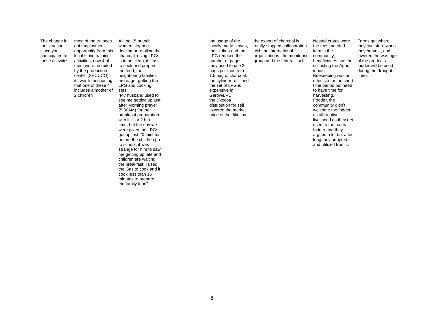The change in the situation since you participated to these activities most of the trainees got employment opportunity from this local stove training activities, now 4 of them were recruited by the production center (SECCCO) its worth mentioning that one of these 4 includes a mother of 2 children

All the 15 branch women stopped dealing or retailing the charcoal, using LPGs is to be clean, its fast to cook and prepare the food, the neighboring families are eager getting the LPG and cooking sets. "My husband used to see me getting up just after Morning prayer (5:30AM) for the breakfast preparation with in 1 or 2 hrs. time, but the day we were given the LPGs I got up just 20 minutes before the children go to school, it was strange for him to saw me getting up late and children are waiting the breakfast, I used the Gas to cook and it cook less than 15 minutes to prepare the family food"

the usage of the locally made stoves, the jikokoa and the LPG reduced the number of pages they used to use 3 bags per month to 1.5 bag of charcoal. the cylinder refill and the set of LPG is expensive in Garowe/PL the Jikocoa distribution for sell lowered the market price of the Jikocoa

the export of charcoal is totally stopped collaboration with the international organizations, the monitoring group and the federal itself

Nested crates were the most needed item in the community, beneficiaries use for collecting the Agric inputs. Beekeeping was not effective for the short time period but need to have time for harvesting. Fodder, the community didn't welcome the fodder as alternative livelihood as they get used to the natural fodder and they argued a lot but after long they adopted it and utilized from it.

Farms got where they can store when they harvest, and it lowered the wastage of the products fodder will be used during the drought times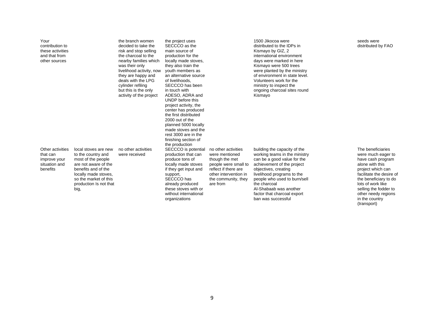| Your<br>contribution to<br>these activities<br>and that from<br>other sources |                                                                                                                                                                                                    | the branch women<br>decided to take the<br>risk and stop selling<br>the charcoal to the<br>nearby families which<br>was their only<br>livelihood activity, now<br>they are happy and<br>deals with the LPG<br>cylinder refiling<br>but this is the only<br>activity of the project | the project uses<br>SECCCO as the<br>main source of<br>production for the<br>locally made stoves,<br>they also train the<br>youth members as<br>an alternative source<br>of livelihoods,<br>SECCCO has been<br>in touch with<br>ADESO, ADRA and<br>UNDP before this<br>project activity, the<br>center has produced<br>the first distributed<br>2000 out of the<br>planned 5000 locally<br>made stoves and the<br>rest 3000 are in the<br>finishing section of |                                                                                                                                                                     | 1500 Jikocoa were<br>distributed to the IDPs in<br>Kismayo by GIZ, 2<br>international environment<br>days were marked in here<br>Kismayo were 500 trees<br>were planted by the ministry<br>of environment in state level.<br>Volunteers work for the<br>ministry to inspect the<br>ongoing charcoal sites round<br>Kismayo | seeds were<br>distributed by FAO                                                                                                                                                                                                                 |
|-------------------------------------------------------------------------------|----------------------------------------------------------------------------------------------------------------------------------------------------------------------------------------------------|------------------------------------------------------------------------------------------------------------------------------------------------------------------------------------------------------------------------------------------------------------------------------------|----------------------------------------------------------------------------------------------------------------------------------------------------------------------------------------------------------------------------------------------------------------------------------------------------------------------------------------------------------------------------------------------------------------------------------------------------------------|---------------------------------------------------------------------------------------------------------------------------------------------------------------------|----------------------------------------------------------------------------------------------------------------------------------------------------------------------------------------------------------------------------------------------------------------------------------------------------------------------------|--------------------------------------------------------------------------------------------------------------------------------------------------------------------------------------------------------------------------------------------------|
| Other activities<br>that can<br>improve your<br>situation and<br>benefits     | local stoves are new<br>to the country and<br>most of the people<br>are not aware of the<br>benefits and of the<br>locally made stoves,<br>so the market of this<br>production Is not that<br>big, | no other activities<br>were received                                                                                                                                                                                                                                               | the production<br>SECCCO is potential<br>production that can<br>produce tons of<br>locally made stoves<br>if they get input and<br>support,<br>SECCCO has<br>already produced<br>these stoves with or<br>without international<br>organizations                                                                                                                                                                                                                | no other activities<br>were mentioned<br>though the met<br>people were small to<br>reflect if there are<br>other intervention in<br>the community, they<br>are from | building the capacity of the<br>working teams in the ministry<br>can be a good value for the<br>achievement of the project<br>objectives, creating<br>livelihood programs to the<br>people who used to burn/sell<br>the charcoal<br>Al-Shabaab was another<br>factor that charcoal export<br>ban was successful            | The beneficiaries<br>were much eager to<br>have cash program<br>alone with this<br>project which can<br>facilitate the desire of<br>the beneficiary to do<br>lots of work like<br>selling the fodder to<br>other needy regions<br>in the country |

(transport)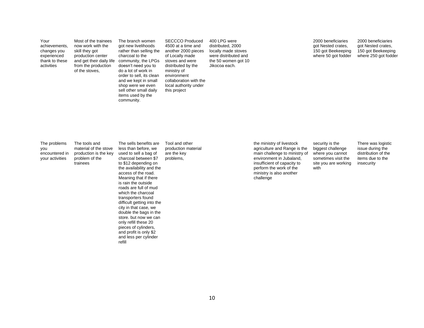| Your<br>achievements.<br>changes you<br>experienced<br>thank to these<br>activities | Most of the trainees<br>now work with the<br>skill they got<br>production center<br>and get their daily life<br>from the production<br>of the stoves. | The branch women<br>got new livelihoods<br>rather than selling the<br>charcoal to the<br>community, the LPGs<br>doesn't need you to<br>do a lot of work in<br>order to sell, its clean<br>and we kept in small<br>shop were we even<br>sell other small daily<br>items used by the<br>community.                                                                                                                                                                                                                       | <b>SECCCO Produced</b><br>4500 at a time and<br>another 2000 pieces<br>of Locally made<br>stoves and were<br>distributed by the<br>ministry of<br>environment<br>collaboration with the<br>local authority under<br>this project | 400 LPG were<br>distributed, 2000<br>locally made stoves<br>were distributed and<br>the 50 women got 10<br>Jikocoa each. |                                                                                                                                                                                                                           | 2000 beneficiaries<br>got Nested crates,<br>150 got Beekeeping<br>where 50 got fodder                           | 2000 beneficiaries<br>got Nested crates,<br>150 got Beekeeping<br>where 250 got fodder          |
|-------------------------------------------------------------------------------------|-------------------------------------------------------------------------------------------------------------------------------------------------------|------------------------------------------------------------------------------------------------------------------------------------------------------------------------------------------------------------------------------------------------------------------------------------------------------------------------------------------------------------------------------------------------------------------------------------------------------------------------------------------------------------------------|----------------------------------------------------------------------------------------------------------------------------------------------------------------------------------------------------------------------------------|--------------------------------------------------------------------------------------------------------------------------|---------------------------------------------------------------------------------------------------------------------------------------------------------------------------------------------------------------------------|-----------------------------------------------------------------------------------------------------------------|-------------------------------------------------------------------------------------------------|
| The problems<br>you<br>encountered in<br>your activities                            | The tools and<br>material of the stove<br>production is the key<br>problem of the<br>trainees                                                         | The sells benefits are<br>less than before, we<br>used to sell a bag of<br>charcoal between \$7<br>to \$12 depending on<br>the availability and the<br>access of the road.<br>Meaning that if there<br>is rain the outside<br>roads are full of mud<br>which the charcoal<br>transporters found<br>difficult getting into the<br>city in that case, we<br>double the bags in the<br>store. but now we can<br>only refill these 20<br>pieces of cylinders,<br>and profit is only \$2<br>and less per cylinder<br>refill | Tool and other<br>production material<br>are the key<br>problems,                                                                                                                                                                |                                                                                                                          | the ministry of livestock<br>agriculture and Range is the<br>main challenge to ministry of<br>environment in Jubaland,<br>insufficient of capacity to<br>perform the work of the<br>ministry is also another<br>challenge | security is the<br>biggest challenge<br>where you cannot<br>sometimes visit the<br>site you are working<br>with | There was logistic<br>issue during the<br>distribution of the<br>items due to the<br>insecurity |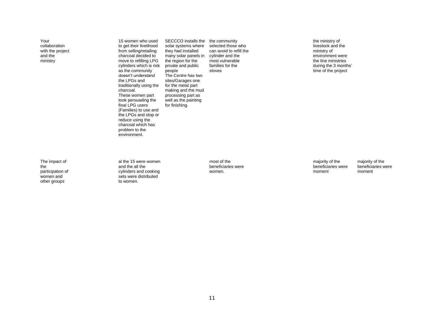Your collaboration with the project and the ministry

15 women who used to get their livelihood from selling/retailing charcoal decided to move to refilling LPG cylinders which is risk as the community doesn't understand the LPGs and traditionally using the charcoal. These women part took persuading the final LPG users (Families) to use and the LPGs and stop or reduce using the charcoal which has problem to the environment. for finishing.

SECCCO installs the solar systems where they had installed many solar panels in the region for the private and public The Centre has two sites/Garages one for the metal part making and the mud processing part as well as the painting the community selected those who can avoid to refill the cylinder and the most vulnerable families for the stoves

people

the ministry of livestock and the ministry of environment were the line ministries during the 3 months' time of the project

The impact of the participation of women and other groups

al the 15 were women and the all the cylinders and cooking sets were distributed to women.

most of the beneficiaries were women.

majority of the beneficiaries were moment

majority of the beneficiaries were moment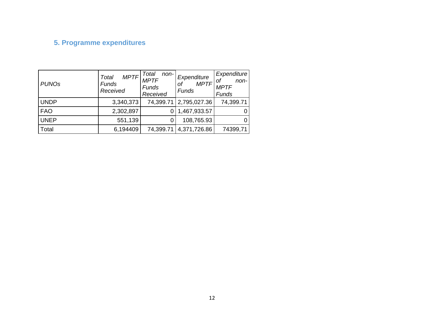# **5. Programme expenditures**

| <b>PUNOs</b> | <b>MPTF</b><br><b>Total</b><br>Funds<br>Received | Total<br>non-<br><b>MPTF</b><br>Funds<br>Received | Expenditure<br><b>MPTF</b><br>οf<br>Funds | Expenditure<br>$non-$<br>Οf<br><b>MPTF</b><br>Funds |
|--------------|--------------------------------------------------|---------------------------------------------------|-------------------------------------------|-----------------------------------------------------|
| <b>UNDP</b>  | 3,340,373                                        |                                                   | 74,399.71 2,795,027.36                    | 74,399.71                                           |
| <b>FAO</b>   | 2,302,897                                        |                                                   | 1,467,933.57                              |                                                     |
| <b>UNEP</b>  | 551,139                                          |                                                   | 108,765.93                                |                                                     |
| Total        | 6,194409                                         | 74,399.71                                         | 4,371,726.86                              | 74399,71                                            |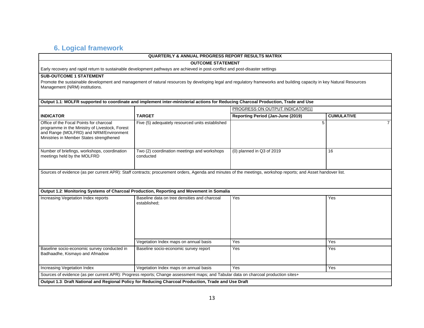# **6. Logical framework**

#### **QUARTERLY & ANNUAL PROGRESS REPORT RESULTS MATRIX**

#### **OUTCOME STATEMENT**

Early recovery and rapid return to sustainable development pathways are achieved in post-conflict and post-disaster settings

### **SUB-OUTCOME 1 STATEMENT**

Promote the sustainable development and management of natural resources by developing legal and regulatory frameworks and building capacity in key Natural Resources Management (NRM) institutions.

#### **Output 1.1**: **MOLFR supported to coordinate and implement inter-ministerial actions for Reducing Charcoal Production, Trade and Use**

|                                                                                                                                                                                 |                                                                                                                                    | PROGRESS ON OUTPUT INDICATOR[1]   |                   |  |  |  |  |  |
|---------------------------------------------------------------------------------------------------------------------------------------------------------------------------------|------------------------------------------------------------------------------------------------------------------------------------|-----------------------------------|-------------------|--|--|--|--|--|
| <b>INDICATOR</b>                                                                                                                                                                | <b>TARGET</b>                                                                                                                      | Reporting Period (Jan-June (2019) | <b>CUMULATIVE</b> |  |  |  |  |  |
| Office of the Focal Points for charcoal<br>programme in the Ministry of Livestock, Forest<br>and Range (MOLFRD) and NRM/Environment<br>Ministries in Member States strengthened | Five (5) adequately resourced units established                                                                                    | 5                                 | $\overline{7}$    |  |  |  |  |  |
| Number of briefings, workshops, coordination<br>meetings held by the MOLFRD                                                                                                     | Two (2) coordination meetings and workshops<br>conducted                                                                           | (0) planned in Q3 of 2019         | 16                |  |  |  |  |  |
| Sources of evidence (as per current APR): Staff contracts; procurement orders, Agenda and minutes of the meetings, workshop reports; and Asset handover list.                   |                                                                                                                                    |                                   |                   |  |  |  |  |  |
|                                                                                                                                                                                 | Output 1.2: Monitoring Systems of Charcoal Production, Reporting and Movement in Somalia                                           |                                   |                   |  |  |  |  |  |
| Increasing Vegetation Index reports                                                                                                                                             | Baseline data on tree densities and charcoal<br>established;                                                                       | <b>Yes</b>                        | Yes               |  |  |  |  |  |
|                                                                                                                                                                                 | Vegetation Index maps on annual basis                                                                                              | Yes                               | Yes               |  |  |  |  |  |
| Baseline socio-economic survey conducted in<br>Badhaadhe, Kismayo and Afmadow                                                                                                   | Baseline socio-economic survey report                                                                                              | Yes                               | Yes               |  |  |  |  |  |
| Increasing Vegetation Index                                                                                                                                                     | Vegetation Index maps on annual basis                                                                                              | Yes                               | Yes               |  |  |  |  |  |
|                                                                                                                                                                                 | Sources of evidence (as per current APR): Progress reports; Change assessment maps; and Tabular data on charcoal production sites+ |                                   |                   |  |  |  |  |  |
|                                                                                                                                                                                 | Output 1.3: Draft National and Regional Policy for Reducing Charcoal Production, Trade and Use Draft                               |                                   |                   |  |  |  |  |  |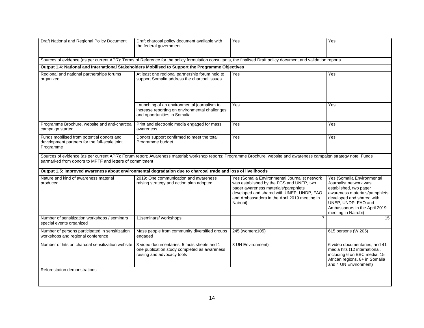| Draft National and Regional Policy Document                                                             | Draft charcoal policy document available with<br>the federal government                                                                                          | Yes                                                                                                                                                                                                                                       | Yes                                                                                                                                                                                                                         |  |  |  |  |  |  |
|---------------------------------------------------------------------------------------------------------|------------------------------------------------------------------------------------------------------------------------------------------------------------------|-------------------------------------------------------------------------------------------------------------------------------------------------------------------------------------------------------------------------------------------|-----------------------------------------------------------------------------------------------------------------------------------------------------------------------------------------------------------------------------|--|--|--|--|--|--|
|                                                                                                         | Sources of evidence (as per current APR): Terms of Reference for the policy formulation consultants, the finalised Draft policy document and validation reports. |                                                                                                                                                                                                                                           |                                                                                                                                                                                                                             |  |  |  |  |  |  |
|                                                                                                         | Output 1.4: National and International Stakeholders Mobilised to Support the Programme Objectives                                                                |                                                                                                                                                                                                                                           |                                                                                                                                                                                                                             |  |  |  |  |  |  |
| Regional and national partnerships forums<br>organized                                                  | At least one regional partnership forum held to<br>support Somalia address the charcoal issues                                                                   | <b>Yes</b>                                                                                                                                                                                                                                | Yes                                                                                                                                                                                                                         |  |  |  |  |  |  |
|                                                                                                         | Launching of an environmental journalism to<br>increase reporting on environmental challenges<br>and opportunities in Somalia                                    | Yes                                                                                                                                                                                                                                       | Yes                                                                                                                                                                                                                         |  |  |  |  |  |  |
| Programme Brochure, website and anti-charcoal<br>campaign started                                       | Print and electronic media engaged for mass<br>awareness                                                                                                         | Yes                                                                                                                                                                                                                                       | Yes                                                                                                                                                                                                                         |  |  |  |  |  |  |
| Funds mobilised from potential donors and<br>development partners for the full-scale joint<br>Programme | Donors support confirmed to meet the total<br>Programme budget                                                                                                   | Yes                                                                                                                                                                                                                                       | Yes                                                                                                                                                                                                                         |  |  |  |  |  |  |
| earmarked from donors to MPTF and letters of commitment                                                 |                                                                                                                                                                  | Sources of evidence (as per current APR): Forum report; Awareness material; workshop reports; Programme Brochure, website and awareness campaign strategy note; Funds                                                                     |                                                                                                                                                                                                                             |  |  |  |  |  |  |
|                                                                                                         | Output 1.5: Improved awareness about environmental degradation due to charcoal trade and loss of livelihoods                                                     |                                                                                                                                                                                                                                           |                                                                                                                                                                                                                             |  |  |  |  |  |  |
| Nature and kind of awareness material<br>produced                                                       | 2019: One communication and awareness<br>raising strategy and action plan adopted                                                                                | Yes (Somalia Environmental Journalist network<br>was established by the FGS and UNEP, two<br>pager awareness materials/pamphlets<br>developed and shared with UNEP, UNDP, FAO<br>and Ambassadors in the April 2019 meeting in<br>Nairobi) | Yes (Somalia Environmental<br>Journalist network was<br>established, two pager<br>awareness materials/pamphlets<br>developed and shared with<br>UNEP, UNDP, FAO and<br>Ambassadors in the April 2019<br>meeting in Nairobi) |  |  |  |  |  |  |
| Number of sensitization workshops / seminars<br>special events organized                                | 11seminars/ workshops                                                                                                                                            |                                                                                                                                                                                                                                           | 15                                                                                                                                                                                                                          |  |  |  |  |  |  |
| Number of persons participated in sensitization<br>workshops and regional conference                    | Mass people from community diversified groups<br>engaged                                                                                                         | 245 (women:105)                                                                                                                                                                                                                           | 615 persons (W:205)                                                                                                                                                                                                         |  |  |  |  |  |  |
| Number of hits on charcoal sensitization website                                                        | 3 video documentaries, 5 facts sheets and 1<br>one publication study completed as awareness<br>raising and advocacy tools                                        | 3 UN Environment)                                                                                                                                                                                                                         | 6 video documentaries, and 41<br>media hits (12 international,<br>including 6 on BBC media, 15<br>African regions, 8+ in Somalia<br>and 4 UN Environment)                                                                   |  |  |  |  |  |  |
| Reforestation demonstrations                                                                            |                                                                                                                                                                  |                                                                                                                                                                                                                                           |                                                                                                                                                                                                                             |  |  |  |  |  |  |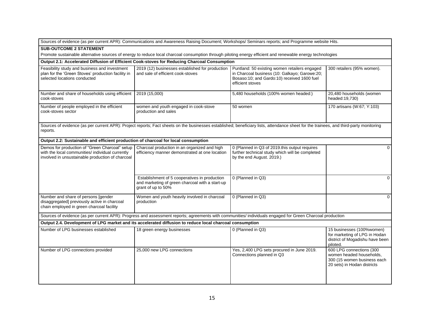|                                                                                                                                                        | Sources of evidence (as per current APR): Communications and Awareness Raising Document; Workshops/ Seminars reports; and Programme website Hits.                                      |                                                                                                                                                                   |                                                                                                                    |
|--------------------------------------------------------------------------------------------------------------------------------------------------------|----------------------------------------------------------------------------------------------------------------------------------------------------------------------------------------|-------------------------------------------------------------------------------------------------------------------------------------------------------------------|--------------------------------------------------------------------------------------------------------------------|
| <b>SUB-OUTCOME 2 STATEMENT</b>                                                                                                                         |                                                                                                                                                                                        |                                                                                                                                                                   |                                                                                                                    |
|                                                                                                                                                        | Promote sustainable alternative sources of energy to reduce local charcoal consumption through piloting energy efficient and renewable energy technologies                             |                                                                                                                                                                   |                                                                                                                    |
|                                                                                                                                                        | Output 2.1: Accelerated Diffusion of Efficient Cook-stoves for Reducing Charcoal Consumption                                                                                           |                                                                                                                                                                   |                                                                                                                    |
| Feasibility study and business and investment<br>plan for the 'Green Stoves' production facility in<br>selected locations conducted                    | 2019 (12) businesses established for production<br>and sale of efficient cook-stoves                                                                                                   | Puntland: 50 existing women retailers engaged<br>in Charcoal business (10: Galkayo; Garowe:20;<br>Bosaso:10; and Gardo:10) received 1600 fuel<br>efficient stoves | 300 retailers (95% women).                                                                                         |
| Number and share of households using efficient<br>cook-stoves                                                                                          | 2019 (15,000)                                                                                                                                                                          | 5,480 households (100% women headed:)                                                                                                                             | 20,480 households (women<br>headed: 19,730)                                                                        |
| Number of people employed in the efficient<br>cook-stoves sector                                                                                       | women and youth engaged in cook-stove<br>production and sales                                                                                                                          | 50 women                                                                                                                                                          | 170 artisans (W:67; Y:103)                                                                                         |
| reports.                                                                                                                                               | Sources of evidence (as per current APR): Project reports; Fact sheets on the businesses established; beneficiary lists, attendance sheet for the trainees, and third-party monitoring |                                                                                                                                                                   |                                                                                                                    |
| Output 2.2: Sustainable and efficient production of charcoal for local consumption                                                                     |                                                                                                                                                                                        |                                                                                                                                                                   |                                                                                                                    |
| Demos for production of "Green Charcoal" setup<br>with the local communities/ individual currently<br>involved in unsustainable production of charcoal | Charcoal production in an organized and high<br>efficiency manner demonstrated at one location                                                                                         | 0 (Planned in Q3 of 2019 this output requires<br>further technical study which will be completed<br>by the end August. 2019.)                                     | $\Omega$                                                                                                           |
|                                                                                                                                                        | Establishment of 5 cooperatives in production<br>and marketing of green charcoal with a start-up<br>grant of up to 50%                                                                 | 0 (Planned in Q3)                                                                                                                                                 | $\mathbf 0$                                                                                                        |
| Number and share of persons [gender<br>disaggregated] previously active in charcoal<br>chain employed in green charcoal facility                       | Women and youth heavily involved in charcoal<br>production                                                                                                                             | 0 (Planned in Q3)                                                                                                                                                 | $\mathbf 0$                                                                                                        |
|                                                                                                                                                        | Sources of evidence (as per current APR): Progress and assessment reports; agreements with communities/ individuals engaged for Green Charcoal production                              |                                                                                                                                                                   |                                                                                                                    |
|                                                                                                                                                        | Output 2.4. Development of LPG market and its accelerated diffusion to reduce local charcoal consumption                                                                               |                                                                                                                                                                   |                                                                                                                    |
| Number of LPG businesses established                                                                                                                   | 18 green energy businesses                                                                                                                                                             | 0 (Planned in Q3)                                                                                                                                                 | 15 businesses (100%women)<br>for marketing of LPG in Hodan<br>district of Mogadishu have been<br>piloted.          |
| Number of LPG connections provided                                                                                                                     | 25,000 new LPG connections                                                                                                                                                             | Yes, 2,400 LPG sets procured in June 2019.<br>Connections planned in Q3                                                                                           | 600 LPG connections (300<br>women headed households,<br>300 (15 women business each<br>20 sets) in Hodan districts |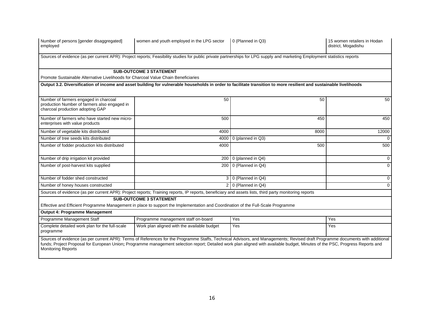| Number of persons [gender disaggregated]<br>employed                                                                                                                                                                                                                                                                                                                                         | women and youth employed in the LPG sector                                                                                       | 0 (Planned in Q3)             | 15 women retailers in Hodan<br>district, Mogadishu |
|----------------------------------------------------------------------------------------------------------------------------------------------------------------------------------------------------------------------------------------------------------------------------------------------------------------------------------------------------------------------------------------------|----------------------------------------------------------------------------------------------------------------------------------|-------------------------------|----------------------------------------------------|
| Sources of evidence (as per current APR): Project reports; Feasibility studies for public private partnerships for LPG supply and marketing Employment statistics reports                                                                                                                                                                                                                    |                                                                                                                                  |                               |                                                    |
| <b>SUB-OUTCOME 3 STATEMENT</b>                                                                                                                                                                                                                                                                                                                                                               |                                                                                                                                  |                               |                                                    |
| Promote Sustainable Alternative Livelihoods for Charcoal Value Chain Beneficiaries                                                                                                                                                                                                                                                                                                           |                                                                                                                                  |                               |                                                    |
| Output 3.2. Diversification of income and asset building for vulnerable households in order to facilitate transition to more resilient and sustainable livelihoods                                                                                                                                                                                                                           |                                                                                                                                  |                               |                                                    |
| Number of farmers engaged in charcoal<br>production Number of farmers also engaged in<br>charcoal production adopting GAP                                                                                                                                                                                                                                                                    | 50                                                                                                                               | 50                            | 50                                                 |
| Number of farmers who have started new micro-<br>enterprises with value products                                                                                                                                                                                                                                                                                                             | 500                                                                                                                              | 450                           | 450                                                |
| Number of vegetable kits distributed                                                                                                                                                                                                                                                                                                                                                         | 4000                                                                                                                             | 8000                          | 12000                                              |
| Number of tree seeds kits distributed                                                                                                                                                                                                                                                                                                                                                        | 4000                                                                                                                             | 0 (planned in Q3)             | $\Omega$                                           |
| Number of fodder production kits distributed                                                                                                                                                                                                                                                                                                                                                 | 4000                                                                                                                             | 500                           | 500                                                |
| Number of drip irrigation kit provided                                                                                                                                                                                                                                                                                                                                                       |                                                                                                                                  | 200 0 (planned in $Q4$ )      | $\Omega$                                           |
| Number of post-harvest kits supplied                                                                                                                                                                                                                                                                                                                                                         |                                                                                                                                  | 200 $\vert$ 0 (Planned in Q4) | $\Omega$                                           |
| Number of fodder shed constructed                                                                                                                                                                                                                                                                                                                                                            |                                                                                                                                  | 3 0 (Planned in Q4)           | $\Omega$                                           |
| Number of honey houses constructed                                                                                                                                                                                                                                                                                                                                                           |                                                                                                                                  | 2 0 (Planned in $Q_4$ )       | 0                                                  |
| Sources of evidence (as per current APR): Project reports; Training reports, IP reports, beneficiary and assets lists, third party monitoring reports                                                                                                                                                                                                                                        |                                                                                                                                  |                               |                                                    |
|                                                                                                                                                                                                                                                                                                                                                                                              | <b>SUB-OUTCOME 3 STATEMENT</b>                                                                                                   |                               |                                                    |
|                                                                                                                                                                                                                                                                                                                                                                                              | Effective and Efficient Programme Management in place to support the Implementation and Coordination of the Full-Scale Programme |                               |                                                    |
| <b>Output 4: Programme Management</b>                                                                                                                                                                                                                                                                                                                                                        |                                                                                                                                  |                               |                                                    |
| Programme Management Staff                                                                                                                                                                                                                                                                                                                                                                   | Programme management staff on-board                                                                                              | Yes                           | Yes                                                |
| Complete detailed work plan for the full-scale<br>programme                                                                                                                                                                                                                                                                                                                                  | Work plan aligned with the available budget                                                                                      | Yes                           | Yes                                                |
| Sources of evidence (as per current APR): Terms of References for the Programme Staffs, Technical Advisors, and Managements; Revised draft Programme documents with additional<br>funds; Project Proposal for European Union; Programme management selection report; Detailed work plan aligned with available budget, Minutes of the PSC, Progress Reports and<br><b>Monitoring Reports</b> |                                                                                                                                  |                               |                                                    |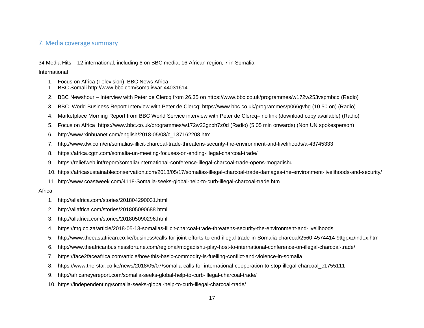## 7. Media coverage summary

### 34 Media Hits – 12 international, including 6 on BBC media, 16 African region, 7 in Somalia

### International

- 1. [Focus on Africa \(Television\): BBC News Africa](https://www.facebook.com/BBCnewsAfrica/videos/10156554450635229/)
- 1. BBC Somali<http://www.bbc.com/somali/war-44031614>
- 2. BBC Newshour Interview with Peter de Clercq from 26.35 on<https://www.bbc.co.uk/programmes/w172w253vspmbcq> (Radio)
- 3. BBC World Business Report Interview with Peter de Clercq:<https://www.bbc.co.uk/programmes/p066gvhg> (10.50 on) (Radio)
- 4. Marketplace Morning Report from BBC World Service interview with Peter de Clercq– no link (download copy available) (Radio)
- 5. Focus on Africa <https://www.bbc.co.uk/programmes/w172w23gzbh7z0d> (Radio) (5.05 min onwards) (Non UN spokesperson)
- 6. [http://www.xinhuanet.com/english/2018-05/08/c\\_137162208.htm](http://www.xinhuanet.com/english/2018-05/08/c_137162208.htm)
- 7. <http://www.dw.com/en/somalias-illicit-charcoal-trade-threatens-security-the-environment-and-livelihoods/a-43745333>
- 8. <https://africa.cgtn.com/somalia-un-meeting-focuses-on-ending-illegal-charcoal-trade/>
- 9. <https://reliefweb.int/report/somalia/international-conference-illegal-charcoal-trade-opens-mogadishu>
- 10. <https://africasustainableconservation.com/2018/05/17/somalias-illegal-charcoal-trade-damages-the-environment-livelihoods-and-security/>
- 11. <http://www.coastweek.com/4118-Somalia-seeks-global-help-to-curb-illegal-charcoal-trade.htm>

### Africa

- 1. <http://allafrica.com/stories/201804290031.html>
- 2. <http://allafrica.com/stories/201805090688.html>
- 3. <http://allafrica.com/stories/201805090296.html>
- 4. <https://mg.co.za/article/2018-05-13-somalias-illicit-charcoal-trade-threatens-security-the-environment-and-livelihoods>
- 5. <http://www.theeastafrican.co.ke/business/calls-for-joint-efforts-to-end-illegal-trade-in-Somalia-charcoal/2560-4574414-9ttgpxz/index.html>
- 6. <http://www.theafricanbusinessfortune.com/regional/mogadishu-play-host-to-international-conference-on-illegal-charcoal-trade/>
- 7. <https://face2faceafrica.com/article/how-this-basic-commodity-is-fuelling-conflict-and-violence-in-somalia>
- 8. [https://www.the-star.co.ke/news/2018/05/07/somalia-calls-for-international-cooperation-to-stop-illegal-charcoal\\_c1755111](https://www.the-star.co.ke/news/2018/05/07/somalia-calls-for-international-cooperation-to-stop-illegal-charcoal_c1755111)
- 9. <http://africaneyereport.com/somalia-seeks-global-help-to-curb-illegal-charcoal-trade/>
- 10. <https://independent.ng/somalia-seeks-global-help-to-curb-illegal-charcoal-trade/>